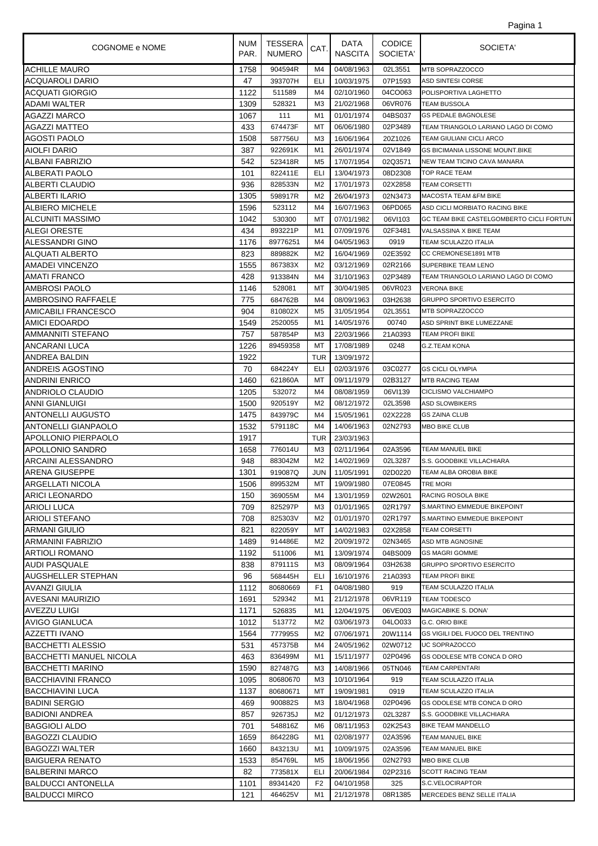| 1<br>agina |
|------------|
|------------|

| COGNOME e NOME                 | <b>NUM</b><br>PAR. | <b>TESSERA</b><br><b>NUMERO</b> | CAT.           | DATA<br><b>NASCITA</b> | <b>CODICE</b><br>SOCIETA' | SOCIETA'                                 |
|--------------------------------|--------------------|---------------------------------|----------------|------------------------|---------------------------|------------------------------------------|
| <b>ACHILLE MAURO</b>           | 1758               | 904594R                         | M4             | 04/08/1963             | 02L3551                   | MTB SOPRAZZOCCO                          |
| ACQUAROLI DARIO                | 47                 | 393707H                         | ELI            | 10/03/1975             | 07P1593                   | ASD SINTESI CORSE                        |
| ACQUATI GIORGIO                | 1122               | 511589                          | M4             | 02/10/1960             | 04CO063                   | POLISPORTIVA LAGHETTO                    |
| ADAMI WALTER                   | 1309               | 528321                          | MЗ             | 21/02/1968             | 06VR076                   | <b>TEAM BUSSOLA</b>                      |
| AGAZZI MARCO                   | 1067               | 111                             | M1             | 01/01/1974             | 04BS037                   | <b>GS PEDALE BAGNOLESE</b>               |
| AGAZZI MATTEO                  | 433                | 674473F                         | МT             | 06/06/1980             | 02P3489                   | TEAM TRIANGOLO LARIANO LAGO DI COMO      |
| AGOSTI PAOLO                   | 1508               | 587756U                         | M <sub>3</sub> | 16/06/1964             | 20Z1026                   | <b>TEAM GIULIANI CICLI ARCO</b>          |
| <b>AIOLFI DARIO</b>            | 387                | 922691K                         | M1             | 26/01/1974             | 02V1849                   | <b>GS BICIMANIA LISSONE MOUNT.BIKE</b>   |
| ALBANI FABRIZIO                | 542                | 523418R                         | M <sub>5</sub> | 17/07/1954             | 02Q3571                   | NEW TEAM TICINO CAVA MANARA              |
| ALBERATI PAOLO                 | 101                | 822411E                         | ELI.           | 13/04/1973             | 08D2308                   | <b>TOP RACE TEAM</b>                     |
| ALBERTI CLAUDIO                | 936                | 828533N                         | M <sub>2</sub> | 17/01/1973             | 02X2858                   | <b>TEAM CORSETTI</b>                     |
| <b>ALBERTI ILARIO</b>          | 1305               | 598917R                         | M <sub>2</sub> | 26/04/1973             | 02N3473                   | <b>MACOSTA TEAM &amp;FM BIKE</b>         |
| <b>ALBIERO MICHELE</b>         | 1596               | 523112                          | M4             | 16/07/1963             | 06PD065                   | ASD CICLI MORBIATO RACING BIKE           |
| <b>ALCUNITI MASSIMO</b>        | 1042               | 530300                          | МT             | 07/01/1982             | 06VI103                   | GC TEAM BIKE CASTELGOMBERTO CICLI FORTUN |
| <b>ALEGI ORESTE</b>            | 434                | 893221P                         | M1             | 07/09/1976             | 02F3481                   | VALSASSINA X BIKE TEAM                   |
| ALESSANDRI GINO                | 1176               | 89776251                        | M4             | 04/05/1963             | 0919                      | TEAM SCULAZZO ITALIA                     |
| <b>ALQUATI ALBERTO</b>         | 823                | 889882K                         | M <sub>2</sub> | 16/04/1969             | 02E3592                   | CC CREMONESE1891 MTB                     |
| <b>AMADEI VINCENZO</b>         | 1555               | 867383X                         | M <sub>2</sub> | 03/12/1969             | 02R2166                   | <b>SUPERBIKE TEAM LENO</b>               |
| <b>AMATI FRANCO</b>            | 428                | 913384N                         | M4             | 31/10/1963             | 02P3489                   | TEAM TRIANGOLO LARIANO LAGO DI COMO      |
| AMBROSI PAOLO                  | 1146               | 528081                          | МT             | 30/04/1985             | 06VR023                   | <b>VERONA BIKE</b>                       |
| AMBROSINO RAFFAELE             | 775                | 684762B                         | M4             | 08/09/1963             | 03H2638                   | <b>GRUPPO SPORTIVO ESERCITO</b>          |
| AMICABILI FRANCESCO            | 904                | 810802X                         | M <sub>5</sub> | 31/05/1954             | 02L3551                   | MTB SOPRAZZOCCO                          |
| <b>AMICI EDOARDO</b>           | 1549               | 2520055                         | M1             | 14/05/1976             | 00740                     | ASD SPRINT BIKE LUMEZZANE                |
| AMMANNITI STEFANO              | 757                | 587854P                         | ΜЗ             | 22/03/1966             | 21A0393                   | <b>TEAM PROFI BIKE</b>                   |
| ANCARANI LUCA                  | 1226               | 89459358                        | МT             | 17/08/1989             | 0248                      | G.Z.TEAM KONA                            |
| ANDREA BALDIN                  | 1922               |                                 | <b>TUR</b>     | 13/09/1972             |                           |                                          |
| <b>ANDREIS AGOSTINO</b>        | 70                 | 684224Y                         | ELI            | 02/03/1976             | 03C0277                   | <b>GS CICLI OLYMPIA</b>                  |
| <b>ANDRINI ENRICO</b>          | 1460               | 621860A                         | МT             | 09/11/1979             | 02B3127                   | <b>MTB RACING TEAM</b>                   |
| ANDRIOLO CLAUDIO               | 1205               | 532072                          | M4             | 08/08/1959             | 06VI139                   | CICLISMO VALCHIAMPO                      |
| <b>ANNI GIANLUIGI</b>          | 1500               | 920519Y                         | M <sub>2</sub> | 08/12/1972             | 02L3598                   | <b>ASD SLOWBIKERS</b>                    |
| <b>ANTONELLI AUGUSTO</b>       | 1475               | 843979C                         | M4             | 15/05/1961             | 02X2228                   | <b>GS ZAINA CLUB</b>                     |
| <b>ANTONELLI GIANPAOLO</b>     | 1532               | 579118C                         | M4             | 14/06/1963             | 02N2793                   | <b>MBO BIKE CLUB</b>                     |
| APOLLONIO PIERPAOLO            | 1917               |                                 | <b>TUR</b>     | 23/03/1963             |                           |                                          |
| <b>APOLLONIO SANDRO</b>        | 1658               | 776014U                         | ΜЗ             | 02/11/1964             | 02A3596                   | <b>TEAM MANUEL BIKE</b>                  |
| ARCAINI ALESSANDRO             | 948                | 883042M                         | M <sub>2</sub> | 14/02/1969             | 02L3287                   | S.S. GOODBIKE VILLACHIARA                |
| <b>ARENA GIUSEPPE</b>          | 1301               | 919087Q                         | JUN            | 11/05/1991             | 02D0220                   | <b>TEAM ALBA OROBIA BIKE</b>             |
| ARGELLATI NICOLA               | 1506               | 899532M                         |                | MT 19/09/1980          | 07E0845                   | <b>TRE MORI</b>                          |
| ARICI LEONARDO                 | 150                | 369055M                         | M4             | 13/01/1959             | 02W2601                   | <b>RACING ROSOLA BIKE</b>                |
| <b>ARIOLI LUCA</b>             | 709                | 825297P                         | MЗ             | 01/01/1965             | 02R1797                   | S.MARTINO EMMEDUE BIKEPOINT              |
| <b>ARIOLI STEFANO</b>          | 708                | 825303V                         | M <sub>2</sub> | 01/01/1970             | 02R1797                   | S.MARTINO EMMEDUE BIKEPOINT              |
| ARMANI GIULIO                  | 821                | 822059Y                         | МT             | 14/02/1983             | 02X2858                   | <b>TEAM CORSETTI</b>                     |
| ARMANINI FABRIZIO              | 1489               | 914486E                         | M2             | 20/09/1972             | 02N3465                   | ASD MTB AGNOSINE                         |
| <b>ARTIOLI ROMANO</b>          | 1192               | 511006                          | M1             | 13/09/1974             | 04BS009                   | <b>GS MAGRI GOMME</b>                    |
| AUDI PASQUALE                  | 838                | 879111S                         | MЗ             | 08/09/1964             | 03H2638                   | <b>GRUPPO SPORTIVO ESERCITO</b>          |
| <b>AUGSHELLER STEPHAN</b>      | 96                 | 568445H                         | ELI            | 16/10/1976             | 21A0393                   | <b>TEAM PROFI BIKE</b>                   |
| <b>AVANZI GIULIA</b>           | 1112               | 80680669                        | F <sub>1</sub> | 04/08/1980             | 919                       | TEAM SCULAZZO ITALIA                     |
| <b>AVESANI MAURIZIO</b>        | 1691               | 529342                          | M1             | 21/12/1978             | 06VR119                   | <b>TEAM TODESCO</b>                      |
| <b>AVEZZU LUIGI</b>            | 1171               | 526835                          | M1             | 12/04/1975             | 06VE003                   | <b>MAGICABIKE S. DONA'</b>               |
| <b>AVIGO GIANLUCA</b>          | 1012               | 513772                          | M2             | 03/06/1973             | 04LO033                   | G.C. ORIO BIKE                           |
| <b>AZZETTI IVANO</b>           | 1564               | 777995S                         | M <sub>2</sub> | 07/06/1971             | 20W1114                   | GS VIGILI DEL FUOCO DEL TRENTINO         |
| <b>BACCHETTI ALESSIO</b>       | 531                | 457375B                         | M4             | 24/05/1962             | 02W0712                   | UC SOPRAZOCCO                            |
| <b>BACCHETTI MANUEL NICOLA</b> | 463                | 836499M                         | M1             | 15/11/1977             | 02P0496                   | GS ODOLESE MTB CONCA D ORO               |
| <b>BACCHETTI MARINO</b>        | 1590               | 827487G                         | MЗ             | 14/08/1966             | 05TN046                   | <b>TEAM CARPENTARI</b>                   |
| <b>BACCHIAVINI FRANCO</b>      | 1095               | 80680670                        | MЗ             | 10/10/1964             | 919                       | TEAM SCULAZZO ITALIA                     |
| <b>BACCHIAVINI LUCA</b>        | 1137               | 80680671                        | МT             | 19/09/1981             | 0919                      | TEAM SCULAZZO ITALIA                     |
| <b>BADINI SERGIO</b>           | 469                | 900882S                         | MЗ             | 18/04/1968             | 02P0496                   | GS ODOLESE MTB CONCA D ORO               |
| <b>BADIONI ANDREA</b>          | 857                | 926735J                         | M <sub>2</sub> | 01/12/1973             | 02L3287                   | S.S. GOODBIKE VILLACHIARA                |
| <b>BAGGIOLI ALDO</b>           | 701                | 548816Z                         | M6             | 08/11/1953             | 02K2543                   | BIKE TEAM MANDELLO                       |
| <b>BAGOZZI CLAUDIO</b>         | 1659               | 864228G                         | M1             | 02/08/1977             | 02A3596                   | TEAM MANUEL BIKE                         |
| <b>BAGOZZI WALTER</b>          | 1660               | 843213U                         | M1             | 10/09/1975             | 02A3596                   | TEAM MANUEL BIKE                         |
| <b>BAIGUERA RENATO</b>         | 1533               | 854769L                         | M5             | 18/06/1956             | 02N2793                   | <b>MBO BIKE CLUB</b>                     |
| <b>BALBERINI MARCO</b>         | 82                 | 773581X                         | ELI            | 20/06/1984             | 02P2316                   | <b>SCOTT RACING TEAM</b>                 |
| <b>BALDUCCI ANTONELLA</b>      | 1101               | 89341420                        | F <sub>2</sub> | 04/10/1958             | 325                       | S.C.VELOCIRAPTOR                         |
| <b>BALDUCCI MIRCO</b>          | 121                | 464625V                         | M1             | 21/12/1978             | 08R1385                   | MERCEDES BENZ SELLE ITALIA               |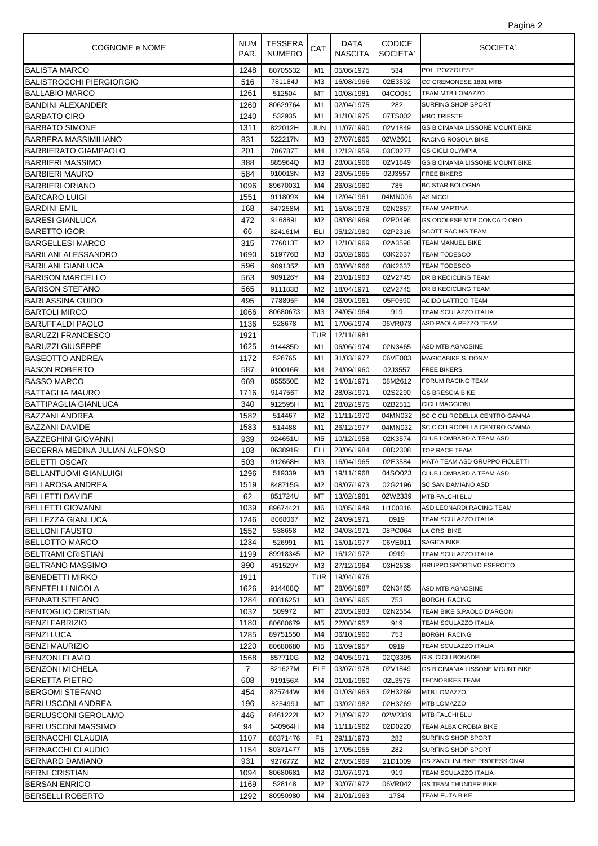| Pagina 2 |  |
|----------|--|
|          |  |

| COGNOME e NOME                | NUM<br>PAR.    | <b>TESSERA</b><br><b>NUMERO</b> | CAT.           | DATA<br><b>NASCITA</b> | <b>CODICE</b><br>SOCIETA' | SOCIETA'                               |
|-------------------------------|----------------|---------------------------------|----------------|------------------------|---------------------------|----------------------------------------|
| <b>BALISTA MARCO</b>          | 1248           | 80705532                        | M1             | 05/06/1975             | 534                       | POL. POZZOLESE                         |
| BALISTROCCHI PIERGIORGIO      | 516            | 781184J                         | M3             | 16/08/1966             | 02E3592                   | CC CREMONESE 1891 MTB                  |
| <b>BALLABIO MARCO</b>         | 1261           | 512504                          | МT             | 10/08/1981             | 04CO051                   | TEAM MTB LOMAZZO                       |
| <b>BANDINI ALEXANDER</b>      | 1260           | 80629764                        | M1             | 02/04/1975             | 282                       | <b>SURFING SHOP SPORT</b>              |
| IBARBATO CIRO                 | 1240           | 532935                          | M1             | 31/10/1975             | 07TS002                   | <b>MBC TRIESTE</b>                     |
| <b>BARBATO SIMONE</b>         | 1311           | 822012H                         | <b>JUN</b>     | 11/07/1990             | 02V1849                   | <b>GS BICIMANIA LISSONE MOUNT.BIKE</b> |
| <b>BARBERA MASSIMILIANO</b>   | 831            | 522217N                         | M <sub>3</sub> | 27/07/1965             | 02W2601                   | RACING ROSOLA BIKE                     |
| <b>BARBIERATO GIAMPAOLO</b>   | 201            | 786787T                         | M4             | 12/12/1959             | 03C0277                   | <b>GS CICLI OLYMPIA</b>                |
| <b>BARBIERI MASSIMO</b>       | 388            | 885964Q                         | MЗ             | 28/08/1966             | 02V1849                   | <b>GS BICIMANIA LISSONE MOUNT.BIKE</b> |
| BARBIERI MAURO                | 584            | 910013N                         | M <sub>3</sub> | 23/05/1965             | 02J3557                   | <b>FREE BIKERS</b>                     |
| BARBIERI ORIANO               | 1096           | 89670031                        | M4             | 26/03/1960             | 785                       | BC STAR BOLOGNA                        |
| <b>BARCARO LUIGI</b>          | 1551           | 911809X                         | M4             | 12/04/1961             | 04MN006                   | <b>AS NICOLI</b>                       |
| IBARDINI EMIL                 | 168            | 847258M                         | M1             | 15/08/1978             | 02N2857                   | <b>TEAM MARTINA</b>                    |
| <b>BARESI GIANLUCA</b>        | 472            | 916889L                         | M2             | 08/08/1969             | 02P0496                   | GS ODOLESE MTB CONCA D ORO             |
| <b>BARETTO IGOR</b>           | 66             | 824161M                         | ELI            | 05/12/1980             | 02P2316                   | <b>SCOTT RACING TEAM</b>               |
| <b>BARGELLESI MARCO</b>       | 315            | 776013T                         | M <sub>2</sub> | 12/10/1969             | 02A3596                   | TEAM MANUEL BIKE                       |
| <b>BARILANI ALESSANDRO</b>    | 1690           | 519776B                         | M3             | 05/02/1965             | 03K2637                   | <b>TEAM TODESCO</b>                    |
| BARILANI GIANLUCA             | 596            | 909135Z                         | M3             | 03/06/1966             | 03K2637                   | <b>TEAM TODESCO</b>                    |
| <b>BARISON MARCELLO</b>       | 563            | 909126Y                         | M4             | 20/01/1963             | 02V2745                   | DR BIKECICLING TEAM                    |
| <b>BARISON STEFANO</b>        | 565            | 911183B                         | M <sub>2</sub> | 18/04/1971             | 02V2745                   | DR BIKECICLING TEAM                    |
| <b>BARLASSINA GUIDO</b>       | 495            | 778895F                         | M4             | 06/09/1961             | 05F0590                   | ACIDO LATTICO TEAM                     |
| <b>BARTOLI MIRCO</b>          | 1066           | 80680673                        | M3             | 24/05/1964             | 919                       | TEAM SCULAZZO ITALIA                   |
| <b>BARUFFALDI PAOLO</b>       | 1136           | 528678                          | M1             | 17/06/1974             | 06VR073                   | ASD PAOLA PEZZO TEAM                   |
| BARUZZI FRANCESCO             | 1921           |                                 | <b>TUR</b>     | 12/11/1981             |                           |                                        |
| <b>BARUZZI GIUSEPPE</b>       | 1625           | 914485D                         | M1             | 06/06/1974             | 02N3465                   | ASD MTB AGNOSINE                       |
| <b>BASEOTTO ANDREA</b>        | 1172           | 526765                          | M1             | 31/03/1977             | 06VE003                   | MAGICABIKE S. DONA'                    |
| BASON ROBERTO                 | 587            | 910016R                         | M4             | 24/09/1960             | 02J3557                   | <b>FREE BIKERS</b>                     |
| <b>BASSO MARCO</b>            | 669            | 855550E                         | M <sub>2</sub> | 14/01/1971             | 08M2612                   | FORUM RACING TEAM                      |
| BATTAGLIA MAURO               | 1716           | 914756T                         | M2             | 28/03/1971             | 02S2290                   | <b>GS BRESCIA BIKE</b>                 |
| <b>BATTIPAGLIA GIANLUCA</b>   | 340            | 912595H                         | M1             | 28/02/1975             | 02B2511                   | <b>CICLI MAGGIONI</b>                  |
| <b>BAZZANI ANDREA</b>         | 1582           | 514467                          | M2             | 11/11/1970             | 04MN032                   | SC CICLI RODELLA CENTRO GAMMA          |
| <b>BAZZANI DAVIDE</b>         | 1583           | 514488                          | M1             | 26/12/1977             | 04MN032                   | SC CICLI RODELLA CENTRO GAMMA          |
| BAZZEGHINI GIOVANNI           | 939            | 924651U                         | M <sub>5</sub> | 10/12/1958             | 02K3574                   | CLUB LOMBARDIA TEAM ASD                |
| BECERRA MEDINA JULIAN ALFONSO | 103            | 863891R                         | ELI            | 23/06/1984             | 08D2308                   | TOP RACE TEAM                          |
| BELETTI OSCAR                 | 503            | 912668H                         | MЗ             | 16/04/1965             | 02E3584                   | MATA TEAM ASD GRUPPO FIOLETTI          |
| <b>BELLANTUOMI GIANLUIGI</b>  | 1296           | 519339                          | M <sub>3</sub> | 19/11/1968             | 04SO023                   | CLUB LOMBARDIA TEAM ASD                |
| <b>BELLAROSA ANDREA</b>       | 1519           | 848715G                         | M2             | 08/07/1973             |                           | 02G2196 SC SAN DAMIANO ASD             |
| <b>BELLETTI DAVIDE</b>        | 62             | 851724U                         | МT             | 13/02/1981             | 02W2339                   | MTB FALCHI BLU                         |
| BELLETTI GIOVANNI             | 1039           | 89674421                        | M6             | 10/05/1949             | H100316                   | ASD LEONARDI RACING TEAM               |
| BELLEZZA GIANLUCA             | 1246           | 8068067                         | M2             | 24/09/1971             | 0919                      | <b>TEAM SCULAZZO ITALIA</b>            |
| <b>BELLONI FAUSTO</b>         | 1552           | 538658                          | M <sub>2</sub> | 04/03/1971             | 08PC064                   | <b>LA ORSI BIKE</b>                    |
| BELLOTTO MARCO                | 1234           | 526991                          | M1             | 15/01/1977             | 06VE011                   | SAGITA BIKE                            |
| IBELTRAMI CRISTIAN            | 1199           | 89918345                        | M2             | 16/12/1972             | 0919                      | TEAM SCULAZZO ITALIA                   |
| BELTRANO MASSIMO              | 890            | 451529Y                         | MЗ             | 27/12/1964             | 03H2638                   | <b>GRUPPO SPORTIVO ESERCITO</b>        |
| IBENEDETTI MIRKO              | 1911           |                                 | TUR            | 19/04/1976             |                           |                                        |
| IBENETELLI NICOLA             | 1626           | 914488Q                         | МT             | 28/06/1987             | 02N3465                   | ASD MTB AGNOSINE                       |
| BENNATI STEFANO               | 1284           | 80816251                        | M3             | 04/06/1965             | 753                       | <b>BORGHI RACING</b>                   |
| BENTOGLIO CRISTIAN            | 1032           | 509972                          | МT             | 20/05/1983             | 02N2554                   | TEAM BIKE S.PAOLO D'ARGON              |
| <b>BENZI FABRIZIO</b>         | 1180           | 80680679                        | M5             | 22/08/1957             | 919                       | TEAM SCULAZZO ITALIA                   |
| <b>BENZI LUCA</b>             | 1285           | 89751550                        | M4             | 06/10/1960             | 753                       | <b>BORGHI RACING</b>                   |
| <b>BENZI MAURIZIO</b>         | 1220           | 80680680                        | M <sub>5</sub> | 16/09/1957             | 0919                      | TEAM SCULAZZO ITALIA                   |
| <b>BENZONI FLAVIO</b>         | 1568           | 857710G                         | M <sub>2</sub> | 04/05/1971             | 02Q3395                   | <b>G.S. CICLI BONADEI</b>              |
| BENZONI MICHELA               | $\overline{7}$ | 821627M                         | ELF            | 03/07/1978             | 02V1849                   | <b>GS BICIMANIA LISSONE MOUNT.BIKE</b> |
| IBERETTA PIETRO               | 608            | 919156X                         | M4             | 01/01/1960             | 02L3575                   | <b>TECNOBIKES TEAM</b>                 |
| <b>BERGOMI STEFANO</b>        | 454            | 825744W                         | M4             | 01/03/1963             | 02H3269                   | <b>MTB LOMAZZO</b>                     |
| BERLUSCONI ANDREA             | 196            | 825499J                         | МT             | 03/02/1982             | 02H3269                   | MTB LOMAZZO                            |
| BERLUSCONI GEROLAMO           | 446            | 8461222L                        | M <sub>2</sub> | 21/09/1972             | 02W2339                   | MTB FALCHI BLU                         |
| <b>BERLUSCONI MASSIMO</b>     | 94             | 540964H                         | M4             | 11/11/1962             | 02D0220                   | TEAM ALBA OROBIA BIKE                  |
| BERNACCHI CLAUDIA             | 1107           | 80371476                        | F <sub>1</sub> | 29/11/1973             | 282                       | SURFING SHOP SPORT                     |
| BERNACCHI CLAUDIO             | 1154           | 80371477                        | M5             | 17/05/1955             | 282                       | SURFING SHOP SPORT                     |
| BERNARD DAMIANO               | 931            | 927677Z                         | M <sub>2</sub> | 27/05/1969             | 21D1009                   | <b>GS ZANOLINI BIKE PROFESSIONAL</b>   |
| <b>BERNI CRISTIAN</b>         | 1094           | 80680681                        | M <sub>2</sub> | 01/07/1971             | 919                       | TEAM SCULAZZO ITALIA                   |
| <b>BERSAN ENRICO</b>          | 1169           | 528148                          | M2             | 30/07/1972             | 06VR042                   | <b>GS TEAM THUNDER BIKE</b>            |
| <b>BERSELLI ROBERTO</b>       | 1292           | 80950980                        | M4             | 21/01/1963             | 1734                      | TEAM FUTA BIKE                         |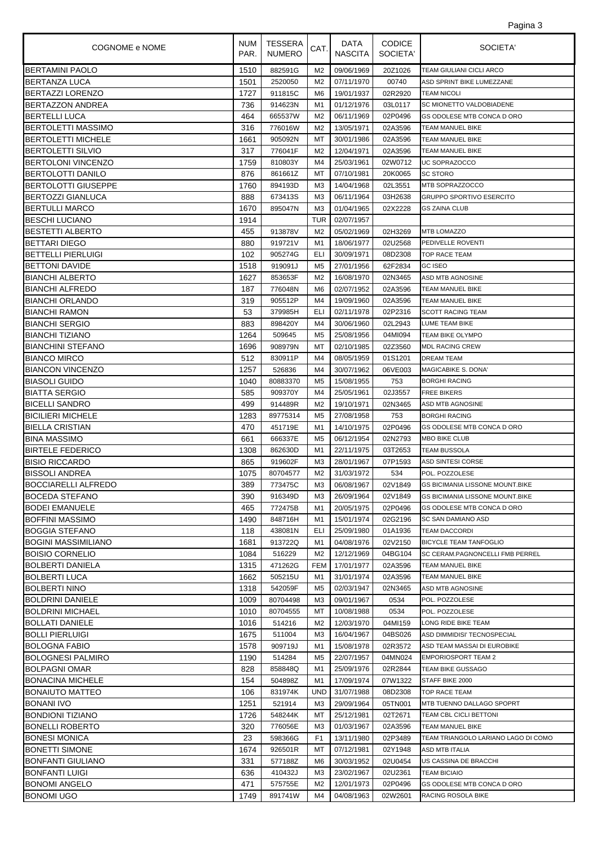| Pagina 3 |  |
|----------|--|
|          |  |

| <b>COGNOME e NOME</b>      | <b>NUM</b><br>PAR. | <b>TESSERA</b><br><b>NUMERO</b> | CAT.           | DATA<br><b>NASCITA</b> | <b>CODICE</b><br>SOCIETA' | SOCIETA'                                |
|----------------------------|--------------------|---------------------------------|----------------|------------------------|---------------------------|-----------------------------------------|
| <b>BERTAMINI PAOLO</b>     | 1510               | 882591G                         | M <sub>2</sub> | 09/06/1969             | 20Z1026                   | TEAM GIULIANI CICLI ARCO                |
| <b>BERTANZA LUCA</b>       | 1501               | 2520050                         | M <sub>2</sub> | 07/11/1970             | 00740                     | ASD SPRINT BIKE LUMEZZANE               |
| BERTAZZI LORENZO           | 1727               | 911815C                         | M6             | 19/01/1937             | 02R2920                   | TEAM NICOLI                             |
| BERTAZZON ANDREA           | 736                | 914623N                         | M1             | 01/12/1976             | 03L0117                   | SC MIONETTO VALDOBIADENE                |
| <b>BERTELLI LUCA</b>       | 464                | 665537W                         | M <sub>2</sub> | 06/11/1969             | 02P0496                   | GS ODOLESE MTB CONCA D ORO              |
| <b>BERTOLETTI MASSIMO</b>  | 316                | 776016W                         | M <sub>2</sub> | 13/05/1971             | 02A3596                   | TEAM MANUEL BIKE                        |
| <b>BERTOLETTI MICHELE</b>  | 1661               | 905092N                         | МT             | 30/01/1986             | 02A3596                   | TEAM MANUEL BIKE                        |
| BERTOLETTI SILVIO          | 317                | 776041F                         | M <sub>2</sub> | 12/04/1971             | 02A3596                   | <b>TEAM MANUEL BIKE</b>                 |
| <b>BERTOLONI VINCENZO</b>  | 1759               | 810803Y                         | M4             | 25/03/1961             | 02W0712                   | UC SOPRAZOCCO                           |
| BERTOLOTTI DANILO          | 876                | 861661Z                         | МT             | 07/10/1981             | 20K0065                   | <b>SC STORO</b>                         |
| BERTOLOTTI GIUSEPPE        | 1760               | 894193D                         | MЗ             | 14/04/1968             | 02L3551                   | MTB SOPRAZZOCCO                         |
| <b>BERTOZZI GIANLUCA</b>   | 888                | 673413S                         | MЗ             | 06/11/1964             | 03H2638                   | <b>GRUPPO SPORTIVO ESERCITO</b>         |
| <b>BERTULLI MARCO</b>      | 1670               | 895047N                         | M3             | 01/04/1965             | 02X2228                   | <b>GS ZAINA CLUB</b>                    |
| <b>BESCHI LUCIANO</b>      | 1914               |                                 | <b>TUR</b>     | 02/07/1957             |                           |                                         |
| <b>BESTETTI ALBERTO</b>    | 455                | 913878V                         | M <sub>2</sub> | 05/02/1969             | 02H3269                   | <b>MTB LOMAZZO</b>                      |
| <b>BETTARI DIEGO</b>       | 880                | 919721V                         | M1             | 18/06/1977             | 02U2568                   | PEDIVELLE ROVENTI                       |
| <b>BETTELLI PIERLUIGI</b>  | 102                | 905274G                         | ELI            | 30/09/1971             | 08D2308                   | <b>TOP RACE TEAM</b>                    |
| <b>BETTONI DAVIDE</b>      | 1518               | 919091J                         | M <sub>5</sub> | 27/01/1956             | 62F2834                   | <b>GC ISEO</b>                          |
| <b>BIANCHI ALBERTO</b>     | 1627               | 853653F                         | M <sub>2</sub> | 16/08/1970             | 02N3465                   | <b>ASD MTB AGNOSINE</b>                 |
| <b>BIANCHI ALFREDO</b>     | 187                | 776048N                         | M6             | 02/07/1952             | 02A3596                   | TEAM MANUEL BIKE                        |
| <b>BIANCHI ORLANDO</b>     | 319                | 905512P                         | M4             | 19/09/1960             | 02A3596                   | <b>TEAM MANUEL BIKE</b>                 |
| <b>BIANCHI RAMON</b>       | 53                 | 379985H                         | ELI            | 02/11/1978             | 02P2316                   | <b>SCOTT RACING TEAM</b>                |
| <b>BIANCHI SERGIO</b>      | 883                | 898420Y                         | M4             | 30/06/1960             | 02L2943                   | <b>LUME TEAM BIKE</b>                   |
| <b>BIANCHI TIZIANO</b>     | 1264               | 509645                          | M <sub>5</sub> | 25/08/1956             | 04MI094                   | TEAM BIKE OLYMPO                        |
| BIANCHINI STEFANO          | 1696               | 908979N                         | МT             | 02/10/1985             | 02Z3560                   | <b>MDL RACING CREW</b>                  |
| <b>BIANCO MIRCO</b>        | 512                | 830911P                         | M4             | 08/05/1959             | 01S1201                   | <b>DREAM TEAM</b>                       |
| <b>BIANCON VINCENZO</b>    | 1257               | 526836                          | M4             | 30/07/1962             | 06VE003                   | MAGICABIKE S. DONA'                     |
| <b>BIASOLI GUIDO</b>       | 1040               | 80883370                        | M5             | 15/08/1955             | 753                       | <b>BORGHI RACING</b>                    |
| <b>BIATTA SERGIO</b>       | 585                | 909370Y                         | M4             | 25/05/1961             | 02J3557                   | <b>FREE BIKERS</b>                      |
| <b>BICELLI SANDRO</b>      | 499                | 914489R                         | M <sub>2</sub> | 19/10/1971             | 02N3465                   | ASD MTB AGNOSINE                        |
| <b>BICILIERI MICHELE</b>   | 1283               | 89775314                        | M <sub>5</sub> | 27/08/1958             | 753                       | <b>BORGHI RACING</b>                    |
| <b>BIELLA CRISTIAN</b>     | 470                | 451719E                         | M1             | 14/10/1975             | 02P0496                   | GS ODOLESE MTB CONCA D ORO              |
| <b>BINA MASSIMO</b>        | 661                | 666337E                         | M5             | 06/12/1954             | 02N2793                   | MBO BIKE CLUB                           |
| <b>BIRTELE FEDERICO</b>    | 1308               | 862630D                         | M1             | 22/11/1975             | 03T2653                   | TEAM BUSSOLA                            |
| <b>BISIO RICCARDO</b>      | 865                | 919602F                         | M3             | 28/01/1967             | 07P1593                   | ASD SINTESI CORSE                       |
| <b>BISSOLI ANDREA</b>      | 1075               | 80704577                        | M <sub>2</sub> | 31/03/1972             | 534                       | POL. POZZOLESE                          |
| <b>BOCCIARELLI ALFREDO</b> | 389                | 773475C                         |                | M3 06/08/1967          |                           | 02V1849 GS BICIMANIA LISSONE MOUNT.BIKE |
| <b>BOCEDA STEFANO</b>      | 390                | 916349D                         | MЗ             | 26/09/1964             | 02V1849                   | <b>GS BICIMANIA LISSONE MOUNT.BIKE</b>  |
| BODEI EMANUELE             | 465                | 772475B                         | M1             | 20/05/1975             | 02P0496                   | GS ODOLESE MTB CONCA D ORO              |
| IBOFFINI MASSIMO           | 1490               | 848716H                         | M1             | 15/01/1974             | 02G2196                   | SC SAN DAMIANO ASD                      |
| BOGGIA STEFANO             | 118                | 438081N                         | ELI            | 25/09/1980             | 01A1936                   | <b>TEAM DACCORDI</b>                    |
| <b>BOGINI MASSIMILIANO</b> | 1681               | 913722Q                         | M1             | 04/08/1976             | 02V2150                   | <b>BICYCLE TEAM TANFOGLIO</b>           |
| <b>BOISIO CORNELIO</b>     | 1084               | 516229                          | M2             | 12/12/1969             | 04BG104                   | SC CERAM.PAGNONCELLI FMB PERREL         |
| <b>BOLBERTI DANIELA</b>    | 1315               | 471262G                         | <b>FEM</b>     | 17/01/1977             | 02A3596                   | <b>TEAM MANUEL BIKE</b>                 |
| BOLBERTI LUCA              | 1662               | 505215U                         | M1             | 31/01/1974             | 02A3596                   | TEAM MANUEL BIKE                        |
| BOLBERTI NINO              | 1318               | 542059F                         | M5             | 02/03/1947             | 02N3465                   | ASD MTB AGNOSINE                        |
| <b>BOLDRINI DANIELE</b>    | 1009               | 80704498                        | MЗ             | 09/01/1967             | 0534                      | POL. POZZOLESE                          |
| BOLDRINI MICHAEL           | 1010               | 80704555                        | МT             | 10/08/1988             | 0534                      | POL. POZZOLESE                          |
| BOLLATI DANIELE            | 1016               | 514216                          | M2             | 12/03/1970             | 04MI159                   | LONG RIDE BIKE TEAM                     |
| <b>BOLLI PIERLUIGI</b>     | 1675               | 511004                          | MЗ             | 16/04/1967             | 04BS026                   | ASD DIMMIDISI' TECNOSPECIAL             |
| <b>BOLOGNA FABIO</b>       | 1578               | 909719J                         | M1             | 15/08/1978             | 02R3572                   | ASD TEAM MASSAI DI EUROBIKE             |
| <b>BOLOGNESI PALMIRO</b>   | 1190               | 514284                          | M5             | 22/07/1957             | 04MN024                   | <b>EMPORIOSPORT TEAM 2</b>              |
| BOLPAGNI OMAR              | 828                | 858848Q                         | M1             | 25/09/1976             | 02R2844                   | TEAM BIKE GUSSAGO                       |
| BONACINA MICHELE           | 154                | 504898Z                         | M1             | 17/09/1974             | 07W1322                   | STAFF BIKE 2000                         |
| BONAIUTO MATTEO            | 106                | 831974K                         | UND            | 31/07/1988             | 08D2308                   | TOP RACE TEAM                           |
| IBONANI IVO                | 1251               | 521914                          | MЗ             | 29/09/1964             | 05TN001                   | MTB TUENNO DALLAGO SPOPRT               |
| BONDIONI TIZIANO           | 1726               | 548244K                         | МT             | 25/12/1981             | 02T2671                   | TEAM CBL CICLI BETTONI                  |
| BONELLI ROBERTO            | 320                | 776056E                         | MЗ             | 01/03/1967             | 02A3596                   | TEAM MANUEL BIKE                        |
| BONESI MONICA              | 23                 | 598366G                         | F <sub>1</sub> | 13/11/1980             | 02P3489                   | TEAM TRIANGOLO LARIANO LAGO DI COMO     |
| BONETTI SIMONE             | 1674               | 926501R                         | МT             | 07/12/1981             | 02Y1948                   | ASD MTB ITALIA                          |
| <b>BONFANTI GIULIANO</b>   | 331                | 577188Z                         | M6             | 30/03/1952             | 02U0454                   | US CASSINA DE BRACCHI                   |
| BONFANTI LUIGI             | 636                | 410432J                         | MЗ             | 23/02/1967             | 02U2361                   | TEAM BICIAIO                            |
| <b>BONOMI ANGELO</b>       | 471                | 575755E                         | M2             | 12/01/1973             | 02P0496                   | GS ODOLESE MTB CONCA D ORO              |
| <b>BONOMI UGO</b>          | 1749               | 891741W                         | M4             | 04/08/1963             | 02W2601                   | RACING ROSOLA BIKE                      |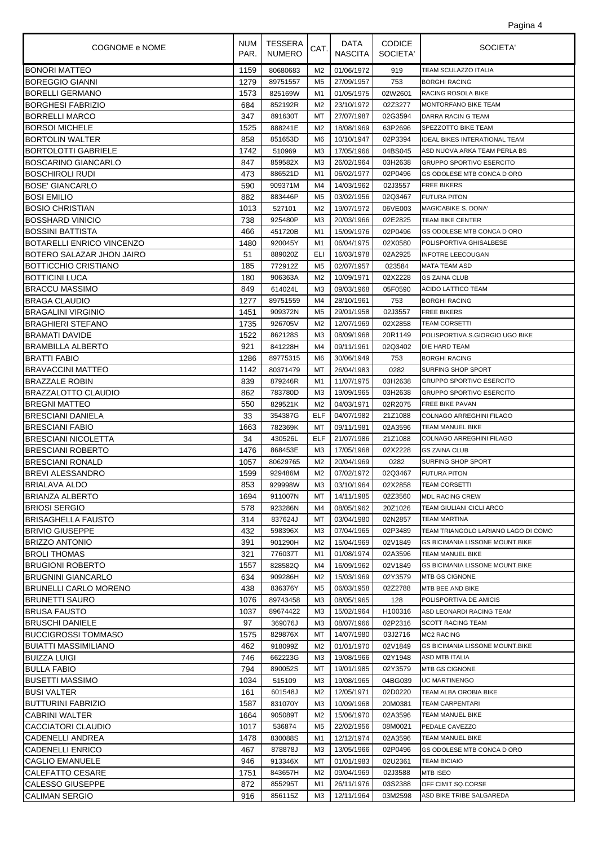| Pagina 4 |  |
|----------|--|
|          |  |

| <b>COGNOME e NOME</b>            | <b>NUM</b><br>PAR. | TESSERA<br><b>NUMERO</b> | CAT.           | DATA<br><b>NASCITA</b> | <b>CODICE</b><br>SOCIETA' | SOCIETA'                               |
|----------------------------------|--------------------|--------------------------|----------------|------------------------|---------------------------|----------------------------------------|
| <b>BONORI MATTEO</b>             | 1159               | 80680683                 | M2             | 01/06/1972             | 919                       | TEAM SCULAZZO ITALIA                   |
| <b>BOREGGIO GIANNI</b>           | 1279               | 89751557                 | M <sub>5</sub> | 27/09/1957             | 753                       | <b>BORGHI RACING</b>                   |
| <b>BORELLI GERMANO</b>           | 1573               | 825169W                  | M1             | 01/05/1975             | 02W2601                   | <b>RACING ROSOLA BIKE</b>              |
| <b>BORGHESI FABRIZIO</b>         | 684                | 852192R                  | M <sub>2</sub> | 23/10/1972             | 02Z3277                   | MONTORFANO BIKE TEAM                   |
| <b>BORRELLI MARCO</b>            | 347                | 891630T                  | МT             | 27/07/1987             | 02G3594                   | DARRA RACIN G TEAM                     |
| <b>BORSOI MICHELE</b>            | 1525               | 888241E                  | M <sub>2</sub> | 18/08/1969             | 63P2696                   | SPEZZOTTO BIKE TEAM                    |
| <b>BORTOLIN WALTER</b>           | 858                | 851653D                  | M6             | 10/10/1947             | 02P3394                   | <b>IDEAL BIKES INTERATIONAL TEAM</b>   |
| <b>BORTOLOTTI GABRIELE</b>       | 1742               | 510969                   | M <sub>3</sub> | 17/05/1966             | 04BS045                   | ASD NUOVA ARKA TEAM PERLA BS           |
| <b>BOSCARINO GIANCARLO</b>       | 847                | 859582X                  | MЗ             | 26/02/1964             | 03H2638                   | <b>GRUPPO SPORTIVO ESERCITO</b>        |
| <b>BOSCHIROLI RUDI</b>           | 473                | 886521D                  | M1             | 06/02/1977             | 02P0496                   | GS ODOLESE MTB CONCA D ORO             |
| <b>BOSE' GIANCARLO</b>           | 590                | 909371M                  | M4             | 14/03/1962             | 02J3557                   | <b>FREE BIKERS</b>                     |
| <b>BOSI EMILIO</b>               | 882                | 883446P                  | M <sub>5</sub> | 03/02/1956             | 02Q3467                   | <b>FUTURA PITON</b>                    |
| <b>BOSIO CHRISTIAN</b>           | 1013               | 527101                   | M <sub>2</sub> | 19/07/1972             | 06VE003                   | <b>MAGICABIKE S. DONA'</b>             |
| <b>BOSSHARD VINICIO</b>          | 738                | 925480P                  | M3             | 20/03/1966             | 02E2825                   | <b>TEAM BIKE CENTER</b>                |
| <b>BOSSINI BATTISTA</b>          | 466                | 451720B                  | M1             | 15/09/1976             | 02P0496                   | GS ODOLESE MTB CONCA D ORO             |
| <b>BOTARELLI ENRICO VINCENZO</b> | 1480               | 920045Y                  | M1             | 06/04/1975             | 02X0580                   | POLISPORTIVA GHISALBESE                |
| BOTERO SALAZAR JHON JAIRO        | 51                 | 889020Z                  | ELI            | 16/03/1978             | 02A2925                   | <b>INFOTRE LEECOUGAN</b>               |
| <b>BOTTICCHIO CRISTIANO</b>      | 185                | 772912Z                  | M <sub>5</sub> | 02/07/1957             | 023584                    | <b>MATA TEAM ASD</b>                   |
| <b>BOTTICINI LUCA</b>            | 180                | 906363A                  | M <sub>2</sub> | 10/09/1971             | 02X2228                   | <b>GS ZAINA CLUB</b>                   |
| <b>BRACCU MASSIMO</b>            | 849                | 614024L                  | MЗ             | 09/03/1968             | 05F0590                   | ACIDO LATTICO TEAM                     |
| <b>BRAGA CLAUDIO</b>             | 1277               | 89751559                 | M4             | 28/10/1961             | 753                       | <b>BORGHI RACING</b>                   |
| <b>BRAGALINI VIRGINIO</b>        | 1451               | 909372N                  | M5             | 29/01/1958             | 02J3557                   | <b>FREE BIKERS</b>                     |
| <b>BRAGHIERI STEFANO</b>         | 1735               | 926705V                  | M <sub>2</sub> | 12/07/1969             | 02X2858                   | TEAM CORSETTI                          |
| <b>BRAMATI DAVIDE</b>            | 1522               | 862128S                  | M3             | 08/09/1968             | 20R1149                   | POLISPORTIVA S.GIORGIO UGO BIKE        |
| <b>BRAMBILLA ALBERTO</b>         | 921                | 841228H                  | M4             | 09/11/1961             | 02Q3402                   | DIE HARD TEAM                          |
| <b>BRATTI FABIO</b>              | 1286               | 89775315                 | M6             | 30/06/1949             | 753                       | <b>BORGHI RACING</b>                   |
| <b>BRAVACCINI MATTEO</b>         | 1142               | 80371479                 | МT             | 26/04/1983             | 0282                      | SURFING SHOP SPORT                     |
| <b>BRAZZALE ROBIN</b>            | 839                | 879246R                  | M1             | 11/07/1975             | 03H2638                   | <b>GRUPPO SPORTIVO ESERCITO</b>        |
| BRAZZALOTTO CLAUDIO              | 862                | 783780D                  | M3             | 19/09/1965             | 03H2638                   | <b>GRUPPO SPORTIVO ESERCITO</b>        |
| <b>BREGNI MATTEO</b>             | 550                | 829521K                  | M <sub>2</sub> | 04/03/1971             | 02R2075                   | FREE BIKE PAVAN                        |
| <b>BRESCIANI DANIELA</b>         | 33                 | 354387G                  | <b>ELF</b>     | 04/07/1982             | 21Z1088                   | COLNAGO ARREGHINI FILAGO               |
| <b>BRESCIANI FABIO</b>           | 1663               | 782369K                  | МT             | 09/11/1981             | 02A3596                   | TEAM MANUEL BIKE                       |
| <b>BRESCIANI NICOLETTA</b>       | 34                 | 430526L                  | ELF            | 21/07/1986             | 21Z1088                   | COLNAGO ARREGHINI FILAGO               |
| <b>BRESCIANI ROBERTO</b>         | 1476               | 868453E                  | MЗ             | 17/05/1968             | 02X2228                   | <b>GS ZAINA CLUB</b>                   |
| <b>BRESCIANI RONALD</b>          | 1057               | 80629765                 | M <sub>2</sub> | 20/04/1969             | 0282                      | SURFING SHOP SPORT                     |
| <b>BREVI ALESSANDRO</b>          | 1599               | 929486M                  | M2             | 07/02/1972             | 02Q3467                   | <b>FUTURA PITON</b>                    |
| <b>BRIALAVA ALDO</b>             | 853                | 929998W                  | M3             | 03/10/1964             |                           | 02X2858 TEAM CORSETTI                  |
| BRIANZA ALBERTO                  | 1694               | 911007N                  | МT             | 14/11/1985             | 02Z3560                   | <b>MDL RACING CREW</b>                 |
| <b>BRIOSI SERGIO</b>             | 578                | 923286N                  | M4             | 08/05/1962             | 20Z1026                   | TEAM GIULIANI CICLI ARCO               |
| <b>BRISAGHELLA FAUSTO</b>        | 314                | 837624J                  | МT             | 03/04/1980             | 02N2857                   | <b>TEAM MARTINA</b>                    |
| <b>BRIVIO GIUSEPPE</b>           | 432                | 598396X                  | M3             | 07/04/1965             | 02P3489                   | TEAM TRIANGOLO LARIANO LAGO DI COMO    |
| <b>BRIZZO ANTONIO</b>            | 391                | 901290H                  | M <sub>2</sub> | 15/04/1969             | 02V1849                   | GS BICIMANIA LISSONE MOUNT.BIKE        |
| <b>BROLI THOMAS</b>              | 321                | 776037T                  | M1             | 01/08/1974             | 02A3596                   | TEAM MANUEL BIKE                       |
| <b>BRUGIONI ROBERTO</b>          | 1557               | 828582Q                  | M4             | 16/09/1962             | 02V1849                   | GS BICIMANIA LISSONE MOUNT.BIKE        |
| <b>BRUGNINI GIANCARLO</b>        | 634                | 909286H                  | M2             | 15/03/1969             | 02Y3579                   | <b>MTB GS CIGNONE</b>                  |
| <b>BRUNELLI CARLO MORENO</b>     | 438                | 836376Y                  | M <sub>5</sub> | 06/03/1958             | 02Z2788                   | MTB BEE AND BIKE                       |
| <b>BRUNETTI SAURO</b>            | 1076               | 89743458                 | M3             | 08/05/1965             | 128                       | POLISPORTIVA DE AMICIS                 |
| <b>BRUSA FAUSTO</b>              | 1037               | 89674422                 | M3             | 15/02/1964             | H100316                   | ASD LEONARDI RACING TEAM               |
| <b>BRUSCHI DANIELE</b>           | 97                 | 369076J                  | M3             | 08/07/1966             | 02P2316                   | <b>SCOTT RACING TEAM</b>               |
| <b>BUCCIGROSSI TOMMASO</b>       | 1575               | 829876X                  | МT             | 14/07/1980             | 03J2716                   | <b>MC2 RACING</b>                      |
| <b>BUIATTI MASSIMILIANO</b>      | 462                | 918099Z                  | M2             | 01/01/1970             | 02V1849                   | <b>GS BICIMANIA LISSONE MOUNT.BIKE</b> |
| <b>BUIZZA LUIGI</b>              | 746                | 662223G                  | M3             | 19/08/1966             | 02Y1948                   | ASD MTB ITALIA                         |
| <b>BULLA FABIO</b>               | 794                | 890052S                  | МT             | 19/01/1985             | 02Y3579                   | <b>MTB GS CIGNONE</b>                  |
| <b>BUSETTI MASSIMO</b>           | 1034               | 515109                   | M3             | 19/08/1965             | 04BG039                   | UC MARTINENGO                          |
| <b>BUSI VALTER</b>               | 161                | 601548J                  | M <sub>2</sub> | 12/05/1971             | 02D0220                   | TEAM ALBA OROBIA BIKE                  |
| <b>BUTTURINI FABRIZIO</b>        | 1587               | 831070Y                  | ΜЗ             | 10/09/1968             | 20M0381                   | TEAM CARPENTARI                        |
| <b>CABRINI WALTER</b>            | 1664               | 905089T                  | M <sub>2</sub> | 15/06/1970             | 02A3596                   | TEAM MANUEL BIKE                       |
| CACCIATORI CLAUDIO               | 1017               | 536874                   | M <sub>5</sub> | 22/02/1956             | 08M0021                   | PEDALE CAVEZZO                         |
| CADENELLI ANDREA                 | 1478               | 830088S                  | M1             | 12/12/1974             | 02A3596                   | TEAM MANUEL BIKE                       |
| <b>CADENELLI ENRICO</b>          | 467                | 878878J                  | M3             | 13/05/1966             | 02P0496                   | GS ODOLESE MTB CONCA D ORO             |
| <b>CAGLIO EMANUELE</b>           | 946                | 913346X                  | МT             | 01/01/1983             | 02U2361                   | <b>TEAM BICIAIO</b>                    |
| CALEFATTO CESARE                 | 1751               | 843657H                  | M2             | 09/04/1969             | 02J3588                   | MTB ISEO                               |
| <b>CALESSO GIUSEPPE</b>          | 872                | 855295T                  | M1             | 26/11/1976             | 03S2388                   | OFF CIMIT SQ.CORSE                     |
| <b>CALIMAN SERGIO</b>            | 916                | 856115Z                  | MЗ             | 12/11/1964             | 03M2598                   | ASD BIKE TRIBE SALGAREDA               |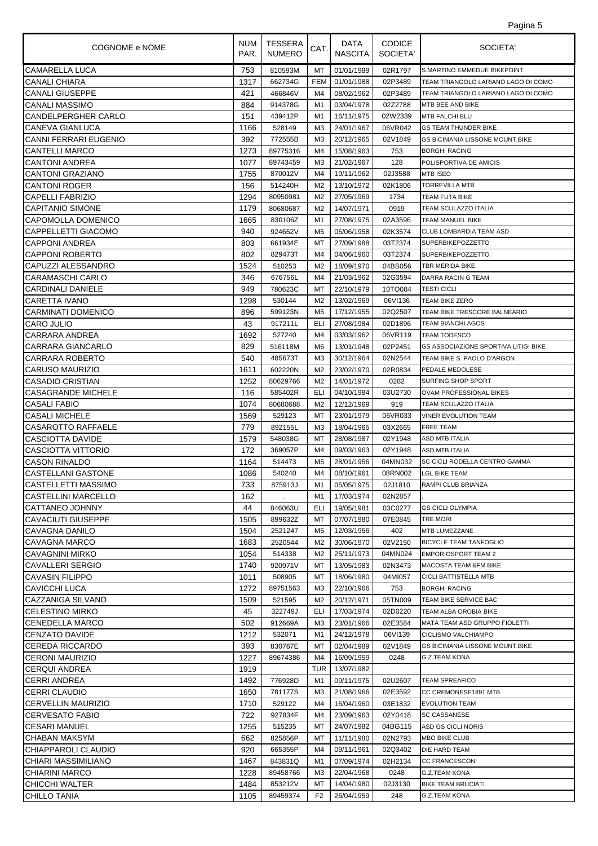| Pagina 5 |  |
|----------|--|
|          |  |

| <b>COGNOME e NOME</b>     | <b>NUM</b><br>PAR. | <b>TESSERA</b><br><b>NUMERO</b> | CAT.           | DATA<br><b>NASCITA</b> | <b>CODICE</b><br>SOCIETA' | SOCIETA'                                    |
|---------------------------|--------------------|---------------------------------|----------------|------------------------|---------------------------|---------------------------------------------|
| CAMARELLA LUCA            | 753                | 810593M                         | МT             | 01/01/1989             | 02R1797                   | <b>S.MARTINO EMMEDUE BIKEPOINT</b>          |
| CANALI CHIARA             | 1317               | 662734G                         | <b>FEM</b>     | 01/01/1988             | 02P3489                   | TEAM TRIANGOLO LARIANO LAGO DI COMO         |
| <b>CANALI GIUSEPPE</b>    | 421                | 466846V                         | M4             | 08/02/1962             | 02P3489                   | TEAM TRIANGOLO LARIANO LAGO DI COMO         |
| <b>CANALI MASSIMO</b>     | 884                | 914378G                         | M1             | 03/04/1978             | 02Z2788                   | MTB BEE AND BIKE                            |
| CANDELPERGHER CARLO       | 151                | 439412P                         | M1             | 16/11/1975             | 02W2339                   | <b>MTB FALCHI BLU</b>                       |
| <b>CANEVA GIANLUCA</b>    | 1166               | 528149                          | MЗ             | 24/01/1967             | 06VR042                   | <b>GS TEAM THUNDER BIKE</b>                 |
| CANNI FERRARI EUGENIO     | 392                | 772555B                         | M <sub>3</sub> | 20/12/1965             | 02V1849                   | <b>GS BICIMANIA LISSONE MOUNT.BIKE</b>      |
| <b>CANTELLI MARCO</b>     | 1273               | 89775316                        | M <sub>4</sub> | 15/08/1963             | 753                       | <b>BORGHI RACING</b>                        |
| <b>CANTONI ANDREA</b>     | 1077               | 89743459                        | M <sub>3</sub> | 21/02/1967             | 128                       | POLISPORTIVA DE AMICIS                      |
| <b>CANTONI GRAZIANO</b>   | 1755               | 870012V                         | M4             | 19/11/1962             | 02J3588                   | <b>MTB ISEO</b>                             |
| <b>CANTONI ROGER</b>      | 156                | 514240H                         | M2             | 13/10/1972             | 02K1806                   | <b>TORREVILLA MTB</b>                       |
| <b>CAPELLI FABRIZIO</b>   | 1294               | 80950981                        | M <sub>2</sub> | 27/05/1969             | 1734                      | TEAM FUTA BIKE                              |
| <b>CAPITANIO SIMONE</b>   | 1179               | 80680687                        | M <sub>2</sub> | 14/07/1971             | 0919                      | TEAM SCULAZZO ITALIA                        |
| CAPOMOLLA DOMENICO        | 1665               | 830106Z                         | M1             | 27/08/1975             | 02A3596                   | <b>TEAM MANUEL BIKE</b>                     |
| CAPPELLETTI GIACOMO       | 940                | 924652V                         | M <sub>5</sub> | 05/06/1958             | 02K3574                   | CLUB LOMBARDIA TEAM ASD                     |
| <b>CAPPONI ANDREA</b>     | 803                | 661934E                         | МT             | 27/09/1988             | 03T2374                   | <b>SUPERBIKEPOZZETTO</b>                    |
| <b>CAPPONI ROBERTO</b>    | 802                | 829473T                         | M4             | 04/06/1960             | 03T2374                   | <b>SUPERBIKEPOZZETTO</b>                    |
| CAPUZZI ALESSANDRO        | 1524               | 510253                          | M <sub>2</sub> | 18/09/1970             | 04BS056                   | <b>TBR MERIDA BIKE</b>                      |
| <b>CARAMASCHI CARLO</b>   | 346                | 676756L                         | M4             | 21/03/1962             | 02G3594                   | <b>DARRA RACIN G TEAM</b>                   |
| <b>CARDINALI DANIELE</b>  | 949                | 780623C                         | MT             | 22/10/1979             | 10TO084                   | <b>TESTI CICLI</b>                          |
| <b>CARETTA IVANO</b>      | 1298               | 530144                          | M <sub>2</sub> | 13/02/1969             | 06VI136                   | <b>TEAM BIKE ZERO</b>                       |
| <b>CARMINATI DOMENICO</b> | 896                | 599123N                         | M5             | 17/12/1955             | 02Q2507                   | TEAM BIKE TRESCORE BALNEARIO                |
| CARO JULIO                | 43                 | 917211L                         | ELI            | 27/08/1984             | 02D1896                   | <b>TEAM BIANCHI AGOS</b>                    |
| CARRARA ANDREA            | 1692               | 527240                          | M4             | 03/03/1962             | 06VR119                   | <b>TEAM TODESCO</b>                         |
| CARRARA GIANCARLO         | 829                | 516118M                         | M <sub>6</sub> | 13/01/1948             | 02P2451                   | <b>GS ASSOCIAZIONE SPORTIVA LITIGI BIKE</b> |
| CARRARA ROBERTO           | 540                | 485673T                         | M <sub>3</sub> | 30/12/1964             | 02N2544                   | TEAM BIKE S. PAOLO D'ARGON                  |
| CARUSO MAURIZIO           | 1611               | 602220N                         | M <sub>2</sub> | 23/02/1970             | 02R0834                   | PEDALE MEDOLESE                             |
| CASADIO CRISTIAN          | 1252               | 80629766                        | M2             | 14/01/1972             | 0282                      | SURFING SHOP SPORT                          |
| <b>CASAGRANDE MICHELE</b> | 116                | 585402R                         | ELI            | 04/10/1984             | 03U2730                   | OVAM PROFESSIONAL BIKES                     |
| <b>CASALI FABIO</b>       | 1074               | 80680688                        | M <sub>2</sub> | 12/12/1969             | 919                       | TEAM SCULAZZO ITALIA                        |
| <b>CASALI MICHELE</b>     | 1569               | 529123                          | МT             | 23/01/1979             | 06VR033                   | <b>VINER EVOLUTION TEAM</b>                 |
| CASAROTTO RAFFAELE        | 779                | 892155L                         | M <sub>3</sub> | 18/04/1965             | 03X2665                   | <b>FREE TEAM</b>                            |
| CASCIOTTA DAVIDE          | 1579               | 548038G                         | МT             | 28/08/1987             | 02Y1948                   | <b>ASD MTB ITALIA</b>                       |
| CASCIOTTA VITTORIO        | 172                | 369057P                         | M4             | 09/03/1963             | 02Y1948                   | ASD MTB ITALIA                              |
| <b>CASON RINALDO</b>      | 1164               | 514473                          | M <sub>5</sub> | 28/01/1956             | 04MN032                   | SC CICLI RODELLA CENTRO GAMMA               |
| <b>CASTELLANI GASTONE</b> | 1086               | 540240                          | M4             | 08/10/1961             | 08RN002                   | <b>LGL BIKE TEAM</b>                        |
| CASTELLETTI MASSIMO       | 733                | 875913J                         | M1             | 05/05/1975             |                           | 02J1810 RAMPI CLUB BRIANZA                  |
| CASTELLINI MARCELLO       | 162                |                                 | M1             | 17/03/1974             | 02N2857                   |                                             |
| CATTANEO JOHNNY           | 44                 | 846063U                         | ELI            | 19/05/1981             | 03C0277                   | <b>GS CICLI OLYMPIA</b>                     |
| CAVACIUTI GIUSEPPE        | 1505               | 899632Z                         | МT             | 07/07/1980             | 07E0845                   | <b>TRE MORI</b>                             |
| CAVAGNA DANILO            | 1504               | 2521247                         | M <sub>5</sub> | 12/03/1956             | 402                       | MTB LUMEZZANE                               |
| CAVAGNA MARCO             | 1683               | 2520544                         | M <sub>2</sub> | 30/06/1970             | 02V2150                   | <b>BICYCLE TEAM TANFOGLIO</b>               |
| CAVAGNINI MIRKO           | 1054               | 514338                          | M2             | 25/11/1973             | 04MN024                   | <b>EMPORIOSPORT TEAM 2</b>                  |
| <b>CAVALLERI SERGIO</b>   | 1740               | 920971V                         | МT             | 13/05/1983             | 02N3473                   | <b>MACOSTA TEAM &amp;FM BIKE</b>            |
| CAVASIN FILIPPO           | 1011               | 508905                          | МT             | 18/06/1980             | 04MI057                   | <b>CICLI BATTISTELLA MTB</b>                |
| CAVICCHI LUCA             | 1272               | 89751563                        | MЗ             | 22/10/1966             | 753                       | <b>BORGHI RACING</b>                        |
| CAZZANIGA SILVANO         | 1509               | 521595                          | M <sub>2</sub> | 20/12/1971             | 05TN009                   | TEAM BIKE SERVICE BAC                       |
| <b>CELESTINO MIRKO</b>    | 45                 | 322749J                         | ELI            | 17/03/1974             | 02D0220                   | TEAM ALBA OROBIA BIKE                       |
| <b>CENEDELLA MARCO</b>    | 502                | 912669A                         | MЗ             | 23/01/1966             | 02E3584                   | MATA TEAM ASD GRUPPO FIOLETTI               |
| <b>CENZATO DAVIDE</b>     | 1212               | 532071                          | M1             | 24/12/1978             | 06VI139                   | <b>CICLISMO VALCHIAMPO</b>                  |
| <b>CEREDA RICCARDO</b>    | 393                | 830767E                         | МT             | 02/04/1989             | 02V1849                   | <b>GS BICIMANIA LISSONE MOUNT.BIKE</b>      |
| <b>CERONI MAURIZIO</b>    | 1227               | 89674386                        | M4             | 16/09/1959             | 0248                      | G.Z.TEAM KONA                               |
| <b>CERQUI ANDREA</b>      | 1919               |                                 | <b>TUR</b>     | 13/07/1982             |                           |                                             |
| CERRI ANDREA              | 1492               | 776928D                         | M1             | 09/11/1975             | 02U2607                   | <b>TEAM SPREAFICO</b>                       |
| CERRI CLAUDIO             | 1650               | 781177S                         | MЗ             | 21/08/1966             | 02E3592                   | CC CREMONESE1891 MTB                        |
| CERVELLIN MAURIZIO        | 1710               | 529122                          | M4             | 16/04/1960             | 03E1832                   | <b>EVOLUTION TEAM</b>                       |
| <b>CERVESATO FABIO</b>    | 722                | 927834F                         | M4             | 23/09/1963             | 02Y0418                   | <b>SC CASSANESE</b>                         |
| <b>CESARI MANUEL</b>      | 1255               | 515235                          | МT             | 24/07/1982             | 04BG115                   | ASD GS CICLI NORIS                          |
| CHABAN MAKSYM             | 662                | 825856P                         | МT             | 11/11/1980             | 02N2793                   | <b>MBO BIKE CLUB</b>                        |
| CHIAPPAROLI CLAUDIO       | 920                | 665355P                         | M4             | 09/11/1961             | 02Q3402                   | DIE HARD TEAM                               |
| CHIARI MASSIMILIANO       | 1467               | 843831Q                         | M1             | 07/09/1974             | 02H2134                   | <b>CC FRANCESCONI</b>                       |
| CHIARINI MARCO            | 1228               | 89458766                        | MЗ             | 22/04/1968             | 0248                      | G.Z.TEAM KONA                               |
| CHICCHI WALTER            | 1484               | 853212V                         | МT             | 14/04/1980             | 02J3130                   | <b>BIKE TEAM BRUCIATI</b>                   |
| <b>CHILLO TANIA</b>       | 1105               | 89459374                        | F <sub>2</sub> | 26/04/1959             | 248                       | G.Z.TEAM KONA                               |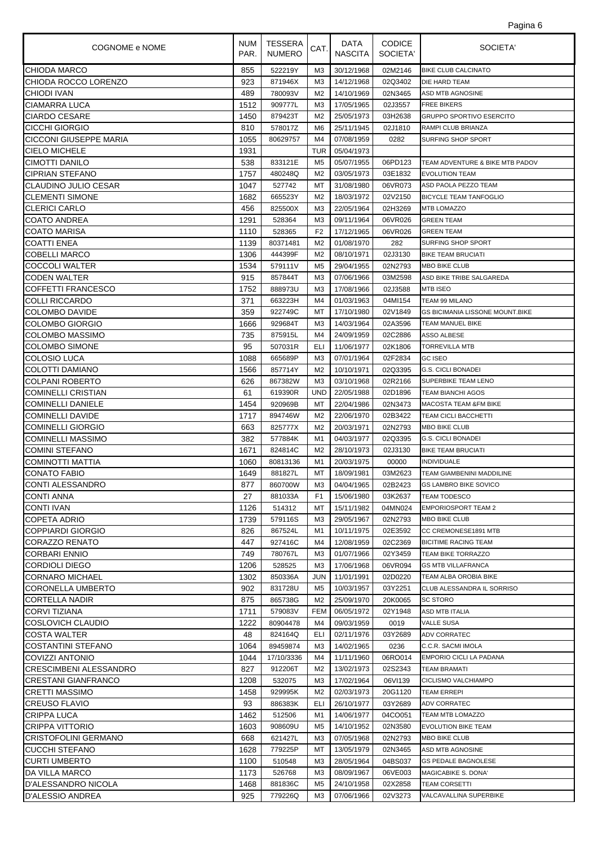| Pagina 6 |  |
|----------|--|
|          |  |

| COGNOME e NOME                | NUM<br>PAR. | TESSERA<br><b>NUMERO</b> | CAT.           | DATA<br><b>NASCITA</b> | <b>CODICE</b><br>SOCIETA' | SOCIETA'                               |
|-------------------------------|-------------|--------------------------|----------------|------------------------|---------------------------|----------------------------------------|
| <b>CHIODA MARCO</b>           | 855         | 522219Y                  | MЗ             | 30/12/1968             | 02M2146                   | <b>BIKE CLUB CALCINATO</b>             |
| CHIODA ROCCO LORENZO          | 923         | 871946X                  | M3             | 14/12/1968             | 02Q3402                   | DIE HARD TEAM                          |
| <b>CHIODI IVAN</b>            | 489         | 780093V                  | M <sub>2</sub> | 14/10/1969             | 02N3465                   | <b>ASD MTB AGNOSINE</b>                |
| <b>CIAMARRA LUCA</b>          | 1512        | 909777L                  | M3             | 17/05/1965             | 02J3557                   | <b>FREE BIKERS</b>                     |
| <b>CIARDO CESARE</b>          | 1450        | 879423T                  | M <sub>2</sub> | 25/05/1973             | 03H2638                   | <b>GRUPPO SPORTIVO ESERCITO</b>        |
| CICCHI GIORGIO                | 810         | 578017Z                  | M6             | 25/11/1945             | 02J1810                   | RAMPI CLUB BRIANZA                     |
| <b>CICCONI GIUSEPPE MARIA</b> | 1055        | 80629757                 | M4             | 07/08/1959             | 0282                      | SURFING SHOP SPORT                     |
| <b>CIELO MICHELE</b>          | 1931        |                          | TUR            | 05/04/1973             |                           |                                        |
| CIMOTTI DANILO                | 538         | 833121E                  | M5             | 05/07/1955             | 06PD123                   | TEAM ADVENTURE & BIKE MTB PADOV        |
| <b>CIPRIAN STEFANO</b>        | 1757        | 480248Q                  | M <sub>2</sub> | 03/05/1973             | 03E1832                   | <b>EVOLUTION TEAM</b>                  |
| CLAUDINO JULIO CESAR          | 1047        | 527742                   | МT             | 31/08/1980             | 06VR073                   | ASD PAOLA PEZZO TEAM                   |
| <b>CLEMENTI SIMONE</b>        | 1682        | 665523Y                  | M2             | 18/03/1972             | 02V2150                   | <b>BICYCLE TEAM TANFOGLIO</b>          |
| <b>CLERICI CARLO</b>          | 456         | 825500X                  | M3             | 22/05/1964             | 02H3269                   | MTB LOMAZZO                            |
| <b>COATO ANDREA</b>           | 1291        | 528364                   | M3             | 09/11/1964             | 06VR026                   | <b>GREEN TEAM</b>                      |
| <b>COATO MARISA</b>           | 1110        | 528365                   | F <sub>2</sub> | 17/12/1965             | 06VR026                   | <b>GREEN TEAM</b>                      |
| <b>COATTI ENEA</b>            | 1139        | 80371481                 | M <sub>2</sub> | 01/08/1970             | 282                       | SURFING SHOP SPORT                     |
| <b>COBELLI MARCO</b>          | 1306        | 444399F                  | M <sub>2</sub> | 08/10/1971             | 02J3130                   | <b>BIKE TEAM BRUCIATI</b>              |
| <b>COCCOLI WALTER</b>         | 1534        | 579111V                  | M <sub>5</sub> | 29/04/1955             | 02N2793                   | <b>MBO BIKE CLUB</b>                   |
| <b>CODEN WALTER</b>           | 915         | 857844T                  | M3             | 07/06/1966             | 03M2598                   | ASD BIKE TRIBE SALGAREDA               |
| <b>COFFETTI FRANCESCO</b>     | 1752        | 888973U                  | M <sub>3</sub> | 17/08/1966             | 02J3588                   | <b>MTB ISEO</b>                        |
| <b>COLLI RICCARDO</b>         | 371         | 663223H                  | M4             | 01/03/1963             | 04MI154                   | TEAM 99 MILANO                         |
| COLOMBO DAVIDE                | 359         | 922749C                  | МT             | 17/10/1980             | 02V1849                   | <b>GS BICIMANIA LISSONE MOUNT.BIKE</b> |
| COLOMBO GIORGIO               | 1666        | 929684T                  | ΜЗ             | 14/03/1964             | 02A3596                   | TEAM MANUEL BIKE                       |
| <b>COLOMBO MASSIMO</b>        | 735         | 875915L                  | M4             | 24/09/1959             | 02C2886                   | ASSO ALBESE                            |
| <b>COLOMBO SIMONE</b>         | 95          | 507031R                  | ELI            | 11/06/1977             | 02K1806                   | <b>TORREVILLA MTB</b>                  |
| COLOSIO LUCA                  | 1088        | 665689P                  | M3             | 07/01/1964             | 02F2834                   | <b>GC ISEO</b>                         |
| COLOTTI DAMIANO               | 1566        | 857714Y                  | M <sub>2</sub> | 10/10/1971             | 02Q3395                   | <b>G.S. CICLI BONADEI</b>              |
| <b>COLPANI ROBERTO</b>        | 626         | 867382W                  | M3             | 03/10/1968             | 02R2166                   | SUPERBIKE TEAM LENO                    |
| <b>COMINELLI CRISTIAN</b>     | 61          | 619390R                  | <b>UND</b>     | 22/05/1988             | 02D1896                   | <b>TEAM BIANCHI AGOS</b>               |
| <b>COMINELLI DANIELE</b>      | 1454        | 920969B                  | МT             | 22/04/1986             | 02N3473                   | MACOSTA TEAM &FM BIKE                  |
| <b>COMINELLI DAVIDE</b>       | 1717        | 894746W                  | M <sub>2</sub> | 22/06/1970             | 02B3422                   | <b>TEAM CICLI BACCHETTI</b>            |
| <b>COMINELLI GIORGIO</b>      | 663         | 825777X                  | M <sub>2</sub> | 20/03/1971             | 02N2793                   | <b>MBO BIKE CLUB</b>                   |
| <b>COMINELLI MASSIMO</b>      | 382         | 577884K                  | M1             | 04/03/1977             | 02Q3395                   | <b>G.S. CICLI BONADEI</b>              |
| <b>COMINI STEFANO</b>         | 1671        | 824814C                  | M2             | 28/10/1973             | 02J3130                   | <b>BIKE TEAM BRUCIATI</b>              |
| COMINOTTI MATTIA              | 1060        | 80813136                 | M1             | 20/03/1975             | 00000                     | <b>INDIVIDUALE</b>                     |
| <b>CONATO FABIO</b>           | 1649        | 881827L                  | МT             | 18/09/1981             | 03M2623                   | TEAM GIAMBENINI MADDILINE              |
| CONTI ALESSANDRO              | 877         | 860700W                  | M3             | 04/04/1965             | 02B2423                   | <b>GS LAMBRO BIKE SOVICO</b>           |
| ICONTI ANNA                   | 27          | 881033A                  | F <sub>1</sub> | 15/06/1980             | 03K2637                   | <b>TEAM TODESCO</b>                    |
| <b>CONTI IVAN</b>             | 1126        | 514312                   | МT             | 15/11/1982             | 04MN024                   | <b>EMPORIOSPORT TEAM 2</b>             |
| COPETA ADRIO                  | 1739        | 579116S                  | ΜЗ             | 29/05/1967             | 02N2793                   | <b>MBO BIKE CLUB</b>                   |
| <b>COPPIARDI GIORGIO</b>      | 826         | 867524L                  | M1             | 10/11/1975             | 02E3592                   | CC CREMONESE1891 MTB                   |
| CORAZZO RENATO                | 447         | 927416C                  | M4             | 12/08/1959             | 02C2369                   | <b>BICITIME RACING TEAM</b>            |
| <b>CORBARI ENNIO</b>          | 749         | 780767L                  | M3             | 01/07/1966             | 02Y3459                   | TEAM BIKE TORRAZZO                     |
| <b>CORDIOLI DIEGO</b>         | 1206        | 528525                   | M3             | 17/06/1968             | 06VR094                   | <b>GS MTB VILLAFRANCA</b>              |
| <b>CORNARO MICHAEL</b>        | 1302        | 850336A                  | JUN            | 11/01/1991             | 02D0220                   | TEAM ALBA OROBIA BIKE                  |
| CORONELLA UMBERTO             | 902         | 831728U                  | M5             | 10/03/1957             | 03Y2251                   | CLUB ALESSANDRA IL SORRISO             |
| <b>CORTELLA NADIR</b>         | 875         | 865738G                  | M <sub>2</sub> | 25/09/1970             | 20K0065                   | SC STORO                               |
| CORVI TIZIANA                 | 1711        | 579083V                  | <b>FEM</b>     | 06/05/1972             | 02Y1948                   | <b>ASD MTB ITALIA</b>                  |
| COSLOVICH CLAUDIO             | 1222        | 80904478                 | M4             | 09/03/1959             | 0019                      | <b>VALLE SUSA</b>                      |
| <b>COSTA WALTER</b>           | 48          | 824164Q                  | ELI            | 02/11/1976             | 03Y2689                   | <b>ADV CORRATEC</b>                    |
| <b>COSTANTINI STEFANO</b>     | 1064        | 89459874                 | ΜЗ             | 14/02/1965             | 0236                      | C.C.R. SACMI IMOLA                     |
| COVIZZI ANTONIO               | 1044        | 17/10/3336               | M4             | 11/11/1960             | 06RO014                   | EMPORIO CICLI LA PADANA                |
| <b>CRESCIMBENI ALESSANDRO</b> | 827         | 912206T                  | M <sub>2</sub> | 13/02/1973             | 02S2343                   | <b>TEAM BRAMATI</b>                    |
| <b>CRESTANI GIANFRANCO</b>    | 1208        | 532075                   | M3             | 17/02/1964             | 06VI139                   | CICLISMO VALCHIAMPO                    |
| <b>CRETTI MASSIMO</b>         | 1458        | 929995K                  | M <sub>2</sub> | 02/03/1973             | 20G1120                   | <b>TEAM ERREPI</b>                     |
| <b>CREUSO FLAVIO</b>          | 93          | 886383K                  | ELI            | 26/10/1977             | 03Y2689                   | <b>ADV CORRATEC</b>                    |
| CRIPPA LUCA                   | 1462        | 512506                   | M1             | 14/06/1977             | 04CO051                   | TEAM MTB LOMAZZO                       |
| CRIPPA VITTORIO               | 1603        | 908609U                  | M <sub>5</sub> | 14/10/1952             | 02N3580                   | <b>EVOLUTION BIKE TEAM</b>             |
| CRISTOFOLINI GERMANO          | 668         | 621427L                  | M3             | 07/05/1968             | 02N2793                   | <b>MBO BIKE CLUB</b>                   |
| <b>CUCCHI STEFANO</b>         | 1628        | 779225P                  | МT             | 13/05/1979             | 02N3465                   | ASD MTB AGNOSINE                       |
| <b>CURTI UMBERTO</b>          | 1100        | 510548                   | M3             | 28/05/1964             | 04BS037                   | <b>GS PEDALE BAGNOLESE</b>             |
| DA VILLA MARCO                | 1173        | 526768                   | ΜЗ             | 08/09/1967             | 06VE003                   | MAGICABIKE S. DONA'                    |
| D'ALESSANDRO NICOLA           | 1468        | 881836C                  | M <sub>5</sub> | 24/10/1958             | 02X2858                   | <b>TEAM CORSETTI</b>                   |
| D'ALESSIO ANDREA              | 925         | 779226Q                  | M3             | 07/06/1966             | 02V3273                   | VALCAVALLINA SUPERBIKE                 |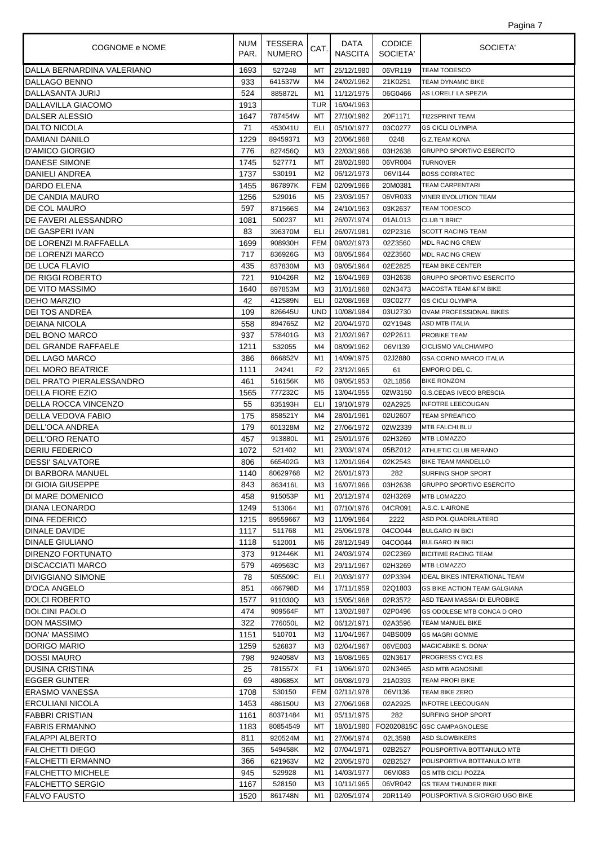| COGNOME e NOME                               | NUM I<br>PAR. | TESSERA<br><b>NUMERO</b> | CAT.                 | DATA<br><b>NASCITA</b>   | <b>CODICE</b><br>SOCIETA' | SOCIETA'                                               |
|----------------------------------------------|---------------|--------------------------|----------------------|--------------------------|---------------------------|--------------------------------------------------------|
| DALLA BERNARDINA VALERIANO                   | 1693          | 527248                   | MT                   | 25/12/1980               | 06VR119                   | <b>TEAM TODESCO</b>                                    |
| DALLAGO BENNO                                | 933           | 641537W                  | M4                   | 24/02/1962               | 21K0251                   | <b>TEAM DYNAMIC BIKE</b>                               |
| DALLASANTA JURIJ                             | 524           | 885872L                  | M1                   | 11/12/1975               | 06G0466                   | AS LORELI' LA SPEZIA                                   |
| DALLAVILLA GIACOMO                           | 1913          |                          | TUR                  | 16/04/1963               |                           |                                                        |
| DALSER ALESSIO                               | 1647          | 787454W                  | МT                   | 27/10/1982               | 20F1171                   | <b>TI22SPRINT TEAM</b>                                 |
| <b>DALTO NICOLA</b>                          | 71            | 453041U                  | ELI                  | 05/10/1977               | 03C0277                   | <b>GS CICLI OLYMPIA</b>                                |
| DAMIANI DANILO                               | 1229          | 89459371                 | M <sub>3</sub>       | 20/06/1968               | 0248                      | <b>G.Z.TEAM KONA</b>                                   |
| <b>D'AMICO GIORGIO</b>                       | 776           | 827456Q                  | M3                   | 22/03/1966               | 03H2638                   | <b>GRUPPO SPORTIVO ESERCITO</b>                        |
| DANESE SIMONE                                | 1745          | 527771                   | МT                   | 28/02/1980               | 06VR004                   | <b>TURNOVER</b>                                        |
| DANIELI ANDREA                               | 1737          | 530191                   | M <sub>2</sub>       | 06/12/1973               | 06VI144                   | <b>BOSS CORRATEC</b>                                   |
| DARDO ELENA                                  | 1455          | 867897K                  | <b>FEM</b>           | 02/09/1966               | 20M0381                   | <b>TEAM CARPENTARI</b>                                 |
| <b>DE CANDIA MAURO</b>                       | 1256          | 529016                   | M <sub>5</sub>       | 23/03/1957               | 06VR033                   | <b>VINER EVOLUTION TEAM</b>                            |
| DE COL MAURO                                 | 597           | 871566S                  | M4                   | 24/10/1963               | 03K2637                   | <b>TEAM TODESCO</b>                                    |
| DE FAVERI ALESSANDRO                         | 1081          | 500237                   | M1                   | 26/07/1974               | 01AL013                   | CLUB "I BRIC"                                          |
| DE GASPERI IVAN                              | 83            | 396370M                  | ELI                  | 26/07/1981               | 02P2316                   | <b>SCOTT RACING TEAM</b>                               |
| DE LORENZI M.RAFFAELLA                       | 1699          | 908930H                  | <b>FEM</b>           | 09/02/1973               | 02Z3560                   | <b>MDL RACING CREW</b>                                 |
| DE LORENZI MARCO                             | 717           | 836926G                  | M <sub>3</sub>       | 08/05/1964               | 02Z3560                   | <b>MDL RACING CREW</b>                                 |
| DE LUCA FLAVIO                               | 435           | 837830M                  | M <sub>3</sub>       | 09/05/1964               | 02E2825                   | <b>TEAM BIKE CENTER</b>                                |
| DE RIGGI ROBERTO                             | 721           | 910426R                  | M <sub>2</sub>       | 16/04/1969               | 03H2638                   | <b>GRUPPO SPORTIVO ESERCITO</b>                        |
| <b>DE VITO MASSIMO</b>                       | 1640          | 897853M                  | M3                   | 31/01/1968               | 02N3473                   | <b>MACOSTA TEAM &amp;FM BIKE</b>                       |
| <b>DEHO MARZIO</b>                           | 42            | 412589N                  | <b>ELI</b>           | 02/08/1968               | 03C0277                   | <b>GS CICLI OLYMPIA</b>                                |
| <b>DEI TOS ANDREA</b>                        | 109           | 826645U                  | <b>UND</b>           | 10/08/1984               | 03U2730                   | OVAM PROFESSIONAL BIKES                                |
| <b>DEIANA NICOLA</b>                         | 558           | 894765Z                  | M <sub>2</sub>       | 20/04/1970               | 02Y1948                   | <b>ASD MTB ITALIA</b>                                  |
| DEL BONO MARCO                               | 937           | 578401G                  | M3                   | 21/02/1967               | 02P2611                   | PROBIKE TEAM                                           |
| DEL GRANDE RAFFAELE                          | 1211          | 532055                   | M4                   | 08/09/1962               | 06VI139                   | CICLISMO VALCHIAMPO                                    |
| DEL LAGO MARCO                               | 386           | 866852V                  | M1                   | 14/09/1975               | 02J2880                   | <b>GSA CORNO MARCO ITALIA</b>                          |
| <b>DEL MORO BEATRICE</b>                     | 1111          | 24241                    | F <sub>2</sub>       | 23/12/1965               | 61                        | EMPORIO DEL C.                                         |
| DEL PRATO PIERALESSANDRO                     | 461           | 516156K                  | M6                   | 09/05/1953               | 02L1856                   | <b>BIKE RONZONI</b>                                    |
| <b>DELLA FIORE EZIO</b>                      | 1565          | 777232C                  | M <sub>5</sub>       | 13/04/1955               | 02W3150                   | <b>G.S.CEDAS IVECO BRESCIA</b>                         |
| DELLA ROCCA VINCENZO                         | 55            | 835193H                  | ELI                  | 19/10/1979               | 02A2925                   | <b>INFOTRE LEECOUGAN</b>                               |
| DELLA VEDOVA FABIO                           | 175           | 858521Y                  | M4                   | 28/01/1961               | 02U2607                   | <b>TEAM SPREAFICO</b>                                  |
| DELL'OCA ANDREA                              | 179           | 601328M                  | M <sub>2</sub>       | 27/06/1972               | 02W2339                   | MTB FALCHI BLU                                         |
| DELL'ORO RENATO                              | 457           | 913880L                  | M1                   | 25/01/1976               | 02H3269                   | <b>MTB LOMAZZO</b>                                     |
| <b>DERIU FEDERICO</b>                        | 1072          | 521402                   | M1                   | 23/03/1974               | 05BZ012                   | ATHLETIC CLUB MERANO                                   |
| <b>DESSI' SALVATORE</b><br>DI BARBORA MANUEL | 806           | 665402G                  | M <sub>3</sub>       | 12/01/1964               | 02K2543                   | <b>BIKE TEAM MANDELLO</b><br><b>SURFING SHOP SPORT</b> |
|                                              | 1140<br>843   | 80629768<br>863416L      | M <sub>2</sub><br>МЗ | 26/01/1973<br>16/07/1966 | 282<br>03H2638            | <b>GRUPPO SPORTIVO ESERCITO</b>                        |
| <b>DI GIOIA GIUSEPPE</b><br>DI MARE DOMENICO | 458           | 915053P                  | M1                   | 20/12/1974               | 02H3269                   | <b>MTB LOMAZZO</b>                                     |
| DIANA LEONARDO                               | 1249          | 513064                   | M1                   | 07/10/1976               | 04CR091                   | A.S.C. L'AIRONE                                        |
| <b>DINA FEDERICO</b>                         | 1215          | 89559667                 | M3                   | 11/09/1964               | 2222                      | ASD POL.QUADRILATERO                                   |
| DINALE DAVIDE                                | 1117          | 511768                   | M1                   | 25/06/1978               | 04CO044                   | <b>BULGARO IN BICI</b>                                 |
| <b>DINALE GIULIANO</b>                       | 1118          | 512001                   | M6                   | 28/12/1949               | 04CO044                   | <b>BULGARO IN BICI</b>                                 |
| DIRENZO FORTUNATO                            | 373           | 912446K                  | M1                   | 24/03/1974               | 02C2369                   | <b>BICITIME RACING TEAM</b>                            |
| <b>DISCACCIATI MARCO</b>                     | 579           | 469563C                  | M3                   | 29/11/1967               | 02H3269                   | <b>MTB LOMAZZO</b>                                     |
| <b>DIVIGGIANO SIMONE</b>                     | 78            | 505509C                  | ELI                  | 20/03/1977               | 02P3394                   | <b>IDEAL BIKES INTERATIONAL TEAM</b>                   |
| D'OCA ANGELO                                 | 851           | 466798D                  | M4                   | 17/11/1959               | 02Q1803                   | <b>GS BIKE ACTION TEAM GALGIANA</b>                    |
| DOLCI ROBERTO                                | 1577          | 911030Q                  | MЗ                   | 15/05/1968               | 02R3572                   | ASD TEAM MASSAI DI EUROBIKE                            |
| DOLCINI PAOLO                                | 474           | 909564F                  | МT                   | 13/02/1987               | 02P0496                   | GS ODOLESE MTB CONCA D ORO                             |
| <b>DON MASSIMO</b>                           | 322           | 776050L                  | M2                   | 06/12/1971               | 02A3596                   | <b>TEAM MANUEL BIKE</b>                                |
| DONA' MASSIMO                                | 1151          | 510701                   | M3                   | 11/04/1967               | 04BS009                   | <b>GS MAGRI GOMME</b>                                  |
| DORIGO MARIO                                 | 1259          | 526837                   | M3                   | 02/04/1967               | 06VE003                   | <b>MAGICABIKE S. DONA'</b>                             |
| <b>DOSSI MAURO</b>                           | 798           | 924058V                  | M3                   | 16/08/1965               | 02N3617                   | <b>PROGRESS CYCLES</b>                                 |
| DUSINA CRISTINA                              | 25            | 781557X                  | F1                   | 19/06/1970               | 02N3465                   | ASD MTB AGNOSINE                                       |
| <b>EGGER GUNTER</b>                          | 69            | 480685X                  | МT                   | 06/08/1979               | 21A0393                   | <b>TEAM PROFI BIKE</b>                                 |
| <b>ERASMO VANESSA</b>                        | 1708          | 530150                   | <b>FEM</b>           | 02/11/1978               | 06VI136                   | TEAM BIKE ZERO                                         |
| <b>ERCULIANI NICOLA</b>                      | 1453          | 486150U                  | M3                   | 27/06/1968               | 02A2925                   | <b>INFOTRE LEECOUGAN</b>                               |
| <b>FABBRI CRISTIAN</b>                       | 1161          | 80371484                 | M <sub>1</sub>       | 05/11/1975               | 282                       | SURFING SHOP SPORT                                     |
| <b>FABRIS ERMANNO</b>                        | 1183          | 80854549                 | МT                   | 18/01/1980               |                           | FO2020815C GSC CAMPAGNOLESE                            |
| FALAPPI ALBERTO                              | 811           | 920524M                  | M1                   | 27/06/1974               | 02L3598                   | <b>ASD SLOWBIKERS</b>                                  |
| FALCHETTI DIEGO                              | 365           | 549458K                  | M2                   | 07/04/1971               | 02B2527                   | POLISPORTIVA BOTTANULO MTB                             |
| FALCHETTI ERMANNO                            | 366           | 621963V                  | M <sub>2</sub>       | 20/05/1970               | 02B2527                   | POLISPORTIVA BOTTANULO MTB                             |
| <b>FALCHETTO MICHELE</b>                     | 945           | 529928                   | M1                   | 14/03/1977               | 06VI083                   | <b>GS MTB CICLI POZZA</b>                              |
| <b>FALCHETTO SERGIO</b>                      | 1167          | 528150                   | ΜЗ                   | 10/11/1965               | 06VR042                   | <b>GS TEAM THUNDER BIKE</b>                            |
| FALVO FAUSTO                                 | 1520          | 861748N                  | M1                   | 02/05/1974               | 20R1149                   | POLISPORTIVA S.GIORGIO UGO BIKE                        |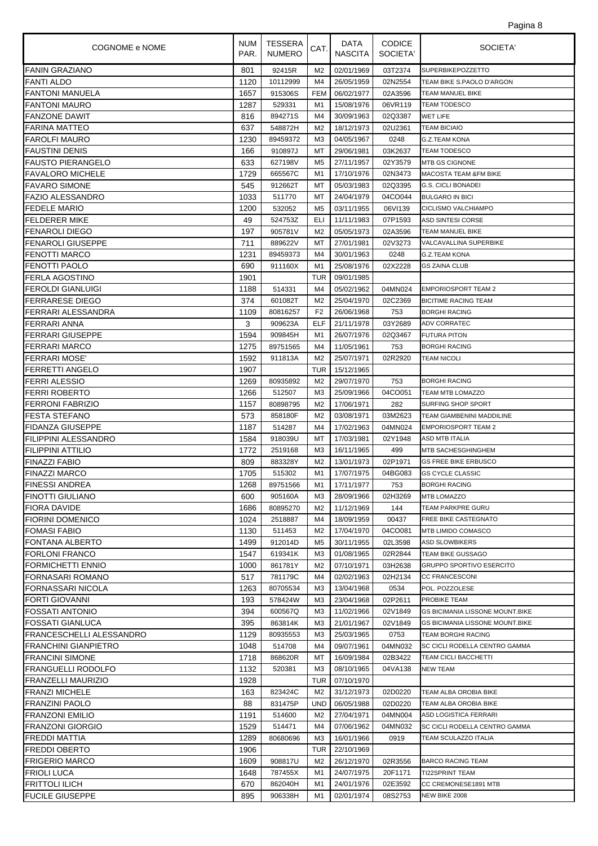| COGNOME e NOME           | <b>NUM</b><br>PAR. | TESSERA<br><b>NUMERO</b> | CAT.           | DATA<br><b>NASCITA</b> | <b>CODICE</b><br>SOCIETA' | SOCIETA'                                               |
|--------------------------|--------------------|--------------------------|----------------|------------------------|---------------------------|--------------------------------------------------------|
| <b>FANIN GRAZIANO</b>    | 801                | 92415R                   | M <sub>2</sub> | 02/01/1969             | 03T2374                   | <b>SUPERBIKEPOZZETTO</b>                               |
| <b>FANTI ALDO</b>        | 1120               | 10112999                 | M4             | 26/05/1959             | 02N2554                   | TEAM BIKE S.PAOLO D'ARGON                              |
| <b>FANTONI MANUELA</b>   | 1657               | 915306S                  | <b>FEM</b>     | 06/02/1977             | 02A3596                   | TEAM MANUEL BIKE                                       |
| <b>FANTONI MAURO</b>     | 1287               | 529331                   | M1             | 15/08/1976             | 06VR119                   | <b>TEAM TODESCO</b>                                    |
| <b>FANZONE DAWIT</b>     | 816                | 894271S                  | M4             | 30/09/1963             | 02Q3387                   | <b>WET LIFE</b>                                        |
| FARINA MATTEO            | 637                | 548872H                  | M2             | 18/12/1973             | 02U2361                   | <b>TEAM BICIAIO</b>                                    |
| FAROLFI MAURO            | 1230               | 89459372                 | M <sub>3</sub> | 04/05/1967             | 0248                      | G.Z.TEAM KONA                                          |
| FAUSTINI DENIS           | 166                | 910897J                  | МT             | 29/06/1981             | 03K2637                   | TEAM TODESCO                                           |
| <b>FAUSTO PIERANGELO</b> | 633                | 627198V                  | M <sub>5</sub> | 27/11/1957             | 02Y3579                   | <b>MTB GS CIGNONE</b>                                  |
| <b>FAVALORO MICHELE</b>  | 1729               | 665567C                  | M1             | 17/10/1976             | 02N3473                   | <b>MACOSTA TEAM &amp;FM BIKE</b>                       |
| <b>FAVARO SIMONE</b>     | 545                | 912662T                  | МT             | 05/03/1983             | 02Q3395                   | <b>G.S. CICLI BONADEI</b>                              |
| FAZIO ALESSANDRO         | 1033               | 511770                   | МT             | 24/04/1979             | 04CO044                   | <b>BULGARO IN BICI</b>                                 |
| <b>FEDELE MARIO</b>      | 1200               | 532052                   | M <sub>5</sub> | 03/11/1955             | 06VI139                   | CICLISMO VALCHIAMPO                                    |
| FELDERER MIKE            | 49                 | 524753Z                  | ELI            | 11/11/1983             | 07P1593                   | ASD SINTESI CORSE                                      |
| FENAROLI DIEGO           | 197                | 905781V                  | M <sub>2</sub> | 05/05/1973             | 02A3596                   | TEAM MANUEL BIKE                                       |
| FENAROLI GIUSEPPE        | 711                | 889622V                  | МT             | 27/01/1981             | 02V3273                   | VALCAVALLINA SUPERBIKE                                 |
| FENOTTI MARCO            | 1231               | 89459373                 | M4             | 30/01/1963             | 0248                      | <b>G.Z.TEAM KONA</b>                                   |
| FENOTTI PAOLO            | 690                | 911160X                  | M1             | 25/08/1976             | 02X2228                   | <b>GS ZAINA CLUB</b>                                   |
| FERLA AGOSTINO           | 1901               |                          | <b>TUR</b>     | 09/01/1985             |                           |                                                        |
| <b>FEROLDI GIANLUIGI</b> | 1188               | 514331                   | M4             | 05/02/1962             | 04MN024                   | <b>EMPORIOSPORT TEAM 2</b>                             |
| FERRARESE DIEGO          | 374                | 601082T                  | M <sub>2</sub> | 25/04/1970             | 02C2369                   | <b>BICITIME RACING TEAM</b>                            |
| FERRARI ALESSANDRA       | 1109               | 80816257                 | F <sub>2</sub> | 26/06/1968             | 753                       | <b>BORGHI RACING</b>                                   |
| FERRARI ANNA             | 3                  | 909623A                  | ELF            | 21/11/1978             | 03Y2689                   | <b>ADV CORRATEC</b>                                    |
| FERRARI GIUSEPPE         | 1594               | 909845H                  | M1             | 26/07/1976             | 02Q3467                   | <b>FUTURA PITON</b>                                    |
| FERRARI MARCO            | 1275               | 89751565                 | M4             | 11/05/1961             | 753                       | <b>BORGHI RACING</b>                                   |
| FERRARI MOSE'            | 1592               | 911813A                  | M <sub>2</sub> | 25/07/1971             | 02R2920                   | <b>TEAM NICOLI</b>                                     |
| FERRETTI ANGELO          | 1907               |                          | <b>TUR</b>     | 15/12/1965             |                           |                                                        |
| FERRI ALESSIO            | 1269               | 80935892                 | M <sub>2</sub> | 29/07/1970             | 753                       | <b>BORGHI RACING</b>                                   |
| FERRI ROBERTO            | 1266               | 512507                   | M <sub>3</sub> | 25/09/1966             | 04CO051                   | TEAM MTB LOMAZZO                                       |
| FERRONI FABRIZIO         | 1157               | 80898795                 | M <sub>2</sub> | 17/06/1971             | 282                       | SURFING SHOP SPORT                                     |
| FESTA STEFANO            | 573                | 858180F                  | M <sub>2</sub> | 03/08/1971             | 03M2623                   | TEAM GIAMBENINI MADDILINE                              |
| FIDANZA GIUSEPPE         | 1187               | 514287                   | M4             | 17/02/1963             | 04MN024                   | <b>EMPORIOSPORT TEAM 2</b>                             |
| FILIPPINI ALESSANDRO     | 1584               | 918039U                  | МT             | 17/03/1981             | 02Y1948                   | ASD MTB ITALIA                                         |
| FILIPPINI ATTILIO        | 1772               | 2519168                  | MЗ             | 16/11/1965             | 499                       | MTB SACHESGHINGHEM                                     |
| FINAZZI FABIO            | 809                | 883328Y                  | M <sub>2</sub> | 13/01/1973             | 02P1971                   | <b>GS FREE BIKE ERBUSCO</b>                            |
| FINAZZI MARCO            | 1705               | 515302                   | M1             | 17/07/1975             | 04BG083                   | <b>GS CYCLE CLASSIC</b>                                |
| <b>FINESSI ANDREA</b>    | 1268               | 89751566                 | M1             | 17/11/1977             | 753                       | <b>BORGHI RACING</b>                                   |
| <b>FINOTTI GIULIANO</b>  | 600                | 905160A                  | ΜЗ             | 28/09/1966             | 02H3269                   | <b>MTB LOMAZZO</b>                                     |
| FIORA DAVIDE             | 1686               | 80895270                 | M2             | 11/12/1969             | 144                       | TEAM PARKPRE GURU                                      |
| <b>FIORINI DOMENICO</b>  | 1024               | 2518887                  | M4             | 18/09/1959             | 00437                     | <b>FREE BIKE CASTEGNATO</b>                            |
| FOMASI FABIO             | 1130               | 511453                   | M <sub>2</sub> | 17/04/1970             | 04CO081                   | <b>MTB LIMIDO COMASCO</b>                              |
| FONTANA ALBERTO          | 1499               | 912014D                  | M <sub>5</sub> | 30/11/1955             | 02L3598                   | <b>ASD SLOWBIKERS</b>                                  |
| <b>FORLONI FRANCO</b>    | 1547               | 619341K                  | M3             | 01/08/1965             | 02R2844                   | TEAM BIKE GUSSAGO                                      |
| <b>FORMICHETTI ENNIO</b> | 1000               | 861781Y                  | M <sub>2</sub> | 07/10/1971             | 03H2638                   | <b>GRUPPO SPORTIVO ESERCITO</b>                        |
| FORNASARI ROMANO         | 517                | 781179C                  | M4             | 02/02/1963             | 02H2134                   | <b>CC FRANCESCONI</b>                                  |
| FORNASSARI NICOLA        | 1263               | 80705534                 | MЗ             | 13/04/1968             | 0534                      | POL. POZZOLESE                                         |
| FORTI GIOVANNI           | 193                | 578424W                  | M <sub>3</sub> | 23/04/1968             | 02P2611                   | PROBIKE TEAM                                           |
| FOSSATI ANTONIO          | 394                | 600567Q                  | M3             | 11/02/1966             | 02V1849                   | <b>GS BICIMANIA LISSONE MOUNT.BIKE</b>                 |
| FOSSATI GIANLUCA         | 395                | 863814K                  | MЗ             | 21/01/1967             | 02V1849                   | <b>GS BICIMANIA LISSONE MOUNT.BIKE</b>                 |
| FRANCESCHELLI ALESSANDRO | 1129               | 80935553                 | MЗ             | 25/03/1965             | 0753                      | TEAM BORGHI RACING                                     |
| FRANCHINI GIANPIETRO     | 1048               | 514708                   | M4             | 09/07/1961             | 04MN032                   | SC CICLI RODELLA CENTRO GAMMA                          |
| <b>FRANCINI SIMONE</b>   | 1718               | 868620R                  | МT             | 16/09/1984             | 02B3422                   | TEAM CICLI BACCHETTI                                   |
| FRANGUELLI RODOLFO       | 1132               | 520381                   | M <sub>3</sub> | 08/10/1965             | 04VA138                   | NEW TEAM                                               |
| FRANZELLI MAURIZIO       | 1928               |                          | <b>TUR</b>     | 07/10/1970             |                           |                                                        |
| FRANZI MICHELE           | 163                | 823424C                  | M <sub>2</sub> | 31/12/1973             | 02D0220                   | TEAM ALBA OROBIA BIKE                                  |
| FRANZINI PAOLO           | 88                 | 831475P                  | <b>UND</b>     | 06/05/1988             | 02D0220                   | TEAM ALBA OROBIA BIKE                                  |
| FRANZONI EMILIO          |                    | 514600                   | M2             | 27/04/1971             | 04MN004                   |                                                        |
|                          | 1191               | 514471                   | M4             |                        | 04MN032                   | ASD LOGISTICA FERRARI<br>SC CICLI RODELLA CENTRO GAMMA |
| FRANZONI GIORGIO         | 1529               |                          |                | 07/06/1962             |                           |                                                        |
| FREDDI MATTIA            | 1289               | 80680696                 | M <sub>3</sub> | 16/01/1966             | 0919                      | TEAM SCULAZZO ITALIA                                   |
| FREDDI OBERTO            | 1906               |                          | <b>TUR</b>     | 22/10/1969             |                           |                                                        |
| FRIGERIO MARCO           | 1609               | 908817U                  | M <sub>2</sub> | 26/12/1970             | 02R3556                   | <b>BARCO RACING TEAM</b>                               |
| FRIOLI LUCA              | 1648               | 787455X                  | M1             | 24/07/1975             | 20F1171                   | TI22SPRINT TEAM                                        |
| FRITTOLI ILICH           | 670                | 862040H                  | M1             | 24/01/1976             | 02E3592                   | CC CREMONESE1891 MTB                                   |
| <b>FUCILE GIUSEPPE</b>   | 895                | 906338H                  | M1             | 02/01/1974             | 08S2753                   | NEW BIKE 2008                                          |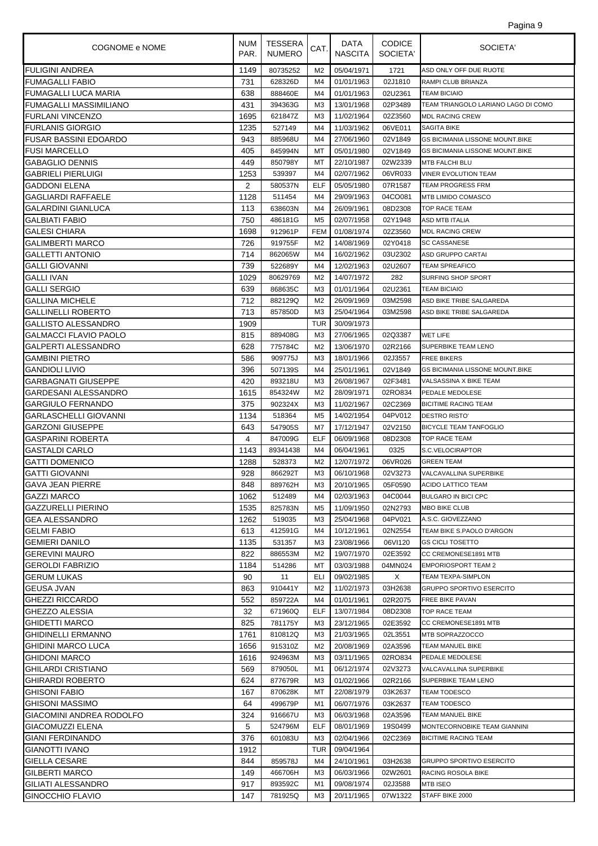| Pagina 9 |  |
|----------|--|
|          |  |

| COGNOME e NOME                | <b>NUM</b><br>PAR. | <b>TESSERA</b><br><b>NUMERO</b> | CAT.           | DATA<br><b>NASCITA</b> | <b>CODICE</b><br>SOCIETA' | SOCIETA'                               |
|-------------------------------|--------------------|---------------------------------|----------------|------------------------|---------------------------|----------------------------------------|
| <b>FULIGINI ANDREA</b>        | 1149               | 80735252                        | M <sub>2</sub> | 05/04/1971             | 1721                      | ASD ONLY OFF DUE RUOTE                 |
| <b>FUMAGALLI FABIO</b>        | 731                | 628326D                         | M4             | 01/01/1963             | 02J1810                   | RAMPI CLUB BRIANZA                     |
| <b>FUMAGALLI LUCA MARIA</b>   | 638                | 888460E                         | M4             | 01/01/1963             | 02U2361                   | <b>TEAM BICIAIO</b>                    |
| <b>FUMAGALLI MASSIMILIANO</b> | 431                | 394363G                         | MЗ             | 13/01/1968             | 02P3489                   | TEAM TRIANGOLO LARIANO LAGO DI COMO    |
| <b>FURLANI VINCENZO</b>       | 1695               | 621847Z                         | M <sub>3</sub> | 11/02/1964             | 02Z3560                   | <b>MDL RACING CREW</b>                 |
| <b>FURLANIS GIORGIO</b>       | 1235               | 527149                          | M4             | 11/03/1962             | 06VE011                   | <b>SAGITA BIKE</b>                     |
| <b>FUSAR BASSINI EDOARDO</b>  | 943                | 885968U                         | M4             | 27/06/1960             | 02V1849                   | <b>GS BICIMANIA LISSONE MOUNT.BIKE</b> |
| <b>FUSI MARCELLO</b>          | 405                | 845994N                         | MT             | 05/01/1980             | 02V1849                   | <b>GS BICIMANIA LISSONE MOUNT.BIKE</b> |
| <b>GABAGLIO DENNIS</b>        | 449                | 850798Y                         | МT             | 22/10/1987             | 02W2339                   | <b>MTB FALCHI BLU</b>                  |
| <b>GABRIELI PIERLUIGI</b>     | 1253               | 539397                          | M4             | 02/07/1962             | 06VR033                   | VINER EVOLUTION TEAM                   |
| <b>GADDONI ELENA</b>          | 2                  | 580537N                         | ELF            | 05/05/1980             | 07R1587                   | <b>TEAM PROGRESS FRM</b>               |
| <b>GAGLIARDI RAFFAELE</b>     | 1128               | 511454                          | M4             | 29/09/1963             | 04CO081                   | MTB LIMIDO COMASCO                     |
| <b>GALARDINI GIANLUCA</b>     | 113                | 638603N                         | M4             | 26/09/1961             | 08D2308                   | TOP RACE TEAM                          |
| <b>GALBIATI FABIO</b>         | 750                | 486181G                         | M5             | 02/07/1958             | 02Y1948                   | ASD MTB ITALIA                         |
| <b>GALESI CHIARA</b>          | 1698               | 912961P                         | <b>FEM</b>     | 01/08/1974             | 02Z3560                   | <b>MDL RACING CREW</b>                 |
| <b>GALIMBERTI MARCO</b>       | 726                | 919755F                         | M2             | 14/08/1969             | 02Y0418                   | <b>SC CASSANESE</b>                    |
| <b>GALLETTI ANTONIO</b>       | 714                | 862065W                         | M4             | 16/02/1962             | 03U2302                   | ASD GRUPPO CARTAI                      |
| <b>GALLI GIOVANNI</b>         | 739                | 522689Y                         | M4             | 12/02/1963             | 02U2607                   | <b>TEAM SPREAFICO</b>                  |
| <b>GALLI IVAN</b>             | 1029               | 80629769                        | M <sub>2</sub> | 14/07/1972             | 282                       | <b>SURFING SHOP SPORT</b>              |
| <b>GALLI SERGIO</b>           | 639                | 868635C                         | M <sub>3</sub> | 01/01/1964             | 02U2361                   | <b>TEAM BICIAIO</b>                    |
| <b>GALLINA MICHELE</b>        | 712                | 882129Q                         | M <sub>2</sub> | 26/09/1969             | 03M2598                   | ASD BIKE TRIBE SALGAREDA               |
| <b>GALLINELLI ROBERTO</b>     | 713                | 857850D                         | M <sub>3</sub> | 25/04/1964             | 03M2598                   | ASD BIKE TRIBE SALGAREDA               |
| <b>GALLISTO ALESSANDRO</b>    | 1909               |                                 | TUR            | 30/09/1973             |                           |                                        |
| <b>GALMACCI FLAVIO PAOLO</b>  | 815                | 889408G                         | M <sub>3</sub> | 27/06/1965             | 02Q3387                   | WET LIFE                               |
| <b>GALPERTI ALESSANDRO</b>    | 628                | 775784C                         | M <sub>2</sub> | 13/06/1970             | 02R2166                   | SUPERBIKE TEAM LENO                    |
| <b>GAMBINI PIETRO</b>         | 586                | 909775J                         | M <sub>3</sub> | 18/01/1966             | 02J3557                   | <b>FREE BIKERS</b>                     |
| <b>GANDIOLI LIVIO</b>         | 396                | 507139S                         | M4             | 25/01/1961             | 02V1849                   | <b>GS BICIMANIA LISSONE MOUNT.BIKE</b> |
| <b>GARBAGNATI GIUSEPPE</b>    | 420                | 893218U                         | M <sub>3</sub> | 26/08/1967             | 02F3481                   | VALSASSINA X BIKE TEAM                 |
| GARDESANI ALESSANDRO          | 1615               | 854324W                         | M <sub>2</sub> | 28/09/1971             | 02RO834                   | PEDALE MEDOLESE                        |
| <b>GARGIULO FERNANDO</b>      | 375                | 902324X                         | M <sub>3</sub> | 11/02/1967             | 02C2369                   | <b>BICITIME RACING TEAM</b>            |
| <b>GARLASCHELLI GIOVANNI</b>  | 1134               | 518364                          | M <sub>5</sub> | 14/02/1954             | 04PV012                   | <b>DESTRO RISTO'</b>                   |
| <b>GARZONI GIUSEPPE</b>       | 643                | 547905S                         | M7             | 17/12/1947             | 02V2150                   | <b>BICYCLE TEAM TANFOGLIO</b>          |
| <b>GASPARINI ROBERTA</b>      | 4                  | 847009G                         | <b>ELF</b>     | 06/09/1968             | 08D2308                   | TOP RACE TEAM                          |
| <b>GASTALDI CARLO</b>         | 1143               | 89341438                        | M4             | 06/04/1961             | 0325                      | S.C.VELOCIRAPTOR                       |
| <b>GATTI DOMENICO</b>         | 1288               | 528373                          | M <sub>2</sub> | 12/07/1972             | 06VR026                   | <b>GREEN TEAM</b>                      |
| <b>GATTI GIOVANNI</b>         | 928                | 866292T                         | M3             | 06/10/1968             | 02V3273                   | VALCAVALLINA SUPERBIKE                 |
| <b>GAVA JEAN PIERRE</b>       | 848                | 889762H                         | M3             | 20/10/1965             | 05F0590                   | ACIDO LATTICO TEAM                     |
| <b>GAZZI MARCO</b>            | 1062               | 512489                          | M4             | 02/03/1963             | 04C0044                   | <b>BULGARO IN BICI CPC</b>             |
| GAZZURELLI PIERINO            | 1535               | 825783N                         | M5             | 11/09/1950             | 02N2793                   | <b>MBO BIKE CLUB</b>                   |
| <b>GEA ALESSANDRO</b>         | 1262               | 519035                          | M <sub>3</sub> | 25/04/1968             | 04PV021                   | A.S.C. GIOVEZZANO                      |
| <b>GELMI FABIO</b>            | 613                | 412591G                         | M4             | 10/12/1961             | 02N2554                   | TEAM BIKE S.PAOLO D'ARGON              |
| <b>GEMIERI DANILO</b>         | 1135               | 531357                          | MЗ             | 23/08/1966             | 06VI120                   | <b>GS CICLI TOSETTO</b>                |
| <b>GEREVINI MAURO</b>         | 822                | 886553M                         | M2             | 19/07/1970             | 02E3592                   | CC CREMONESE1891 MTB                   |
| <b>GEROLDI FABRIZIO</b>       | 1184               | 514286                          | МT             | 03/03/1988             | 04MN024                   | <b>EMPORIOSPORT TEAM 2</b>             |
| <b>GERUM LUKAS</b>            | 90                 | 11                              | ELI            | 09/02/1985             | X                         | TEAM TEXPA-SIMPLON                     |
| <b>GEUSA JVAN</b>             | 863                | 910441Y                         | M <sub>2</sub> | 11/02/1973             | 03H2638                   | <b>GRUPPO SPORTIVO ESERCITO</b>        |
| <b>GHEZZI RICCARDO</b>        | 552                | 859722A                         | M4             | 01/01/1961             | 02R2075                   | <b>FREE BIKE PAVAN</b>                 |
| <b>GHEZZO ALESSIA</b>         | 32                 | 671960Q                         | ELF            | 13/07/1984             | 08D2308                   | <b>TOP RACE TEAM</b>                   |
| <b>GHIDETTI MARCO</b>         | 825                | 781175Y                         | ΜЗ             | 23/12/1965             | 02E3592                   | CC CREMONESE1891 MTB                   |
| <b>GHIDINELLI ERMANNO</b>     | 1761               | 810812Q                         | MЗ             | 21/03/1965             | 02L3551                   | MTB SOPRAZZOCCO                        |
| <b>GHIDINI MARCO LUCA</b>     | 1656               | 915310Z                         | M2             | 20/08/1969             | 02A3596                   | TEAM MANUEL BIKE                       |
| <b>GHIDONI MARCO</b>          |                    |                                 |                |                        |                           | PEDALE MEDOLESE                        |
|                               | 1616               | 924963M                         | M <sub>3</sub> | 03/11/1965             | 02RO834                   | VALCAVALLINA SUPERBIKE                 |
| <b>GHILARDI CRISTIANO</b>     | 569                | 879050L                         | M1             | 06/12/1974             | 02V3273                   |                                        |
| <b>GHIRARDI ROBERTO</b>       | 624                | 877679R                         | M <sub>3</sub> | 01/02/1966             | 02R2166                   | SUPERBIKE TEAM LENO                    |
| <b>GHISONI FABIO</b>          | 167                | 870628K                         | МT             | 22/08/1979             | 03K2637                   | <b>TEAM TODESCO</b>                    |
| <b>GHISONI MASSIMO</b>        | 64                 | 499679P                         | M1             | 06/07/1976             | 03K2637                   | TEAM TODESCO                           |
| GIACOMINI ANDREA RODOLFO      | 324                | 916667U                         | MЗ             | 06/03/1968             | 02A3596                   | TEAM MANUEL BIKE                       |
| <b>GIACOMUZZI ELENA</b>       | 5                  | 524796M                         | ELF            | 08/01/1969             | 19S0499                   | MONTECORNOBIKE TEAM GIANNINI           |
| GIANI FERDINANDO              | 376                | 601083U                         | ΜЗ             | 02/04/1966             | 02C2369                   | <b>BICITIME RACING TEAM</b>            |
| <b>GIANOTTI IVANO</b>         | 1912               |                                 | TUR            | 09/04/1964             |                           |                                        |
| <b>GIELLA CESARE</b>          | 844                | 859578J                         | M4             | 24/10/1961             | 03H2638                   | <b>GRUPPO SPORTIVO ESERCITO</b>        |
| <b>GILBERTI MARCO</b>         | 149                | 466706H                         | MЗ             | 06/03/1966             | 02W2601                   | RACING ROSOLA BIKE                     |
| GILIATI ALESSANDRO            | 917                | 893592C                         | M1             | 09/08/1974             | 02J3588                   | MTB ISEO                               |
| <b>GINOCCHIO FLAVIO</b>       | 147                | 781925Q                         | M3             | 20/11/1965             | 07W1322                   | STAFF BIKE 2000                        |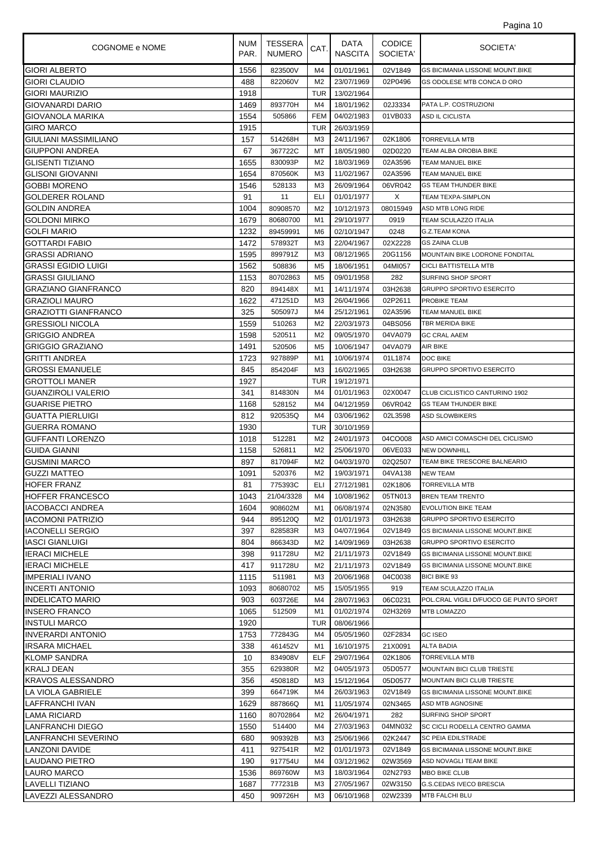| Pagina 10 |  |  |
|-----------|--|--|
|           |  |  |

| COGNOME e NOME              | <b>NUM</b><br>PAR. | TESSERA<br><b>NUMERO</b> | CAT.           | DATA<br><b>NASCITA</b> | <b>CODICE</b><br>SOCIETA' | SOCIETA'                               |
|-----------------------------|--------------------|--------------------------|----------------|------------------------|---------------------------|----------------------------------------|
| <b>GIORI ALBERTO</b>        | 1556               | 823500V                  | M4             | 01/01/1961             | 02V1849                   | <b>GS BICIMANIA LISSONE MOUNT.BIKE</b> |
| <b>GIORI CLAUDIO</b>        | 488                | 822060V                  | M <sub>2</sub> | 23/07/1969             | 02P0496                   | GS ODOLESE MTB CONCA D ORO             |
| <b>GIORI MAURIZIO</b>       | 1918               |                          | <b>TUR</b>     | 13/02/1964             |                           |                                        |
| <b>GIOVANARDI DARIO</b>     | 1469               | 893770H                  | M <sub>4</sub> | 18/01/1962             | 02J3334                   | PATA L.P. COSTRUZIONI                  |
| GIOVANOLA MARIKA            | 1554               | 505866                   | <b>FEM</b>     | 04/02/1983             | 01VB033                   | ASD IL CICLISTA                        |
| <b>GIRO MARCO</b>           | 1915               |                          | TUR            | 26/03/1959             |                           |                                        |
| GIULIANI MASSIMILIANO       | 157                | 514268H                  | M <sub>3</sub> | 24/11/1967             | 02K1806                   | TORREVILLA MTB                         |
| <b>GIUPPONI ANDREA</b>      | 67                 | 367722C                  | МT             | 18/05/1980             | 02D0220                   | TEAM ALBA OROBIA BIKE                  |
| <b>GLISENTI TIZIANO</b>     | 1655               | 830093P                  | M <sub>2</sub> | 18/03/1969             | 02A3596                   | TEAM MANUEL BIKE                       |
| <b>GLISONI GIOVANNI</b>     | 1654               | 870560K                  | M <sub>3</sub> | 11/02/1967             | 02A3596                   | TEAM MANUEL BIKE                       |
| <b>GOBBI MORENO</b>         | 1546               | 528133                   | MЗ             | 26/09/1964             | 06VR042                   | <b>GS TEAM THUNDER BIKE</b>            |
| <b>GOLDERER ROLAND</b>      | 91                 | 11                       | ELI            | 01/01/1977             | Χ                         | TEAM TEXPA-SIMPLON                     |
| <b>GOLDIN ANDREA</b>        | 1004               | 80908570                 | M <sub>2</sub> | 10/12/1973             | 08015949                  | ASD MTB LONG RIDE                      |
| <b>GOLDONI MIRKO</b>        | 1679               | 80680700                 | M1             | 29/10/1977             | 0919                      | TEAM SCULAZZO ITALIA                   |
| <b>GOLFI MARIO</b>          | 1232               | 89459991                 | M6             | 02/10/1947             | 0248                      | G.Z.TEAM KONA                          |
| <b>GOTTARDI FABIO</b>       | 1472               | 578932T                  | M <sub>3</sub> | 22/04/1967             | 02X2228                   | <b>GS ZAINA CLUB</b>                   |
| <b>GRASSI ADRIANO</b>       | 1595               | 899791Z                  | M <sub>3</sub> | 08/12/1965             | 20G1156                   | MOUNTAIN BIKE LODRONE FONDITAL         |
| <b>GRASSI EGIDIO LUIGI</b>  | 1562               | 508836                   | M <sub>5</sub> | 18/06/1951             | 04MI057                   | <b>CICLI BATTISTELLA MTB</b>           |
| <b>GRASSI GIULIANO</b>      | 1153               | 80702863                 | M <sub>5</sub> | 09/01/1958             | 282                       | SURFING SHOP SPORT                     |
| <b>GRAZIANO GIANFRANCO</b>  | 820                | 894148X                  | M1             | 14/11/1974             | 03H2638                   | <b>GRUPPO SPORTIVO ESERCITO</b>        |
| <b>GRAZIOLI MAURO</b>       | 1622               | 471251D                  | M <sub>3</sub> | 26/04/1966             | 02P2611                   | PROBIKE TEAM                           |
| <b>GRAZIOTTI GIANFRANCO</b> | 325                | 505097J                  | M4             | 25/12/1961             | 02A3596                   | <b>TEAM MANUEL BIKE</b>                |
| <b>GRESSIOLI NICOLA</b>     | 1559               | 510263                   | M2             | 22/03/1973             | 04BS056                   | TBR MERIDA BIKE                        |
| <b>GRIGGIO ANDREA</b>       | 1598               | 520511                   | M <sub>2</sub> | 09/05/1970             | 04VA079                   | <b>GC CRAL AAEM</b>                    |
| <b>GRIGGIO GRAZIANO</b>     | 1491               | 520506                   | M <sub>5</sub> | 10/06/1947             | 04VA079                   | AIR BIKE                               |
| GRITTI ANDREA               | 1723               | 927889P                  | M1             | 10/06/1974             | 01L1874                   | DOC BIKE                               |
| <b>GROSSI EMANUELE</b>      | 845                | 854204F                  | M <sub>3</sub> | 16/02/1965             | 03H2638                   | <b>GRUPPO SPORTIVO ESERCITO</b>        |
| <b>GROTTOLI MANER</b>       | 1927               |                          | TUR            | 19/12/1971             |                           |                                        |
| <b>GUANZIROLI VALERIO</b>   | 341                | 814830N                  | M4             | 01/01/1963             | 02X0047                   | CLUB CICLISTICO CANTURINO 1902         |
| <b>GUARISE PIETRO</b>       | 1168               | 528152                   | M4             | 04/12/1959             | 06VR042                   | <b>GS TEAM THUNDER BIKE</b>            |
| <b>GUATTA PIERLUIGI</b>     | 812                | 920535Q                  | M4             | 03/06/1962             | 02L3598                   | <b>ASD SLOWBIKERS</b>                  |
| <b>GUERRA ROMANO</b>        | 1930               |                          | TUR            | 30/10/1959             |                           |                                        |
| <b>GUFFANTI LORENZO</b>     | 1018               | 512281                   | M <sub>2</sub> | 24/01/1973             | 04CO008                   | ASD AMICI COMASCHI DEL CICLISMO        |
| <b>GUIDA GIANNI</b>         | 1158               | 526811                   | M2             | 25/06/1970             | 06VE033                   | <b>NEW DOWNHILL</b>                    |
| <b>GUSMINI MARCO</b>        | 897                | 817094F                  | M <sub>2</sub> | 04/03/1970             | 02Q2507                   | TEAM BIKE TRESCORE BALNEARIO           |
| <b>GUZZI MATTEO</b>         | 1091               | 520376                   | M <sub>2</sub> | 19/03/1971             | 04VA138                   | <b>NEW TEAM</b>                        |
| <b>HOFER FRANZ</b>          | 81                 | 775393C                  |                | ELI 27/12/1981         | 02K1806                   | <b>TORREVILLA MTB</b>                  |
| <b>HOFFER FRANCESCO</b>     | 1043               | 21/04/3328               | M4             | 10/08/1962             | 05TN013                   | <b>BREN TEAM TRENTO</b>                |
| IACOBACCI ANDREA            | 1604               | 908602M                  | M1             | 06/08/1974             | 02N3580                   | <b>EVOLUTION BIKE TEAM</b>             |
| IACOMONI PATRIZIO           | 944                | 895120Q                  | M2             | 01/01/1973             | 03H2638                   | <b>GRUPPO SPORTIVO ESERCITO</b>        |
| <b>IACONELLI SERGIO</b>     | 397                | 828583R                  | M <sub>3</sub> | 04/07/1964             | 02V1849                   | GS BICIMANIA LISSONE MOUNT.BIKE        |
| <b>IASCI GIANLUIGI</b>      | 804                | 866343D                  | M <sub>2</sub> | 14/09/1969             | 03H2638                   | <b>GRUPPO SPORTIVO ESERCITO</b>        |
| <b>IERACI MICHELE</b>       | 398                | 911728U                  | M2             | 21/11/1973             | 02V1849                   | <b>GS BICIMANIA LISSONE MOUNT.BIKE</b> |
| <b>IERACI MICHELE</b>       | 417                | 911728U                  | M <sub>2</sub> | 21/11/1973             | 02V1849                   | <b>GS BICIMANIA LISSONE MOUNT.BIKE</b> |
| <b>IMPERIALI IVANO</b>      | 1115               | 511981                   | MЗ             | 20/06/1968             | 04C0038                   | <b>BICI BIKE 93</b>                    |
| IINCERTI ANTONIO            | 1093               | 80680702                 | M5             | 15/05/1955             | 919                       | TEAM SCULAZZO ITALIA                   |
| <b>INDELICATO MARIO</b>     | 903                | 603726E                  | M4             | 28/07/1963             | 06C0231                   | POL.CRAL VIGILI D/FUOCO GE PUNTO SPORT |
| <b>INSERO FRANCO</b>        | 1065               | 512509                   | M1             | 01/02/1974             | 02H3269                   | MTB LOMAZZO                            |
| <b>INSTULI MARCO</b>        | 1920               |                          | TUR            | 08/06/1966             |                           |                                        |
| <b>INVERARDI ANTONIO</b>    | 1753               | 772843G                  | M4             | 05/05/1960             | 02F2834                   | <b>GC ISEO</b>                         |
| <b>IRSARA MICHAEL</b>       | 338                | 461452V                  | M1             | 16/10/1975             | 21X0091                   | <b>ALTA BADIA</b>                      |
| <b>KLOMP SANDRA</b>         | 10                 | 834908V                  | ELF            | 29/07/1964             | 02K1806                   | <b>TORREVILLA MTB</b>                  |
| <b>KRALJ DEAN</b>           | 355                | 629380R                  | M <sub>2</sub> | 04/05/1973             | 05D0577                   | MOUNTAIN BICI CLUB TRIESTE             |
| KRAVOS ALESSANDRO           | 356                | 450818D                  | M <sub>3</sub> | 15/12/1964             | 05D0577                   | MOUNTAIN BICI CLUB TRIESTE             |
| LA VIOLA GABRIELE           | 399                | 664719K                  | M4             | 26/03/1963             | 02V1849                   | GS BICIMANIA LISSONE MOUNT.BIKE        |
| LAFFRANCHI IVAN             | 1629               | 887866Q                  | M1             | 11/05/1974             | 02N3465                   | ASD MTB AGNOSINE                       |
| LAMA RICIARD                | 1160               | 80702864                 | M <sub>2</sub> | 26/04/1971             | 282                       | SURFING SHOP SPORT                     |
| LANFRANCHI DIEGO            | 1550               | 514400                   | M4             | 27/03/1963             | 04MN032                   | SC CICLI RODELLA CENTRO GAMMA          |
| LANFRANCHI SEVERINO         | 680                | 909392B                  | M <sub>3</sub> | 25/06/1966             | 02K2447                   | SC PEIA EDILSTRADE                     |
| LANZONI DAVIDE              | 411                | 927541R                  | M <sub>2</sub> | 01/01/1973             | 02V1849                   | <b>GS BICIMANIA LISSONE MOUNT.BIKE</b> |
| LAUDANO PIETRO              | 190                | 917754U                  | M4             | 03/12/1962             | 02W3569                   | ASD NOVAGLI TEAM BIKE                  |
| LAURO MARCO                 | 1536               | 869760W                  | MЗ             | 18/03/1964             | 02N2793                   | <b>MBO BIKE CLUB</b>                   |
| LAVELLI TIZIANO             | 1687               | 777231B                  | ΜЗ             | 27/05/1967             | 02W3150                   | <b>G.S.CEDAS IVECO BRESCIA</b>         |
| LAVEZZI ALESSANDRO          | 450                | 909726H                  | M3             | 06/10/1968             | 02W2339                   | <b>MTB FALCHI BLU</b>                  |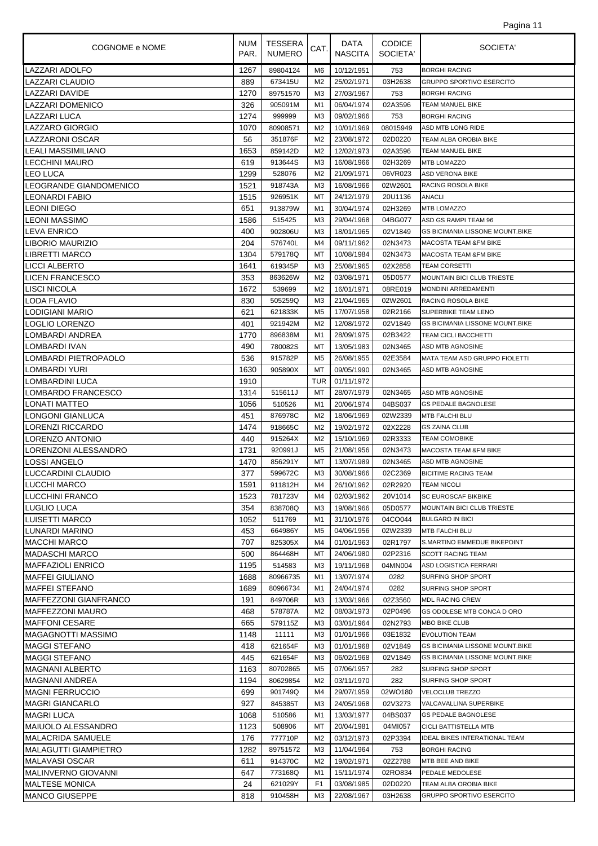| COGNOME e NOME              | <b>NUM</b><br>PAR. | TESSERA<br><b>NUMERO</b> | CAT.           | DATA<br><b>NASCITA</b> | <b>CODICE</b><br>SOCIETA' | SOCIETA'                               |
|-----------------------------|--------------------|--------------------------|----------------|------------------------|---------------------------|----------------------------------------|
| LAZZARI ADOLFO              | 1267               | 89804124                 | M6             | 10/12/1951             | 753                       | <b>BORGHI RACING</b>                   |
| LAZZARI CLAUDIO             | 889                | 673415U                  | M <sub>2</sub> | 25/02/1971             | 03H2638                   | <b>GRUPPO SPORTIVO ESERCITO</b>        |
| <b>LAZZARI DAVIDE</b>       | 1270               | 89751570                 | MЗ             | 27/03/1967             | 753                       | <b>BORGHI RACING</b>                   |
| <b>LAZZARI DOMENICO</b>     | 326                | 905091M                  | M1             | 06/04/1974             | 02A3596                   | <b>TEAM MANUEL BIKE</b>                |
| LAZZARI LUCA                | 1274               | 999999                   | M3             | 09/02/1966             | 753                       | <b>BORGHI RACING</b>                   |
| <b>LAZZARO GIORGIO</b>      | 1070               | 80908571                 | M <sub>2</sub> | 10/01/1969             | 08015949                  | ASD MTB LONG RIDE                      |
| LAZZARONI OSCAR             | 56                 | 351876F                  | M <sub>2</sub> | 23/08/1972             | 02D0220                   | TEAM ALBA OROBIA BIKE                  |
| LEALI MASSIMILIANO          | 1653               | 859142D                  | M <sub>2</sub> | 12/02/1973             | 02A3596                   | <b>TEAM MANUEL BIKE</b>                |
| <b>LECCHINI MAURO</b>       | 619                | 913644S                  | M3             | 16/08/1966             | 02H3269                   | <b>MTB LOMAZZO</b>                     |
| <b>LEO LUCA</b>             | 1299               | 528076                   | M <sub>2</sub> | 21/09/1971             | 06VR023                   | <b>ASD VERONA BIKE</b>                 |
| LEOGRANDE GIANDOMENICO      | 1521               | 918743A                  | M3             | 16/08/1966             | 02W2601                   | <b>RACING ROSOLA BIKE</b>              |
| <b>LEONARDI FABIO</b>       | 1515               | 926951K                  | MT             | 24/12/1979             | 20U1136                   | <b>ANACLI</b>                          |
| <b>LEONI DIEGO</b>          | 651                | 913879W                  | M1             | 30/04/1974             | 02H3269                   | <b>MTB LOMAZZO</b>                     |
| <b>LEONI MASSIMO</b>        | 1586               | 515425                   | MЗ             | 29/04/1968             | 04BG077                   | ASD GS RAMPI TEAM 96                   |
| LEVA ENRICO                 | 400                | 902806U                  | M3             | 18/01/1965             | 02V1849                   | <b>GS BICIMANIA LISSONE MOUNT.BIKE</b> |
| LIBORIO MAURIZIO            | 204                | 576740L                  | M4             | 09/11/1962             | 02N3473                   | MACOSTA TEAM &FM BIKE                  |
| <b>LIBRETTI MARCO</b>       | 1304               | 579178Q                  | МT             | 10/08/1984             | 02N3473                   | <b>MACOSTA TEAM &amp;FM BIKE</b>       |
| <b>LICCI ALBERTO</b>        | 1641               | 619345P                  | M3             | 25/08/1965             | 02X2858                   | <b>TEAM CORSETTI</b>                   |
| <b>LICEN FRANCESCO</b>      | 353                | 863626W                  | M <sub>2</sub> | 03/08/1971             | 05D0577                   | <b>MOUNTAIN BICI CLUB TRIESTE</b>      |
| LISCI NICOLA                | 1672               | 539699                   | M2             | 16/01/1971             | 08RE019                   | <b>MONDINI ARREDAMENTI</b>             |
| <b>LODA FLAVIO</b>          | 830                | 505259Q                  | M3             | 21/04/1965             | 02W2601                   | RACING ROSOLA BIKE                     |
| LODIGIANI MARIO             | 621                | 621833K                  | M <sub>5</sub> | 17/07/1958             | 02R2166                   | SUPERBIKE TEAM LENO                    |
| <b>LOGLIO LORENZO</b>       | 401                | 921942M                  | M <sub>2</sub> | 12/08/1972             | 02V1849                   | <b>GS BICIMANIA LISSONE MOUNT.BIKE</b> |
| LOMBARDI ANDREA             | 1770               | 896838M                  | M1             | 28/09/1975             | 02B3422                   | <b>TEAM CICLI BACCHETTI</b>            |
| LOMBARDI IVAN               | 490                | 780082S                  | МT             | 13/05/1983             | 02N3465                   | ASD MTB AGNOSINE                       |
| LOMBARDI PIETROPAOLO        | 536                | 915782P                  | M5             | 26/08/1955             | 02E3584                   | MATA TEAM ASD GRUPPO FIOLETTI          |
| LOMBARDI YURI               | 1630               | 905890X                  | МT             | 09/05/1990             | 02N3465                   | ASD MTB AGNOSINE                       |
| LOMBARDINI LUCA             | 1910               |                          | TUR            | 01/11/1972             |                           |                                        |
| LOMBARDO FRANCESCO          | 1314               | 515611J                  | МT             | 28/07/1979             | 02N3465                   | ASD MTB AGNOSINE                       |
| LONATI MATTEO               | 1056               | 510526                   | M1             | 20/06/1974             | 04BS037                   | <b>GS PEDALE BAGNOLESE</b>             |
| LONGONI GIANLUCA            | 451                | 876978C                  | M <sub>2</sub> | 18/06/1969             | 02W2339                   | <b>MTB FALCHI BLU</b>                  |
| <b>LORENZI RICCARDO</b>     | 1474               | 918665C                  | M <sub>2</sub> | 19/02/1972             | 02X2228                   | <b>GS ZAINA CLUB</b>                   |
| LORENZO ANTONIO             | 440                | 915264X                  | M <sub>2</sub> | 15/10/1969             | 02R3333                   | <b>TEAM COMOBIKE</b>                   |
| LORENZONI ALESSANDRO        | 1731               | 920991J                  | M <sub>5</sub> | 21/08/1956             | 02N3473                   | <b>MACOSTA TEAM &amp;FM BIKE</b>       |
| <b>LOSSI ANGELO</b>         | 1470               | 856291Y                  | MT             | 13/07/1989             | 02N3465                   | ASD MTB AGNOSINE                       |
| LUCCARDINI CLAUDIO          | 377                | 599672C                  | MЗ             | 30/08/1966             | 02C2369                   | <b>BICITIME RACING TEAM</b>            |
| <b>LUCCHI MARCO</b>         | 1591               | 911812H                  | M4             | 26/10/1962             | 02R2920                   | <b>TEAM NICOLI</b>                     |
| <b>LUCCHINI FRANCO</b>      | 1523               | 781723V                  | M4             | 02/03/1962             | 20V1014                   | <b>SC EUROSCAF BIKBIKE</b>             |
| LUGLIO LUCA                 | 354                | 838708Q                  | MЗ             | 19/08/1966             | 05D0577                   | <b>MOUNTAIN BICI CLUB TRIESTE</b>      |
| <b>LUISETTI MARCO</b>       | 1052               | 511769                   | M1             | 31/10/1976             | 04CO044                   | <b>BULGARO IN BICI</b>                 |
| <b>LUNARDI MARINO</b>       | 453                | 664986Y                  | M5             | 04/06/1956             | 02W2339                   | <b>MTB FALCHI BLU</b>                  |
| <b>MACCHI MARCO</b>         | 707                | 825305X                  | M4             | 01/01/1963             | 02R1797                   | S.MARTINO EMMEDUE BIKEPOINT            |
| MADASCHI MARCO              | 500                | 864468H                  | МT             | 24/06/1980             | 02P2316                   | <b>SCOTT RACING TEAM</b>               |
| <b>MAFFAZIOLI ENRICO</b>    | 1195               | 514583                   | MЗ             | 19/11/1968             | 04MN004                   | <b>ASD LOGISTICA FERRARI</b>           |
| <b>MAFFEI GIULIANO</b>      | 1688               | 80966735                 | M1             | 13/07/1974             | 0282                      | SURFING SHOP SPORT                     |
| <b>MAFFEI STEFANO</b>       | 1689               | 80966734                 | M1             | 24/04/1974             | 0282                      | SURFING SHOP SPORT                     |
| MAFFEZZONI GIANFRANCO       | 191                | 849706R                  | M3             | 13/03/1966             | 02Z3560                   | <b>MDL RACING CREW</b>                 |
| MAFFEZZONI MAURO            | 468                | 578787A                  | M2             | 08/03/1973             | 02P0496                   | <b>GS ODOLESE MTB CONCA D ORO</b>      |
| <b>MAFFONI CESARE</b>       | 665                | 579115Z                  | MЗ             | 03/01/1964             | 02N2793                   | <b>MBO BIKE CLUB</b>                   |
| MAGAGNOTTI MASSIMO          | 1148               | 11111                    | M3             | 01/01/1966             | 03E1832                   | <b>EVOLUTION TEAM</b>                  |
| <b>MAGGI STEFANO</b>        | 418                | 621654F                  | M3             | 01/01/1968             | 02V1849                   | GS BICIMANIA LISSONE MOUNT.BIKE        |
| <b>MAGGI STEFANO</b>        | 445                | 621654F                  | M3             | 06/02/1968             | 02V1849                   | GS BICIMANIA LISSONE MOUNT.BIKE        |
| <b>MAGNANI ALBERTO</b>      | 1163               | 80702865                 | M5             | 07/06/1957             | 282                       | SURFING SHOP SPORT                     |
| MAGNANI ANDREA              | 1194               | 80629854                 | M2             | 03/11/1970             | 282                       | SURFING SHOP SPORT                     |
| <b>MAGNI FERRUCCIO</b>      | 699                | 901749Q                  | M4             | 29/07/1959             | 02WO180                   | <b>VELOCLUB TREZZO</b>                 |
| <b>MAGRI GIANCARLO</b>      | 927                | 845385T                  | M3             | 24/05/1968             | 02V3273                   | VALCAVALLINA SUPERBIKE                 |
| <b>MAGRI LUCA</b>           | 1068               | 510586                   | M1             | 13/03/1977             | 04BS037                   | <b>GS PEDALE BAGNOLESE</b>             |
| MAIUOLO ALESSANDRO          | 1123               | 508906                   | МT             | 20/04/1981             | 04MI057                   | <b>CICLI BATTISTELLA MTB</b>           |
| MALACRIDA SAMUELE           | 176                | 777710P                  | M2             | 03/12/1973             | 02P3394                   | <b>IDEAL BIKES INTERATIONAL TEAM</b>   |
| <b>MALAGUTTI GIAMPIETRO</b> | 1282               | 89751572                 | MЗ             | 11/04/1964             | 753                       | <b>BORGHI RACING</b>                   |
| <b>MALAVASI OSCAR</b>       | 611                | 914370C                  | M2             | 19/02/1971             | 02Z2788                   | MTB BEE AND BIKE                       |
| MALINVERNO GIOVANNI         | 647                | 773168Q                  | M1             | 15/11/1974             | 02RO834                   | PEDALE MEDOLESE                        |
| <b>MALTESE MONICA</b>       | 24                 | 621029Y                  | F <sub>1</sub> | 03/08/1985             | 02D0220                   | TEAM ALBA OROBIA BIKE                  |
| <b>MANCO GIUSEPPE</b>       | 818                | 910458H                  | MЗ             | 22/08/1967             | 03H2638                   | <b>GRUPPO SPORTIVO ESERCITO</b>        |
|                             |                    |                          |                |                        |                           |                                        |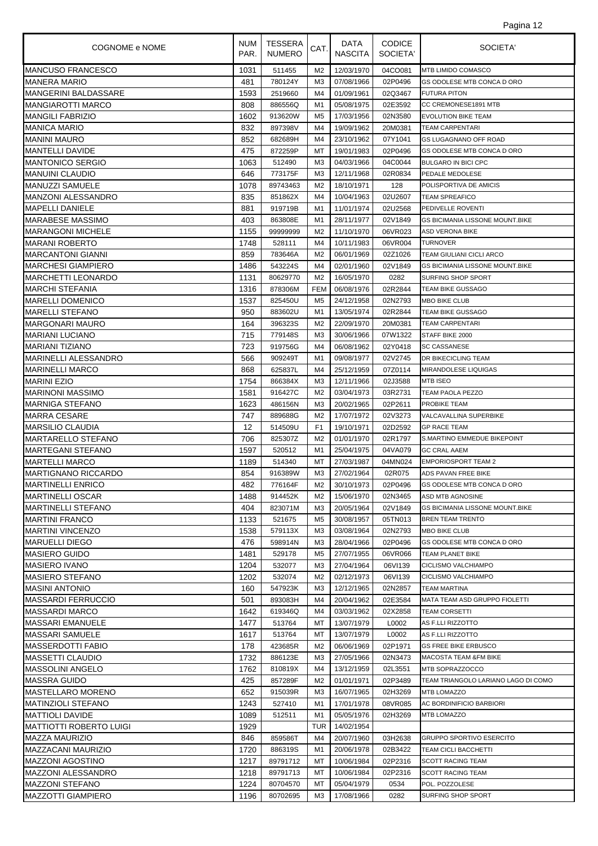| COGNOME e NOME                              | <b>NUM</b><br>PAR. | <b>TESSERA</b><br><b>NUMERO</b> | CAT.                 | DATA<br><b>NASCITA</b>   | <b>CODICE</b><br>SOCIETA' | SOCIETA'                                             |
|---------------------------------------------|--------------------|---------------------------------|----------------------|--------------------------|---------------------------|------------------------------------------------------|
| <b>MANCUSO FRANCESCO</b>                    | 1031               | 511455                          | M <sub>2</sub>       | 12/03/1970               | 04CO081                   | <b>MTB LIMIDO COMASCO</b>                            |
| <b>MANERA MARIO</b>                         | 481                | 780124Y                         | M <sub>3</sub>       | 07/08/1966               | 02P0496                   | GS ODOLESE MTB CONCA D ORO                           |
| MANGERINI BALDASSARE                        | 1593               | 2519660                         | M4                   | 01/09/1961               | 02Q3467                   | <b>FUTURA PITON</b>                                  |
| <b>MANGIAROTTI MARCO</b>                    | 808                | 886556Q                         | M1                   | 05/08/1975               | 02E3592                   | CC CREMONESE1891 MTB                                 |
| <b>MANGILI FABRIZIO</b>                     | 1602               | 913620W                         | M <sub>5</sub>       | 17/03/1956               | 02N3580                   | <b>EVOLUTION BIKE TEAM</b>                           |
| MANICA MARIO                                | 832                | 897398V                         | M4                   | 19/09/1962               | 20M0381                   | <b>TEAM CARPENTARI</b>                               |
| <b>MANINI MAURO</b>                         | 852                | 682689H                         | M4                   | 23/10/1962               | 07Y1041                   | <b>GS LUGAGNANO OFF ROAD</b>                         |
| <b>MANTELLI DAVIDE</b>                      | 475                | 872259P                         | МT                   | 19/01/1983               | 02P0496                   | <b>GS ODOLESE MTB CONCA D ORO</b>                    |
| <b>MANTONICO SERGIO</b>                     | 1063               | 512490                          | M <sub>3</sub>       | 04/03/1966               | 04C0044                   | <b>BULGARO IN BICI CPC</b>                           |
| <b>MANUINI CLAUDIO</b>                      | 646                | 773175F                         | M3                   | 12/11/1968               | 02R0834                   | PEDALE MEDOLESE                                      |
| <b>MANUZZI SAMUELE</b>                      | 1078               | 89743463                        | M <sub>2</sub>       | 18/10/1971               | 128                       | POLISPORTIVA DE AMICIS                               |
| MANZONI ALESSANDRO                          | 835                | 851862X                         | M4                   | 10/04/1963               | 02U2607                   | <b>TEAM SPREAFICO</b>                                |
| MAPELLI DANIELE                             | 881                | 919719B                         | M1                   | 11/01/1974               | 02U2568                   | PEDIVELLE ROVENTI                                    |
| MARABESE MASSIMO                            | 403                | 863808E                         | M1                   | 28/11/1977               | 02V1849                   | <b>GS BICIMANIA LISSONE MOUNT.BIKE</b>               |
| <b>MARANGONI MICHELE</b>                    | 1155               | 99999999                        | M2<br>M4             | 11/10/1970               | 06VR023                   | <b>ASD VERONA BIKE</b>                               |
| <b>MARANI ROBERTO</b>                       | 1748<br>859        | 528111<br>783646A               | M <sub>2</sub>       | 10/11/1983               | 06VR004<br>02Z1026        | TURNOVER<br>TEAM GIULIANI CICLI ARCO                 |
| MARCANTONI GIANNI<br>MARCHESI GIAMPIERO     | 1486               | 543224S                         | M4                   | 06/01/1969<br>02/01/1960 | 02V1849                   | <b>GS BICIMANIA LISSONE MOUNT.BIKE</b>               |
| <b>MARCHETTI LEONARDO</b>                   | 1131               | 80629770                        | M <sub>2</sub>       | 16/05/1970               | 0282                      | SURFING SHOP SPORT                                   |
| <b>MARCHI STEFANIA</b>                      | 1316               | 878306M                         | <b>FEM</b>           | 06/08/1976               | 02R2844                   | TEAM BIKE GUSSAGO                                    |
| <b>MARELLI DOMENICO</b>                     | 1537               | 825450U                         | M <sub>5</sub>       | 24/12/1958               | 02N2793                   | <b>MBO BIKE CLUB</b>                                 |
| <b>MARELLI STEFANO</b>                      | 950                | 883602U                         | M1                   | 13/05/1974               | 02R2844                   | <b>TEAM BIKE GUSSAGO</b>                             |
| MARGONARI MAURO                             | 164                | 396323S                         | M <sub>2</sub>       | 22/09/1970               | 20M0381                   | TEAM CARPENTARI                                      |
| <b>MARIANI LUCIANO</b>                      | 715                | 779148S                         | M <sub>3</sub>       | 30/06/1966               | 07W1322                   | STAFF BIKE 2000                                      |
| <b>MARIANI TIZIANO</b>                      | 723                | 919756G                         | M4                   | 06/08/1962               | 02Y0418                   | <b>SC CASSANESE</b>                                  |
| MARINELLI ALESSANDRO                        | 566                | 909249T                         | M1                   | 09/08/1977               | 02V2745                   | DR BIKECICLING TEAM                                  |
| <b>MARINELLI MARCO</b>                      | 868                | 625837L                         | M4                   | 25/12/1959               | 07Z0114                   | MIRANDOLESE LIQUIGAS                                 |
| <b>MARINI EZIO</b>                          | 1754               | 866384X                         | M <sub>3</sub>       | 12/11/1966               | 02J3588                   | MTB ISEO                                             |
| <b>MARINONI MASSIMO</b>                     | 1581               | 916427C                         | M <sub>2</sub>       | 03/04/1973               | 03R2731                   | TEAM PAOLA PEZZO                                     |
| <b>MARNIGA STEFANO</b>                      | 1623               | 486156N                         | M <sub>3</sub>       | 20/02/1965               | 02P2611                   | PROBIKE TEAM                                         |
| <b>MARRA CESARE</b>                         | 747                | 889688G                         | M <sub>2</sub>       | 17/07/1972               | 02V3273                   | VALCAVALLINA SUPERBIKE                               |
| <b>MARSILIO CLAUDIA</b>                     | 12                 | 514509U                         | F <sub>1</sub>       | 19/10/1971               | 02D2592                   | <b>GP RACE TEAM</b>                                  |
| <b>MARTARELLO STEFANO</b>                   | 706                | 825307Z                         | M <sub>2</sub>       | 01/01/1970               | 02R1797                   | S.MARTINO EMMEDUE BIKEPOINT                          |
| <b>MARTEGANI STEFANO</b>                    | 1597               | 520512                          | M1                   | 25/04/1975               | 04VA079                   | <b>GC CRAL AAEM</b>                                  |
| <b>MARTELLI MARCO</b>                       | 1189               | 514340                          | MT                   | 27/03/1987               | 04MN024                   | <b>EMPORIOSPORT TEAM 2</b>                           |
| <b>MARTIGNANO RICCARDO</b>                  | 854                | 916389W                         | M <sub>3</sub>       | 27/02/1964               | 02R075                    | ADS PAVAN FREE BIKE                                  |
| <b>MARTINELLI ENRICO</b>                    | 482                | 776164F                         | M <sub>2</sub>       | 30/10/1973               | 02P0496                   | GS ODOLESE MTB CONCA D ORO                           |
| <b>MARTINELLI OSCAR</b>                     | 1488               | 914452K                         | M2                   | 15/06/1970               | 02N3465                   | <b>ASD MTB AGNOSINE</b>                              |
| <b>MARTINELLI STEFANO</b>                   | 404                | 823071M                         | M <sub>3</sub>       | 20/05/1964               | 02V1849                   | GS BICIMANIA LISSONE MOUNT.BIKE                      |
| <b>MARTINI FRANCO</b>                       | 1133               | 521675                          | M <sub>5</sub>       | 30/08/1957               | 05TN013                   | <b>BREN TEAM TRENTO</b>                              |
| <b>MARTINI VINCENZO</b>                     | 1538               | 579113X                         | M <sub>3</sub>       | 03/08/1964               | 02N2793                   | <b>MBO BIKE CLUB</b>                                 |
| <b>MARUELLI DIEGO</b>                       | 476                | 598914N                         | M <sub>3</sub>       | 28/04/1966               | 02P0496                   | GS ODOLESE MTB CONCA D ORO                           |
| <b>MASIERO GUIDO</b>                        | 1481               | 529178                          | M5                   | 27/07/1955               | 06VR066                   | TEAM PLANET BIKE                                     |
| <b>MASIERO IVANO</b>                        | 1204               | 532077                          | M3                   | 27/04/1964               | 06VI139                   | CICLISMO VALCHIAMPO                                  |
| MASIERO STEFANO                             | 1202               | 532074                          | M <sub>2</sub>       | 02/12/1973               | 06VI139                   | CICLISMO VALCHIAMPO                                  |
| <b>MASINI ANTONIO</b><br>MASSARDI FERRUCCIO | 160                | 547923K<br>893083H              | M <sub>3</sub><br>M4 | 12/12/1965<br>20/04/1962 | 02N2857                   | <b>TEAM MARTINA</b><br>MATA TEAM ASD GRUPPO FIOLETTI |
| <b>MASSARDI MARCO</b>                       | 501<br>1642        | 619346Q                         | M4                   | 03/03/1962               | 02E3584<br>02X2858        | <b>TEAM CORSETTI</b>                                 |
| MASSARI EMANUELE                            | 1477               | 513764                          | МT                   | 13/07/1979               | L0002                     | AS F.LLI RIZZOTTO                                    |
| MASSARI SAMUELE                             | 1617               | 513764                          | МT                   | 13/07/1979               | L0002                     | AS F.LLI RIZZOTTO                                    |
| MASSERDOTTI FABIO                           | 178                | 423685R                         | M <sub>2</sub>       | 06/06/1969               | 02P1971                   | <b>GS FREE BIKE ERBUSCO</b>                          |
| <b>MASSETTI CLAUDIO</b>                     | 1732               | 886123E                         | M <sub>3</sub>       | 27/05/1966               | 02N3473                   | <b>MACOSTA TEAM &amp;FM BIKE</b>                     |
| <b>MASSOLINI ANGELO</b>                     | 1762               | 810819X                         | M4                   | 13/12/1959               | 02L3551                   | MTB SOPRAZZOCCO                                      |
| MASSRA GUIDO                                | 425                | 857289F                         | M2                   | 01/01/1971               | 02P3489                   | TEAM TRIANGOLO LARIANO LAGO DI COMO                  |
| MASTELLARO MORENO                           | 652                | 915039R                         | M3                   | 16/07/1965               | 02H3269                   | <b>MTB LOMAZZO</b>                                   |
| <b>MATINZIOLI STEFANO</b>                   | 1243               | 527410                          | M1                   | 17/01/1978               | 08VR085                   | AC BORDINIFICIO BARBIORI                             |
| <b>MATTIOLI DAVIDE</b>                      | 1089               | 512511                          | M1                   | 05/05/1976               | 02H3269                   | <b>MTB LOMAZZO</b>                                   |
| MATTIOTTI ROBERTO LUIGI                     | 1929               |                                 | <b>TUR</b>           | 14/02/1954               |                           |                                                      |
| MAZZA MAURIZIO                              | 846                | 859586T                         | M4                   | 20/07/1960               | 03H2638                   | <b>GRUPPO SPORTIVO ESERCITO</b>                      |
| MAZZACANI MAURIZIO                          | 1720               | 886319S                         | M1                   | 20/06/1978               | 02B3422                   | TEAM CICLI BACCHETTI                                 |
| <b>MAZZONI AGOSTINO</b>                     | 1217               | 89791712                        | МT                   | 10/06/1984               | 02P2316                   | <b>SCOTT RACING TEAM</b>                             |
| MAZZONI ALESSANDRO                          | 1218               | 89791713                        | МT                   | 10/06/1984               | 02P2316                   | <b>SCOTT RACING TEAM</b>                             |
| <b>MAZZONI STEFANO</b>                      | 1224               | 80704570                        | МT                   | 05/04/1979               | 0534                      | POL. POZZOLESE                                       |
| <b>MAZZOTTI GIAMPIERO</b>                   | 1196               | 80702695                        | M3                   | 17/08/1966               | 0282                      | SURFING SHOP SPORT                                   |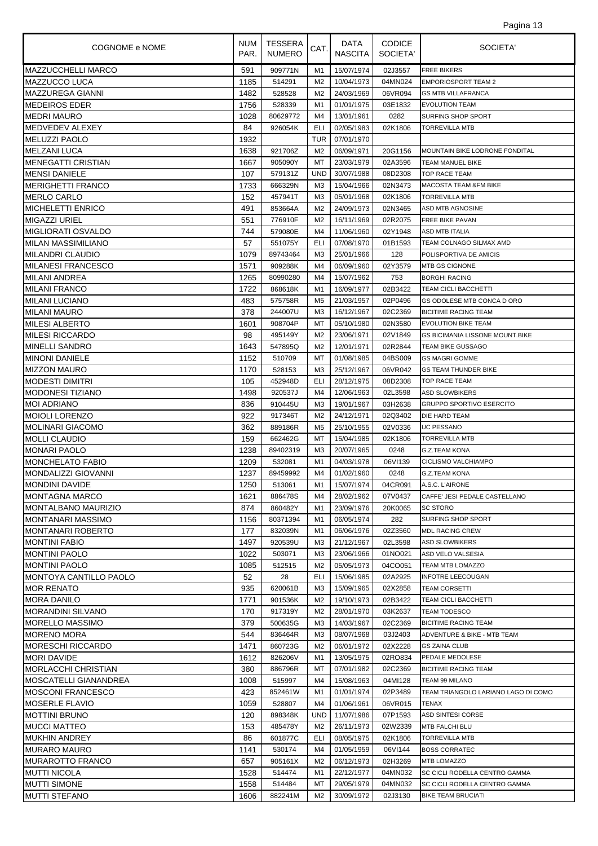| Pagina 13 |  |  |
|-----------|--|--|
|           |  |  |

| COGNOME e NOME            | <b>NUM</b><br>PAR. | <b>TESSERA</b><br><b>NUMERO</b> | CAT.           | DATA<br><b>NASCITA</b> | <b>CODICE</b><br>SOCIETA' | SOCIETA'                            |
|---------------------------|--------------------|---------------------------------|----------------|------------------------|---------------------------|-------------------------------------|
| <b>MAZZUCCHELLI MARCO</b> | 591                | 909771N                         | M1             | 15/07/1974             | 02J3557                   | <b>FREE BIKERS</b>                  |
| <b>MAZZUCCO LUCA</b>      | 1185               | 514291                          | M <sub>2</sub> | 10/04/1973             | 04MN024                   | <b>EMPORIOSPORT TEAM 2</b>          |
| MAZZUREGA GIANNI          | 1482               | 528528                          | M <sub>2</sub> | 24/03/1969             | 06VR094                   | <b>GS MTB VILLAFRANCA</b>           |
| <b>MEDEIROS EDER</b>      | 1756               | 528339                          | M1             | 01/01/1975             | 03E1832                   | <b>EVOLUTION TEAM</b>               |
| <b>MEDRI MAURO</b>        | 1028               | 80629772                        | M4             | 13/01/1961             | 0282                      | SURFING SHOP SPORT                  |
| IMEDVEDEV ALEXEY          | 84                 | 926054K                         | ELI            | 02/05/1983             | 02K1806                   | <b>TORREVILLA MTB</b>               |
| <b>MELUZZI PAOLO</b>      | 1932               |                                 | TUR            | 07/01/1970             |                           |                                     |
| <b>MELZANI LUCA</b>       | 1638               | 921706Z                         | M <sub>2</sub> | 06/09/1971             | 20G1156                   | MOUNTAIN BIKE LODRONE FONDITAL      |
| IMENEGATTI CRISTIAN       | 1667               | 905090Y                         | МT             | 23/03/1979             | 02A3596                   | TEAM MANUEL BIKE                    |
| <b>MENSI DANIELE</b>      | 107                | 579131Z                         | <b>UND</b>     | 30/07/1988             | 08D2308                   | <b>TOP RACE TEAM</b>                |
| MERIGHETTI FRANCO         | 1733               | 666329N                         | M <sub>3</sub> | 15/04/1966             | 02N3473                   | <b>MACOSTA TEAM &amp;FM BIKE</b>    |
| <b>MERLO CARLO</b>        | 152                | 457941T                         | M3             | 05/01/1968             | 02K1806                   | <b>TORREVILLA MTB</b>               |
| <b>MICHELETTI ENRICO</b>  | 491                | 853664A                         | M <sub>2</sub> | 24/09/1973             | 02N3465                   | ASD MTB AGNOSINE                    |
| <b>MIGAZZI URIEL</b>      | 551                | 776910F                         | M <sub>2</sub> | 16/11/1969             | 02R2075                   | <b>FREE BIKE PAVAN</b>              |
| IMIGLIORATI OSVALDO       | 744                | 579080E                         | M4             | 11/06/1960             | 02Y1948                   | <b>ASD MTB ITALIA</b>               |
| <b>MILAN MASSIMILIANO</b> | 57                 | 551075Y                         | ELI            | 07/08/1970             | 01B1593                   | TEAM COLNAGO SILMAX AMD             |
| MILANDRI CLAUDIO          | 1079               | 89743464                        | M <sub>3</sub> | 25/01/1966             | 128                       | POLISPORTIVA DE AMICIS              |
| MILANESI FRANCESCO        | 1571               | 909288K                         | M4             | 06/09/1960             | 02Y3579                   | <b>MTB GS CIGNONE</b>               |
| <b>MILANI ANDREA</b>      | 1265               | 80990280                        | M4             | 15/07/1962             | 753                       | <b>BORGHI RACING</b>                |
| IMILANI FRANCO            | 1722               | 868618K                         | M1             | 16/09/1977             | 02B3422                   | <b>TEAM CICLI BACCHETTI</b>         |
| <b>MILANI LUCIANO</b>     | 483                | 575758R                         | M5             | 21/03/1957             | 02P0496                   | GS ODOLESE MTB CONCA D ORO          |
| <b>MILANI MAURO</b>       | 378                | 244007U                         | M <sub>3</sub> | 16/12/1967             | 02C2369                   | <b>BICITIME RACING TEAM</b>         |
| <b>MILESI ALBERTO</b>     | 1601               | 908704P                         | МT             | 05/10/1980             | 02N3580                   | <b>EVOLUTION BIKE TEAM</b>          |
| <b>MILESI RICCARDO</b>    | 98                 | 495149Y                         | M <sub>2</sub> | 23/06/1971             | 02V1849                   | GS BICIMANIA LISSONE MOUNT.BIKE     |
| <b>MINELLI SANDRO</b>     | 1643               | 547895Q                         | M2             | 12/01/1971             | 02R2844                   | TEAM BIKE GUSSAGO                   |
| MINONI DANIELE            | 1152               | 510709                          | МT             | 01/08/1985             | 04BS009                   | <b>GS MAGRI GOMME</b>               |
| <b>MIZZON MAURO</b>       | 1170               | 528153                          | MЗ             | 25/12/1967             | 06VR042                   | <b>GS TEAM THUNDER BIKE</b>         |
| <b>MODESTI DIMITRI</b>    | 105                | 452948D                         | ELI            | 28/12/1975             | 08D2308                   | <b>TOP RACE TEAM</b>                |
| <b>MODONESI TIZIANO</b>   | 1498               | 920537J                         | M4             | 12/06/1963             | 02L3598                   | <b>ASD SLOWBIKERS</b>               |
| <b>MOI ADRIANO</b>        | 836                | 910445U                         | MЗ             | 19/01/1967             | 03H2638                   | <b>GRUPPO SPORTIVO ESERCITO</b>     |
| IMOIOLI LORENZO           | 922                | 917346T                         | M <sub>2</sub> | 24/12/1971             | 02Q3402                   | DIE HARD TEAM                       |
| <b>MOLINARI GIACOMO</b>   | 362                | 889186R                         | M5             | 25/10/1955             | 02V0336                   | <b>UC PESSANO</b>                   |
| <b>MOLLI CLAUDIO</b>      | 159                | 662462G                         | МT             | 15/04/1985             | 02K1806                   | <b>TORREVILLA MTB</b>               |
| <b>MONARI PAOLO</b>       | 1238               | 89402319                        | M3             | 20/07/1965             | 0248                      | <b>G.Z.TEAM KONA</b>                |
| <b>MONCHELATO FABIO</b>   | 1209               | 532081                          | M1             | 04/03/1978             | 06VI139                   | CICLISMO VALCHIAMPO                 |
| MONDALIZZI GIOVANNI       | 1237               | 89459992                        | M4             | 01/02/1960             | 0248                      | <b>G.Z.TEAM KONA</b>                |
| <b>MONDINI DAVIDE</b>     | 1250               | 513061                          | M1             | 15/07/1974             | 04CR091                   | A.S.C. L'AIRONE                     |
| <b>MONTAGNA MARCO</b>     | 1621               | 886478S                         | M4             | 28/02/1962             | 07V0437                   | CAFFE' JESI PEDALE CASTELLANO       |
| IMONTALBANO MAURIZIO      | 874                | 860482Y                         | M1             | 23/09/1976             | 20K0065                   | <b>SC STORO</b>                     |
| MONTANARI MASSIMO         | 1156               | 80371394                        | M1             | 06/05/1974             | 282                       | SURFING SHOP SPORT                  |
| MONTANARI ROBERTO         | 177                | 832039N                         | M1             | 06/06/1976             | 02Z3560                   | <b>MDL RACING CREW</b>              |
| <b>MONTINI FABIO</b>      | 1497               | 920539U                         | MЗ             | 21/12/1967             | 02L3598                   | <b>ASD SLOWBIKERS</b>               |
| <b>MONTINI PAOLO</b>      | 1022               | 503071                          | MЗ             | 23/06/1966             | 01NO021                   | ASD VELO VALSESIA                   |
| IMONTINI PAOLO            | 1085               | 512515                          | M2             | 05/05/1973             | 04CO051                   | TEAM MTB LOMAZZO                    |
| MONTOYA CANTILLO PAOLO    | 52                 | 28                              | ELI            | 15/06/1985             | 02A2925                   | <b>INFOTRE LEECOUGAN</b>            |
| <b>MOR RENATO</b>         | 935                | 620061B                         | MЗ             | 15/09/1965             | 02X2858                   | <b>TEAM CORSETTI</b>                |
| <b>MORA DANILO</b>        | 1771               | 901536K                         | M <sub>2</sub> | 19/10/1973             | 02B3422                   | <b>TEAM CICLI BACCHETTI</b>         |
| MORANDINI SILVANO         | 170                | 917319Y                         | M2             | 28/01/1970             | 03K2637                   | <b>TEAM TODESCO</b>                 |
| <b>MORELLO MASSIMO</b>    | 379                | 500635G                         | MЗ             | 14/03/1967             | 02C2369                   | <b>BICITIME RACING TEAM</b>         |
| <b>MORENO MORA</b>        | 544                | 836464R                         | MЗ             | 08/07/1968             | 03J2403                   | ADVENTURE & BIKE - MTB TEAM         |
| <b>MORESCHI RICCARDO</b>  | 1471               | 860723G                         | M <sub>2</sub> | 06/01/1972             | 02X2228                   | <b>GS ZAINA CLUB</b>                |
| <b>MORI DAVIDE</b>        | 1612               | 826206V                         | M1             | 13/05/1975             | 02RO834                   | PEDALE MEDOLESE                     |
| MORLACCHI CHRISTIAN       | 380                | 886796R                         | МT             | 07/01/1982             | 02C2369                   | <b>BICITIME RACING TEAM</b>         |
| MOSCATELLI GIANANDREA     | 1008               | 515997                          | M4             | 15/08/1963             | 04MI128                   | TEAM 99 MILANO                      |
| IMOSCONI FRANCESCO        | 423                | 852461W                         | M1             | 01/01/1974             | 02P3489                   | TEAM TRIANGOLO LARIANO LAGO DI COMO |
| <b>MOSERLE FLAVIO</b>     | 1059               | 528807                          | M4             | 01/06/1961             | 06VR015                   | TENAX                               |
| IMOTTINI BRUNO            | 120                | 898348K                         | UND            | 11/07/1986             | 07P1593                   | ASD SINTESI CORSE                   |
| <b>MUCCI MATTEO</b>       | 153                | 485478Y                         | M2             | 26/11/1973             | 02W2339                   | MTB FALCHI BLU                      |
| <b>MUKHIN ANDREY</b>      | 86                 | 601877C                         | ELI            | 08/05/1975             | 02K1806                   | <b>TORREVILLA MTB</b>               |
| <b>MURARO MAURO</b>       | 1141               | 530174                          | M4             | 01/05/1959             | 06VI144                   | <b>BOSS CORRATEC</b>                |
| MURAROTTO FRANCO          | 657                | 905161X                         | M2             | 06/12/1973             | 02H3269                   | <b>MTB LOMAZZO</b>                  |
| <b>MUTTI NICOLA</b>       | 1528               | 514474                          | M1             | 22/12/1977             | 04MN032                   | SC CICLI RODELLA CENTRO GAMMA       |
| <b>MUTTI SIMONE</b>       | 1558               | 514484                          | МT             | 29/05/1979             | 04MN032                   | SC CICLI RODELLA CENTRO GAMMA       |
| <b>MUTTI STEFANO</b>      | 1606               | 882241M                         | M <sub>2</sub> | 30/09/1972             | 02J3130                   | <b>BIKE TEAM BRUCIATI</b>           |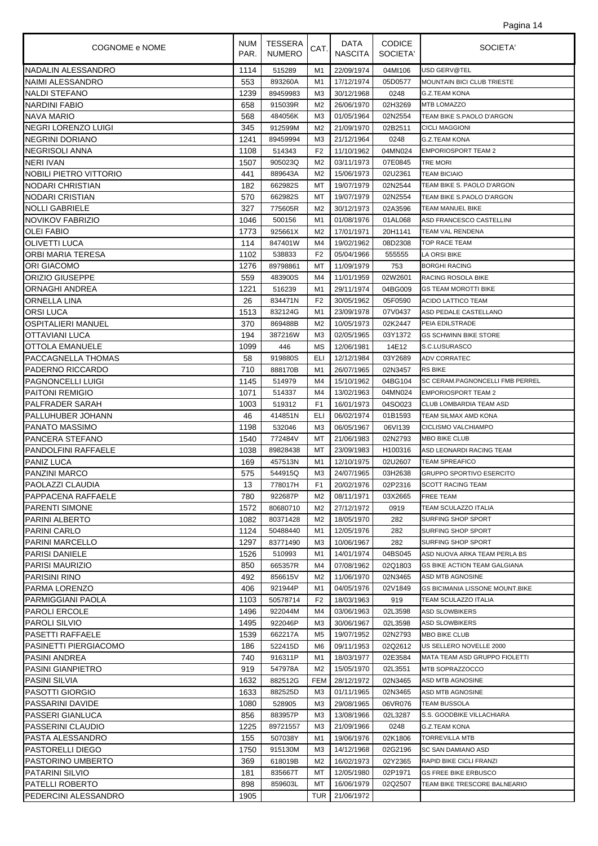| COGNOME e NOME                                 | NUM<br>PAR.  | TESSERA<br><b>NUMERO</b> | CAT.                 | DATA<br><b>NASCITA</b>   | <b>CODICE</b><br>SOCIETA' | SOCIETA'                                        |
|------------------------------------------------|--------------|--------------------------|----------------------|--------------------------|---------------------------|-------------------------------------------------|
| NADALIN ALESSANDRO                             | 1114         | 515289                   | M1                   | 22/09/1974               | 04MI106                   | USD GERV@TEL                                    |
| NAIMI ALESSANDRO                               | 553          | 893260A                  | M1                   | 17/12/1974               | 05D0577                   | <b>MOUNTAIN BICI CLUB TRIESTE</b>               |
| NALDI STEFANO                                  | 1239         | 89459983                 | M <sub>3</sub>       | 30/12/1968               | 0248                      | <b>G.Z.TEAM KONA</b>                            |
| INARDINI FABIO                                 | 658          | 915039R                  | M2                   | 26/06/1970               | 02H3269                   | <b>MTB LOMAZZO</b>                              |
| <b>NAVA MARIO</b>                              | 568          | 484056K                  | M <sub>3</sub>       | 01/05/1964               | 02N2554                   | TEAM BIKE S.PAOLO D'ARGON                       |
| INEGRI LORENZO LUIGI                           | 345          | 912599M                  | M <sub>2</sub>       | 21/09/1970               | 02B2511                   | <b>CICLI MAGGIONI</b>                           |
| <b>NEGRINI DORIANO</b>                         | 1241         | 89459994                 | M <sub>3</sub>       | 21/12/1964               | 0248                      | <b>G.Z.TEAM KONA</b>                            |
| NEGRISOLI ANNA                                 | 1108         | 514343                   | F <sub>2</sub>       | 11/10/1962               | 04MN024                   | <b>EMPORIOSPORT TEAM 2</b>                      |
| NERI IVAN                                      | 1507         | 905023Q                  | M <sub>2</sub>       | 03/11/1973               | 07E0845                   | <b>TRE MORI</b>                                 |
| NOBILI PIETRO VITTORIO                         | 441          | 889643A                  | M <sub>2</sub>       | 15/06/1973               | 02U2361                   | <b>TEAM BICIAIO</b>                             |
| NODARI CHRISTIAN                               | 182          | 662982S                  | МT                   | 19/07/1979               | 02N2544                   | TEAM BIKE S. PAOLO D'ARGON                      |
| NODARI CRISTIAN                                | 570          | 662982S                  | МT                   | 19/07/1979               | 02N2554                   | TEAM BIKE S.PAOLO D'ARGON                       |
| <b>NOLLI GABRIELE</b>                          | 327          | 775605R                  | M <sub>2</sub>       | 30/12/1973               | 02A3596                   | TEAM MANUEL BIKE                                |
| NOVIKOV FABRIZIO                               | 1046         | 500156                   | M1                   | 01/08/1976               | 01AL068                   | ASD FRANCESCO CASTELLINI                        |
| <b>OLEI FABIO</b>                              | 1773         | 925661X                  | M2                   | 17/01/1971               | 20H1141                   | TEAM VAL RENDENA                                |
| <b>OLIVETTI LUCA</b>                           | 114          | 847401W                  | M4                   | 19/02/1962               | 08D2308                   | <b>TOP RACE TEAM</b>                            |
| <b>ORBI MARIA TERESA</b><br><b>ORI GIACOMO</b> | 1102<br>1276 | 538833<br>89798861       | F <sub>2</sub><br>МT | 05/04/1966<br>11/09/1979 | 555555<br>753             | LA ORSI BIKE<br><b>BORGHI RACING</b>            |
| <b>ORIZIO GIUSEPPE</b>                         | 559          | 483900S                  | M4                   | 11/01/1959               | 02W2601                   | <b>RACING ROSOLA BIKE</b>                       |
| <b>ORNAGHI ANDREA</b>                          | 1221         | 516239                   | M1                   | 29/11/1974               | 04BG009                   | <b>GS TEAM MOROTTI BIKE</b>                     |
| ORNELLA LINA                                   | 26           | 834471N                  | F <sub>2</sub>       | 30/05/1962               | 05F0590                   | ACIDO LATTICO TEAM                              |
| ORSI LUCA                                      | 1513         | 832124G                  | M1                   | 23/09/1978               | 07V0437                   | ASD PEDALE CASTELLANO                           |
| <b>OSPITALIERI MANUEL</b>                      | 370          | 869488B                  | M <sub>2</sub>       | 10/05/1973               | 02K2447                   | PEIA EDILSTRADE                                 |
| OTTAVIANI LUCA                                 | 194          | 387216W                  | M <sub>3</sub>       | 02/05/1965               | 03Y1372                   | <b>GS SCHWINN BIKE STORE</b>                    |
| OTTOLA EMANUELE                                | 1099         | 446                      | MS                   | 12/06/1981               | 14E12                     | S.C.LUSURASCO                                   |
| PACCAGNELLA THOMAS                             | 58           | 919880S                  | ELI                  | 12/12/1984               | 03Y2689                   | <b>ADV CORRATEC</b>                             |
| PADERNO RICCARDO                               | 710          | 888170B                  | M1                   | 26/07/1965               | 02N3457                   | <b>RS BIKE</b>                                  |
| <b>PAGNONCELLI LUIGI</b>                       | 1145         | 514979                   | M4                   | 15/10/1962               | 04BG104                   | SC CERAM.PAGNONCELLI FMB PERREL                 |
| <b>PAITONI REMIGIO</b>                         | 1071         | 514337                   | M4                   | 13/02/1963               | 04MN024                   | <b>EMPORIOSPORT TEAM 2</b>                      |
| <b>PALFRADER SARAH</b>                         | 1003         | 519312                   | F <sub>1</sub>       | 16/01/1973               | 04SO023                   | <b>CLUB LOMBARDIA TEAM ASD</b>                  |
| PALLUHUBER JOHANN                              | 46           | 414851N                  | ELI                  | 06/02/1974               | 01B1593                   | TEAM SILMAX AMD KONA                            |
| <b>PANATO MASSIMO</b>                          | 1198         | 532046                   | MЗ                   | 06/05/1967               | 06VI139                   | CICLISMO VALCHIAMPO                             |
| PANCERA STEFANO                                | 1540         | 772484V                  | МT                   | 21/06/1983               | 02N2793                   | <b>MBO BIKE CLUB</b>                            |
| <b>PANDOLFINI RAFFAELE</b>                     | 1038         | 89828438                 | МT                   | 23/09/1983               | H100316                   | ASD LEONARDI RACING TEAM                        |
| <b>PANIZ LUCA</b>                              | 169          | 457513N                  | M1                   | 12/10/1975               | 02U2607                   | <b>TEAM SPREAFICO</b>                           |
| <b>PANZINI MARCO</b>                           | 575          | 544915Q                  | M <sub>3</sub>       | 24/07/1965               | 03H2638                   | <b>GRUPPO SPORTIVO ESERCITO</b>                 |
| <b>PAOLAZZI CLAUDIA</b>                        | 13           | 778017H                  | F <sub>1</sub>       | 20/02/1976               | 02P2316                   | <b>SCOTT RACING TEAM</b>                        |
| PAPPACENA RAFFAELE                             | 780          | 922687P                  | M2                   | 08/11/1971               | 03X2665                   | <b>FREE TEAM</b>                                |
| <b>PARENTI SIMONE</b>                          | 1572         | 80680710                 | M2                   | 27/12/1972               | 0919                      | TEAM SCULAZZO ITALIA                            |
| PARINI ALBERTO                                 | 1082         | 80371428                 | M <sub>2</sub>       | 18/05/1970               | 282                       | SURFING SHOP SPORT                              |
| PARINI CARLO                                   | 1124         | 50488440                 | M1                   | 12/05/1976               | 282                       | <b>SURFING SHOP SPORT</b>                       |
| PARINI MARCELLO                                | 1297         | 83771490                 | MЗ                   | 10/06/1967               | 282                       | SURFING SHOP SPORT                              |
| <b>PARISI DANIELE</b>                          | 1526         | 510993                   | M1                   | 14/01/1974               | 04BS045                   | ASD NUOVA ARKA TEAM PERLA BS                    |
| <b>PARISI MAURIZIO</b>                         | 850          | 665357R                  | M4                   | 07/08/1962               | 02Q1803                   | <b>GS BIKE ACTION TEAM GALGIANA</b>             |
| PARISINI RINO                                  | 492          | 856615V                  | M <sub>2</sub>       | 11/06/1970               | 02N3465                   | ASD MTB AGNOSINE                                |
| PARMA LORENZO                                  | 406          | 921944P                  | M1                   | 04/05/1976               | 02V1849                   | <b>GS BICIMANIA LISSONE MOUNT.BIKE</b>          |
| PARMIGGIANI PAOLA                              | 1103         | 50578714                 | F <sub>2</sub>       | 18/03/1963               | 919                       | TEAM SCULAZZO ITALIA                            |
| PAROLI ERCOLE                                  | 1496         | 922044M                  | M4                   | 03/06/1963               | 02L3598                   | <b>ASD SLOWBIKERS</b>                           |
| PAROLI SILVIO <br>PASETTI RAFFAELE             | 1495         | 922046P                  | MЗ<br>M5             | 30/06/1967<br>19/07/1952 | 02L3598<br>02N2793        | <b>ASD SLOWBIKERS</b>                           |
| PASINETTI PIERGIACOMO                          | 1539<br>186  | 662217A<br>522415D       | M6                   | 09/11/1953               | 02Q2612                   | <b>MBO BIKE CLUB</b><br>US SELLERO NOVELLE 2000 |
| IPASINI ANDREA                                 | 740          | 916311P                  | M1                   | 18/03/1977               | 02E3584                   | MATA TEAM ASD GRUPPO FIOLETTI                   |
| PASINI GIANPIETRO                              | 919          | 547978A                  | M <sub>2</sub>       | 15/05/1970               | 02L3551                   | MTB SOPRAZZOCCO                                 |
| <b>PASINI SILVIA</b>                           | 1632         | 882512G                  | <b>FEM</b>           | 28/12/1972               | 02N3465                   | ASD MTB AGNOSINE                                |
| <b>PASOTTI GIORGIO</b>                         | 1633         | 882525D                  | MЗ                   | 01/11/1965               | 02N3465                   | ASD MTB AGNOSINE                                |
| PASSARINI DAVIDE                               | 1080         | 528905                   | M <sub>3</sub>       | 29/08/1965               | 06VR076                   | <b>TEAM BUSSOLA</b>                             |
| PASSERI GIANLUCA                               | 856          | 883957P                  | M <sub>3</sub>       | 13/08/1966               | 02L3287                   | S.S. GOODBIKE VILLACHIARA                       |
| PASSERINI CLAUDIO                              | 1225         | 89721557                 | M <sub>3</sub>       | 21/09/1966               | 0248                      | <b>G.Z.TEAM KONA</b>                            |
| PASTA ALESSANDRO                               | 155          | 507038Y                  | M1                   | 19/06/1976               | 02K1806                   | <b>TORREVILLA MTB</b>                           |
| PASTORELLI DIEGO                               | 1750         | 915130M                  | MЗ                   | 14/12/1968               | 02G2196                   | <b>SC SAN DAMIANO ASD</b>                       |
| IPASTORINO UMBERTO                             | 369          | 618019B                  | M2                   | 16/02/1973               | 02Y2365                   | RAPID BIKE CICLI FRANZI                         |
| PATARINI SILVIO                                | 181          | 835667T                  | МT                   | 12/05/1980               | 02P1971                   | <b>GS FREE BIKE ERBUSCO</b>                     |
| PATELLI ROBERTO                                | 898          | 859603L                  | МT                   | 16/06/1979               | 02Q2507                   | TEAM BIKE TRESCORE BALNEARIO                    |
| PEDERCINI ALESSANDRO                           | 1905         |                          | <b>TUR</b>           | 21/06/1972               |                           |                                                 |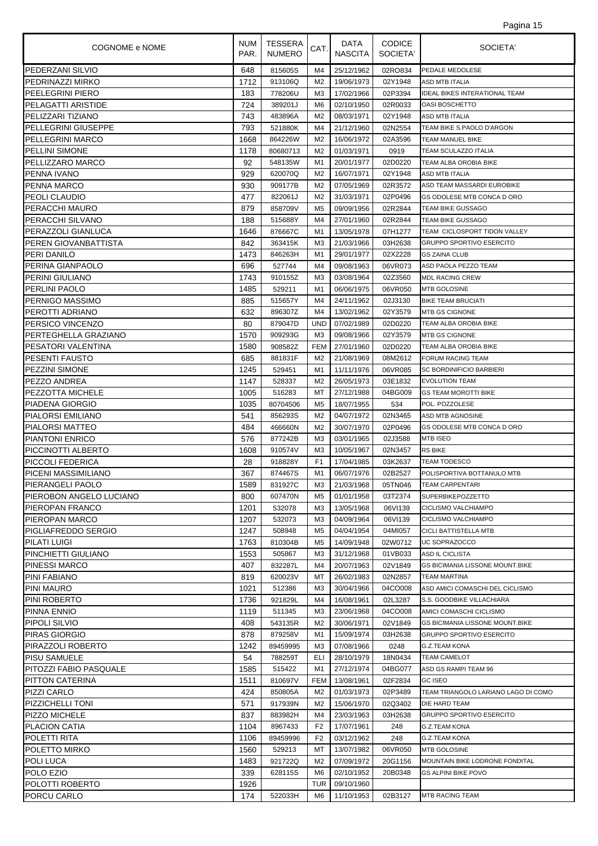| COGNOME e NOME                           | <b>NUM</b><br>PAR. | <b>TESSERA</b><br><b>NUMERO</b> | CAT.           | DATA<br><b>NASCITA</b>   | <b>CODICE</b><br>SOCIETA' | SOCIETA'                                                                  |
|------------------------------------------|--------------------|---------------------------------|----------------|--------------------------|---------------------------|---------------------------------------------------------------------------|
| <b>PEDERZANI SILVIO</b>                  | 648                | 815605S                         | M4             | 25/12/1962               | 02RO834                   | PEDALE MEDOLESE                                                           |
| PEDRINAZZI MIRKO                         | 1712               | 913106Q                         | M2             | 19/06/1973               | 02Y1948                   | ASD MTB ITALIA                                                            |
| PEELEGRINI PIERO                         | 183                | 778206U                         | M3             | 17/02/1966               | 02P3394                   | <b>IDEAL BIKES INTERATIONAL TEAM</b>                                      |
| PELAGATTI ARISTIDE                       | 724                | 389201J                         | M6             | 02/10/1950               | 02R0033                   | <b>OASI BOSCHETTO</b>                                                     |
| PELIZZARI TIZIANO                        | 743                | 483896A                         | M2             | 08/03/1971               | 02Y1948                   | ASD MTB ITALIA                                                            |
| <b>PELLEGRINI GIUSEPPE</b>               | 793                | 521880K                         | M4             | 21/12/1960               | 02N2554                   | TEAM BIKE S.PAOLO D'ARGON                                                 |
| <b>PELLEGRINI MARCO</b>                  | 1668               | 864226W                         | M <sub>2</sub> | 16/06/1972               | 02A3596                   | <b>TEAM MANUEL BIKE</b>                                                   |
| <b>PELLINI SIMONE</b>                    | 1178               | 80680713                        | M <sub>2</sub> | 01/03/1971               | 0919                      | TEAM SCULAZZO ITALIA                                                      |
| PELLIZZARO MARCO                         | 92                 | 548135W                         | M1             | 20/01/1977               | 02D0220                   | TEAM ALBA OROBIA BIKE                                                     |
| PENNA IVANO                              | 929                | 620070Q                         | M <sub>2</sub> | 16/07/1971               | 02Y1948                   | <b>ASD MTB ITALIA</b>                                                     |
| PENNA MARCO                              | 930                | 909177B                         | M <sub>2</sub> | 07/05/1969               | 02R3572                   | ASD TEAM MASSARDI EUROBIKE                                                |
| <b>PEOLI CLAUDIO</b>                     | 477                | 822061J                         | M <sub>2</sub> | 31/03/1971               | 02P0496                   | GS ODOLESE MTB CONCA D ORO                                                |
| PERACCHI MAURO                           | 879                | 858709V                         | M <sub>5</sub> | 09/09/1956               | 02R2844                   | TEAM BIKE GUSSAGO                                                         |
| <b>PERACCHI SILVANO</b>                  | 188                | 515688Y                         | M4             | 27/01/1960               | 02R2844                   | TEAM BIKE GUSSAGO                                                         |
| PERAZZOLI GIANLUCA                       | 1646               | 876667C                         | M1             | 13/05/1978               | 07H1277                   | TEAM CICLOSPORT TIDON VALLEY                                              |
| PEREN GIOVANBATTISTA                     | 842                | 363415K                         | M3             | 21/03/1966               | 03H2638                   | <b>GRUPPO SPORTIVO ESERCITO</b>                                           |
| PERI DANILO                              | 1473               | 846263H                         | M <sub>1</sub> | 29/01/1977               | 02X2228                   | <b>GS ZAINA CLUB</b>                                                      |
| PERINA GIANPAOLO                         | 696                | 527744                          | M4             | 09/08/1963               | 06VR073                   | ASD PAOLA PEZZO TEAM                                                      |
| <b>PERINI GIULIANO</b>                   | 1743               | 910155Z                         | M3             | 03/08/1964               | 02Z3560                   | <b>MDL RACING CREW</b>                                                    |
| PERLINI PAOLO                            | 1485               | 529211                          | M1             | 06/06/1975               | 06VR050                   | <b>MTB GOLOSINE</b>                                                       |
| PERNIGO MASSIMO                          | 885                | 515657Y                         | M4             | 24/11/1962               | 02J3130                   | <b>BIKE TEAM BRUCIATI</b>                                                 |
| PEROTTI ADRIANO                          | 632                | 896307Z                         | M4             | 13/02/1962               | 02Y3579                   | MTB GS CIGNONE                                                            |
| PERSICO VINCENZO                         | 80                 | 879047D                         | UND            | 07/02/1989               | 02D0220                   | TEAM ALBA OROBIA BIKE                                                     |
| PERTEGHELLA GRAZIANO                     | 1570               | 909293G                         | M3             | 09/08/1966               | 02Y3579                   | MTB GS CIGNONE                                                            |
| PESATORI VALENTINA                       | 1580               | 908582Z                         | <b>FEM</b>     | 27/01/1960               | 02D0220                   | TEAM ALBA OROBIA BIKE                                                     |
| <b>PESENTI FAUSTO</b>                    | 685                | 881831F                         | M2             | 21/08/1969               | 08M2612                   | FORUM RACING TEAM                                                         |
| <b>PEZZINI SIMONE</b>                    | 1245               | 529451                          | M1             | 11/11/1976               | 06VR085                   | <b>SC BORDINIFICIO BARBIERI</b>                                           |
| PEZZO ANDREA                             | 1147               | 528337                          | M <sub>2</sub> | 26/05/1973               | 03E1832                   | <b>EVOLUTION TEAM</b>                                                     |
| PEZZOTTA MICHELE                         | 1005               | 516283                          | МT             | 27/12/1988               | 04BG009                   | <b>GS TEAM MOROTTI BIKE</b>                                               |
| <b>PIADENA GIORGIO</b>                   | 1035               | 80704506                        | M <sub>5</sub> | 18/07/1955               | 534                       | POL. POZZOLESE                                                            |
| <b>PIALORSI EMILIANO</b>                 | 541                | 856293S                         | M <sub>2</sub> | 04/07/1972               | 02N3465                   | ASD MTB AGNOSINE                                                          |
| <b>PIALORSI MATTEO</b>                   | 484                | 466660N                         | M <sub>2</sub> | 30/07/1970               | 02P0496                   | GS ODOLESE MTB CONCA D ORO                                                |
| <b>PIANTONI ENRICO</b>                   | 576                | 877242B                         | M3             | 03/01/1965               | 02J3588                   | <b>MTB ISEO</b>                                                           |
| PICCINOTTI ALBERTO                       | 1608               | 910574V                         | M3             | 10/05/1967               | 02N3457                   | <b>RS BIKE</b>                                                            |
| <b>PICCOLI FEDERICA</b>                  | 28                 | 918828Y                         | F <sub>1</sub> | 17/04/1985               | 03K2637                   | <b>TEAM TODESCO</b>                                                       |
| PICENI MASSIMILIANO                      | 367                | 874467S                         | M1             | 06/07/1976               | 02B2527                   | POLISPORTIVA BOTTANULO MTB                                                |
| <b>PIERANGELI PAOLO</b>                  | 1589               | 831927C                         | MЗ             | 21/03/1968               | 05TN046                   | <b>TEAM CARPENTARI</b>                                                    |
| PIEROBON ANGELO LUCIANO                  | 800                | 607470N                         | M5             | 01/01/1958               | 03T2374                   | <b>SUPERBIKEPOZZETTO</b>                                                  |
| PIEROPAN FRANCO                          | 1201               | 532078                          | MЗ             | 13/05/1968               | 06VI139                   | CICLISMO VALCHIAMPO                                                       |
| PIEROPAN MARCO                           | 1207               | 532073                          | M3             | 04/09/1964               | 06VI139                   | CICLISMO VALCHIAMPO                                                       |
| <b>PIGLIAFREDDO SERGIO</b>               | 1247               | 508948                          | M <sub>5</sub> | 04/04/1954               | 04MI057                   | CICLI BATTISTELLA MTB                                                     |
| <b>PILATI LUIGI</b>                      | 1763               | 810304B                         | M5             | 14/09/1948               | 02W0712                   | UC SOPRAZOCCO                                                             |
| <b>PINCHIETTI GIULIANO</b>               | 1553               | 505867                          | MЗ             | 31/12/1968               | 01VB033                   | ASD IL CICLISTA                                                           |
| <b>PINESSI MARCO</b>                     | 407                | 832287L                         | M4             | 20/07/1963               | 02V1849                   | <b>GS BICIMANIA LISSONE MOUNT.BIKE</b>                                    |
| <b>PINI FABIANO</b>                      | 819                | 620023V                         | МT             | 26/02/1983               | 02N2857                   | <b>TEAM MARTINA</b>                                                       |
| <b>PINI MAURO</b>                        | 1021               | 512386                          | M3             | 30/04/1966               | 04CO008                   | ASD AMICI COMASCHI DEL CICLISMO                                           |
| <b>PINI ROBERTO</b>                      | 1736               | 921829L                         | M4             | 16/08/1961               | 02L3287                   | S.S. GOODBIKE VILLACHIARA<br>AMICI COMASCHI CICLISMO                      |
| PINNA ENNIO                              | 1119               | 511345                          | MЗ             | 23/06/1968               | 04CO008                   |                                                                           |
| PIPOLI SILVIO<br><b>PIRAS GIORGIO</b>    | 408<br>878         | 543135R<br>879258V              | M2<br>M1       | 30/06/1971<br>15/09/1974 | 02V1849                   | <b>GS BICIMANIA LISSONE MOUNT.BIKE</b><br><b>GRUPPO SPORTIVO ESERCITO</b> |
|                                          | 1242               | 89459995                        | MЗ             | 07/08/1966               | 03H2638<br>0248           | G.Z.TEAM KONA                                                             |
| PIRAZZOLI ROBERTO<br><b>PISU SAMUELE</b> | 54                 |                                 | ELI            |                          |                           | <b>TEAM CAMELOT</b>                                                       |
| PITOZZI FABIO PASQUALE                   | 1585               | 788259T                         | M1             | 28/10/1979<br>27/12/1974 | 18N0434<br>04BG077        | ASD GS RAMPI TEAM 96                                                      |
| PITTON CATERINA                          | 1511               | 515422<br>810697V               | <b>FEM</b>     | 13/08/1961               | 02F2834                   | <b>GC ISEO</b>                                                            |
|                                          |                    |                                 |                | 01/03/1973               | 02P3489                   | TEAM TRIANGOLO LARIANO LAGO DI COMO                                       |
| PIZZI CARLO<br><b>PIZZICHELLI TONI</b>   | 424<br>571         | 850805A<br>917939N              | M2<br>M2       | 15/06/1970               | 02Q3402                   | DIE HARD TEAM                                                             |
| PIZZO MICHELE                            | 837                | 883982H                         | M4             | 23/03/1963               | 03H2638                   | <b>GRUPPO SPORTIVO ESERCITO</b>                                           |
| <b>PLACION CATIA</b>                     | 1104               | 8967433                         | F <sub>2</sub> | 17/07/1961               | 248                       | <b>G.Z.TEAM KONA</b>                                                      |
| POLETTI RITA                             | 1106               | 89459996                        | F <sub>2</sub> |                          | 248                       | G.Z.TEAM KONA                                                             |
| POLETTO MIRKO                            | 1560               | 529213                          | МT             | 03/12/1962<br>13/07/1982 | 06VR050                   | MTB GOLOSINE                                                              |
| POLI LUCA                                | 1483               | 921722Q                         | M2             | 07/09/1972               | 20G1156                   | MOUNTAIN BIKE LODRONE FONDITAL                                            |
| POLO EZIO                                | 339                | 628115S                         | M6             | 02/10/1952               | 20B0348                   | <b>GS ALPINI BIKE POVO</b>                                                |
| POLOTTI ROBERTO                          | 1926               |                                 | TUR            | 09/10/1960               |                           |                                                                           |
| PORCU CARLO                              | 174                | 522033H                         | M6             | 11/10/1953               | 02B3127                   | <b>MTB RACING TEAM</b>                                                    |
|                                          |                    |                                 |                |                          |                           |                                                                           |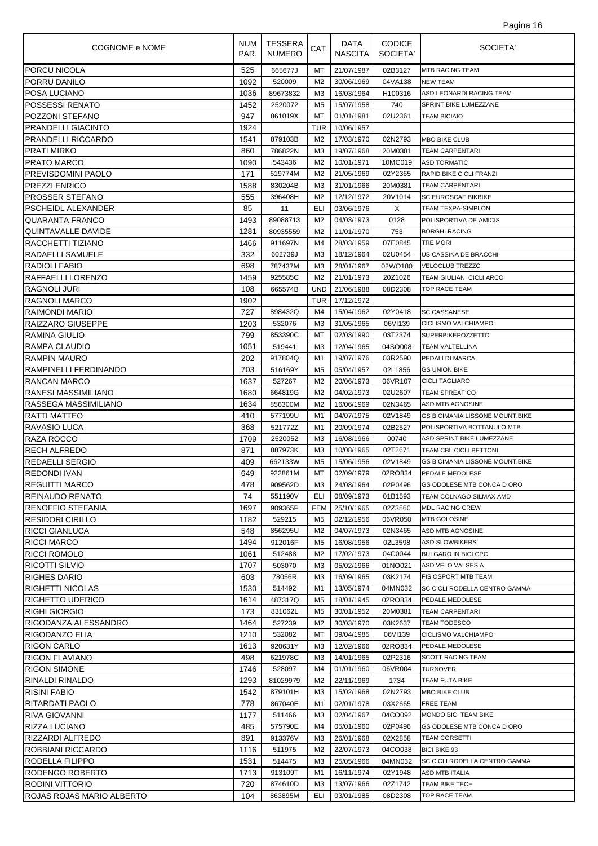| COGNOME e NOME                                   | <b>NUM</b><br>PAR. | <b>TESSERA</b><br><b>NUMERO</b> | CAT.                 | DATA<br><b>NASCITA</b>   | <b>CODICE</b><br>SOCIETA' | SOCIETA'                                |
|--------------------------------------------------|--------------------|---------------------------------|----------------------|--------------------------|---------------------------|-----------------------------------------|
| <b>PORCU NICOLA</b>                              | 525                | 665677J                         | МT                   | 21/07/1987               | 02B3127                   | <b>MTB RACING TEAM</b>                  |
| PORRU DANILO                                     | 1092               | 520009                          | M <sub>2</sub>       | 30/06/1969               | 04VA138                   | <b>NEW TEAM</b>                         |
| POSA LUCIANO                                     | 1036               | 89673832                        | M <sub>3</sub>       | 16/03/1964               | H100316                   | ASD LEONARDI RACING TEAM                |
| <b>POSSESSI RENATO</b>                           | 1452               | 2520072                         | M5                   | 15/07/1958               | 740                       | SPRINT BIKE LUMEZZANE                   |
| POZZONI STEFANO                                  | 947                | 861019X                         | МT                   | 01/01/1981               | 02U2361                   | TEAM BICIAIO                            |
| <b>PRANDELLI GIACINTO</b>                        | 1924               |                                 | TUR                  | 10/06/1957               |                           |                                         |
| <b>PRANDELLI RICCARDO</b>                        | 1541               | 879103B                         | M <sub>2</sub>       | 17/03/1970               | 02N2793                   | <b>MBO BIKE CLUB</b>                    |
| <b>PRATI MIRKO</b>                               | 860                | 786822N                         | M3                   | 19/07/1968               | 20M0381                   | <b>TEAM CARPENTARI</b>                  |
| <b>PRATO MARCO</b>                               | 1090               | 543436                          | M <sub>2</sub>       | 10/01/1971               | 10MC019                   | <b>ASD TORMATIC</b>                     |
| <b>PREVISDOMINI PAOLO</b>                        | 171                | 619774M                         | M2                   | 21/05/1969               | 02Y2365                   | RAPID BIKE CICLI FRANZI                 |
| <b>PREZZI ENRICO</b>                             | 1588               | 830204B                         | M3                   | 31/01/1966               | 20M0381                   | <b>TEAM CARPENTARI</b>                  |
| <b>PROSSER STEFANO</b>                           | 555                | 396408H                         | M <sub>2</sub>       | 12/12/1972               | 20V1014                   | SC EUROSCAF BIKBIKE                     |
| PSCHEIDL ALEXANDER                               | 85                 | 11                              | ELI                  | 03/06/1976               | X                         | TEAM TEXPA-SIMPLON                      |
| <b>QUARANTA FRANCO</b>                           | 1493               | 89088713                        | M <sub>2</sub>       | 04/03/1973               | 0128                      | POLISPORTIVA DE AMICIS                  |
| QUINTAVALLE DAVIDE                               | 1281               | 80935559                        | M <sub>2</sub>       | 11/01/1970               | 753                       | <b>BORGHI RACING</b>                    |
| RACCHETTI TIZIANO                                | 1466               | 911697N                         | M4                   | 28/03/1959               | 07E0845                   | tre Mori<br>US CASSINA DE BRACCHI       |
| RADAELLI SAMUELE<br><b>RADIOLI FABIO</b>         | 332<br>698         | 602739J<br>787437M              | MЗ<br>M3             | 18/12/1964<br>28/01/1967 | 02U0454<br>02WO180        | <b>VELOCLUB TREZZO</b>                  |
| RAFFAELLI LORENZO                                | 1459               | 925585C                         | M <sub>2</sub>       | 21/01/1973               | 20Z1026                   | <b>TEAM GIULIANI CICLI ARCO</b>         |
| <b>RAGNOLI JURI</b>                              | 108                | 665574B                         | <b>UND</b>           | 21/06/1988               | 08D2308                   | <b>TOP RACE TEAM</b>                    |
| <b>RAGNOLI MARCO</b>                             | 1902               |                                 | TUR                  | 17/12/1972               |                           |                                         |
| RAIMONDI MARIO                                   | 727                | 898432Q                         | M4                   | 15/04/1962               | 02Y0418                   | <b>SC CASSANESE</b>                     |
| RAIZZARO GIUSEPPE                                | 1203               | 532076                          | M3                   | 31/05/1965               | 06VI139                   | CICLISMO VALCHIAMPO                     |
| RAMINA GIULIO                                    | 799                | 853390C                         | МT                   | 02/03/1990               | 03T2374                   | SUPERBIKEPOZZETTO                       |
| RAMPA CLAUDIO                                    | 1051               | 519441                          | M <sub>3</sub>       | 12/04/1965               | 04SO008                   | <b>TEAM VALTELLINA</b>                  |
| <b>RAMPIN MAURO</b>                              | 202                | 917804Q                         | M1                   | 19/07/1976               | 03R2590                   | PEDALI DI MARCA                         |
| RAMPINELLI FERDINANDO                            | 703                | 516169Y                         | M5                   | 05/04/1957               | 02L1856                   | <b>GS UNION BIKE</b>                    |
| <b>RANCAN MARCO</b>                              | 1637               | 527267                          | M <sub>2</sub>       | 20/06/1973               | 06VR107                   | <b>CICLI TAGLIARO</b>                   |
| RANESI MASSIMILIANO                              | 1680               | 664819G                         | M <sub>2</sub>       | 04/02/1973               | 02U2607                   | TEAM SPREAFICO                          |
| <b>RASSEGA MASSIMILIANO</b>                      | 1634               | 856300M                         | M <sub>2</sub>       | 16/06/1969               | 02N3465                   | ASD MTB AGNOSINE                        |
| RATTI MATTEO                                     | 410                | 577199U                         | M1                   | 04/07/1975               | 02V1849                   | <b>GS BICIMANIA LISSONE MOUNT.BIKE</b>  |
| <b>RAVASIO LUCA</b>                              | 368                | 521772Z                         | M1                   | 20/09/1974               | 02B2527                   | POLISPORTIVA BOTTANULO MTB              |
| RAZA ROCCO                                       | 1709               | 2520052                         | ΜЗ                   | 16/08/1966               | 00740                     | ASD SPRINT BIKE LUMEZZANE               |
| RECH ALFREDO                                     | 871                | 887973K                         | MЗ                   | 10/08/1965               | 02T2671                   | TEAM CBL CICLI BETTONI                  |
| REDAELLI SERGIO                                  | 409                | 662133W                         | M <sub>5</sub>       | 15/06/1956               | 02V1849                   | <b>GS BICIMANIA LISSONE MOUNT.BIKE</b>  |
| <b>REDONDI IVAN</b>                              | 649                | 922861M                         | MT                   | 02/09/1979               | 02RO834                   | PEDALE MEDOLESE                         |
| <b>REGUITTI MARCO</b>                            | 478                | 909562D                         | MЗ                   | 24/08/1964               | 02P0496                   | GS ODOLESE MTB CONCA D ORO              |
| REINAUDO RENATO                                  | 74                 | 551190V                         | ELI                  | 08/09/1973               | 01B1593                   | TEAM COLNAGO SILMAX AMD                 |
| RENOFFIO STEFANIA                                | 1697               | 909365P                         | <b>FEM</b>           | 25/10/1965               | 02Z3560                   | <b>MDL RACING CREW</b>                  |
| <b>RESIDORI CIRILLO</b><br><b>RICCI GIANLUCA</b> | 1182<br>548        | 529215<br>856295U               | M5<br>M <sub>2</sub> | 02/12/1956<br>04/07/1973 | 06VR050<br>02N3465        | <b>MTB GOLOSINE</b><br>ASD MTB AGNOSINE |
| <b>RICCI MARCO</b>                               | 1494               | 912016F                         | M5                   | 16/08/1956               | 02L3598                   | <b>ASD SLOWBIKERS</b>                   |
| <b>RICCI ROMOLO</b>                              | 1061               | 512488                          | M2                   | 17/02/1973               | 04C0044                   | <b>BULGARO IN BICI CPC</b>              |
| RICOTTI SILVIO                                   | 1707               | 503070                          | MЗ                   | 05/02/1966               | 01NO021                   | ASD VELO VALSESIA                       |
| <b>RIGHES DARIO</b>                              | 603                | 78056R                          | MЗ                   | 16/09/1965               | 03K2174                   | <b>FISIOSPORT MTB TEAM</b>              |
| RIGHETTI NICOLAS                                 | 1530               | 514492                          | M1                   | 13/05/1974               | 04MN032                   | SC CICLI RODELLA CENTRO GAMMA           |
| <b>RIGHETTO UDERICO</b>                          | 1614               | 487317Q                         | M5                   | 18/01/1945               | 02RO834                   | PEDALE MEDOLESE                         |
| <b>RIGHI GIORGIO</b>                             | 173                | 831062L                         | M5                   | 30/01/1952               | 20M0381                   | <b>TEAM CARPENTARI</b>                  |
| RIGODANZA ALESSANDRO                             | 1464               | 527239                          | M2                   | 30/03/1970               | 03K2637                   | TEAM TODESCO                            |
| RIGODANZO ELIA                                   | 1210               | 532082                          | МT                   | 09/04/1985               | 06VI139                   | CICLISMO VALCHIAMPO                     |
| <b>RIGON CARLO</b>                               | 1613               | 920631Y                         | MЗ                   | 12/02/1966               | 02RO834                   | PEDALE MEDOLESE                         |
| <b>RIGON FLAVIANO</b>                            | 498                | 621978C                         | M3                   | 14/01/1965               | 02P2316                   | SCOTT RACING TEAM                       |
| IRIGON SIMONE                                    | 1746               | 528097                          | M4                   | 01/01/1960               | 06VR004                   | TURNOVER                                |
| RINALDI RINALDO                                  | 1293               | 81029979                        | M2                   | 22/11/1969               | 1734                      | TEAM FUTA BIKE                          |
| <b>RISINI FABIO</b>                              | 1542               | 879101H                         | MЗ                   | 15/02/1968               | 02N2793                   | <b>MBO BIKE CLUB</b>                    |
| RITARDATI PAOLO                                  | 778                | 867040E                         | M1                   | 02/01/1978               | 03X2665                   | <b>FREE TEAM</b>                        |
| <b>RIVA GIOVANNI</b>                             | 1177               | 511466                          | M3                   | 02/04/1967               | 04CO092                   | <b>MONDO BICI TEAM BIKE</b>             |
| <b>RIZZA LUCIANO</b>                             | 485                | 575790E                         | M4                   | 05/01/1960               | 02P0496                   | GS ODOLESE MTB CONCA D ORO              |
| RIZZARDI ALFREDO                                 | 891                | 913376V                         | MЗ                   | 26/01/1968               | 02X2858                   | <b>TEAM CORSETTI</b>                    |
| ROBBIANI RICCARDO                                | 1116               | 511975                          | M2                   | 22/07/1973               | 04CO038                   | <b>BICI BIKE 93</b>                     |
| RODELLA FILIPPO                                  | 1531               | 514475                          | MЗ                   | 25/05/1966               | 04MN032                   | SC CICLI RODELLA CENTRO GAMMA           |
| RODENGO ROBERTO                                  | 1713               | 913109T                         | M1                   | 16/11/1974               | 02Y1948                   | ASD MTB ITALIA                          |
| RODINI VITTORIO                                  | 720                | 874610D                         | MЗ                   | 13/07/1966               | 02Z1742                   | TEAM BIKE TECH                          |
| ROJAS ROJAS MARIO ALBERTO                        | 104                | 863895M                         | ELI                  | 03/01/1985               | 08D2308                   | TOP RACE TEAM                           |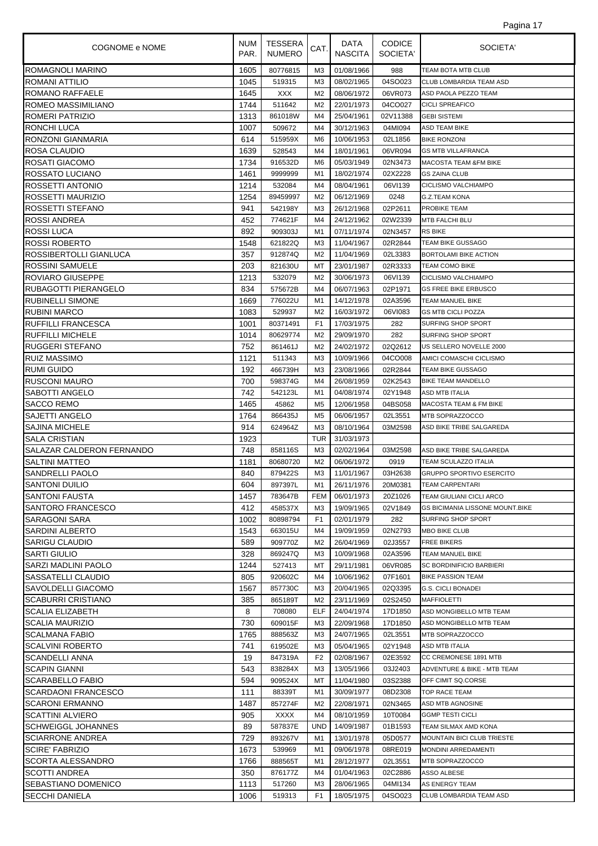| COGNOME e NOME                | NUM<br>PAR. | TESSERA<br><b>NUMERO</b> | CAT.           | DATA<br><b>NASCITA</b> | <b>CODICE</b><br>SOCIETA' | SOCIETA'                          |
|-------------------------------|-------------|--------------------------|----------------|------------------------|---------------------------|-----------------------------------|
| <b>ROMAGNOLI MARINO</b>       | 1605        | 80776815                 | M <sub>3</sub> | 01/08/1966             | 988                       | TEAM BOTA MTB CLUB                |
| ROMANI ATTILIO                | 1045        | 519315                   | M <sub>3</sub> | 08/02/1965             | 04SO023                   | CLUB LOMBARDIA TEAM ASD           |
| ROMANO RAFFAELE               | 1645        | XXX                      | M <sub>2</sub> | 08/06/1972             | 06VR073                   | ASD PAOLA PEZZO TEAM              |
| <b>ROMEO MASSIMILIANO</b>     | 1744        | 511642                   | M2             | 22/01/1973             | 04CO027                   | <b>CICLI SPREAFICO</b>            |
| ROMERI PATRIZIO               | 1313        | 861018W                  | M4             | 25/04/1961             | 02V11388                  | <b>GEBI SISTEMI</b>               |
| <b>RONCHI LUCA</b>            | 1007        | 509672                   | M4             | 30/12/1963             | 04MI094                   | ASD TEAM BIKE                     |
| RONZONI GIANMARIA             | 614         | 515959X                  | M <sub>6</sub> | 10/06/1953             | 02L1856                   | <b>BIKE RONZONI</b>               |
| ROSA CLAUDIO                  | 1639        | 528543                   | M4             | 18/01/1961             | 06VR094                   | <b>GS MTB VILLAFRANCA</b>         |
| <b>ROSATI GIACOMO</b>         | 1734        | 916532D                  | M6             | 05/03/1949             | 02N3473                   | <b>MACOSTA TEAM &amp;FM BIKE</b>  |
| ROSSATO LUCIANO               | 1461        | 9999999                  | M1             | 18/02/1974             | 02X2228                   | <b>GS ZAINA CLUB</b>              |
| ROSSETTI ANTONIO              | 1214        | 532084                   | M4             | 08/04/1961             | 06VI139                   | CICLISMO VALCHIAMPO               |
| ROSSETTI MAURIZIO             | 1254        | 89459997                 | M <sub>2</sub> | 06/12/1969             | 0248                      | G.Z.TEAM KONA                     |
| ROSSETTI STEFANO              | 941         | 542198Y                  | M <sub>3</sub> | 26/12/1968             | 02P2611                   | PROBIKE TEAM                      |
| <b>ROSSI ANDREA</b>           | 452         | 774621F                  | M4             | 24/12/1962             | 02W2339                   | MTB FALCHI BLU                    |
| <b>ROSSI LUCA</b>             | 892         | 909303J                  | M1             | 07/11/1974             | 02N3457                   | <b>RS BIKE</b>                    |
| <b>ROSSI ROBERTO</b>          | 1548        | 621822Q                  | M <sub>3</sub> | 11/04/1967             | 02R2844                   | TEAM BIKE GUSSAGO                 |
| <b>ROSSIBERTOLLI GIANLUCA</b> | 357         | 912874Q                  | M <sub>2</sub> | 11/04/1969             | 02L3383                   | BORTOLAMI BIKE ACTION             |
| <b>ROSSINI SAMUELE</b>        | 203         | 821630U                  | МT             | 23/01/1987             | 02R3333                   | <b>TEAM COMO BIKE</b>             |
| ROVIARO GIUSEPPE              | 1213        | 532079                   | M <sub>2</sub> | 30/06/1973             | 06VI139                   | CICLISMO VALCHIAMPO               |
| RUBAGOTTI PIERANGELO          | 834         | 575672B                  | M4             | 06/07/1963             | 02P1971                   | <b>GS FREE BIKE ERBUSCO</b>       |
| <b>RUBINELLI SIMONE</b>       | 1669        | 776022U                  | M1             | 14/12/1978             | 02A3596                   | <b>TEAM MANUEL BIKE</b>           |
| <b>RUBINI MARCO</b>           | 1083        | 529937                   | M <sub>2</sub> | 16/03/1972             | 06VI083                   | <b>GS MTB CICLI POZZA</b>         |
| <b>RUFFILLI FRANCESCA</b>     | 1001        | 80371491                 | F <sub>1</sub> | 17/03/1975             | 282                       | SURFING SHOP SPORT                |
| <b>RUFFILLI MICHELE</b>       | 1014        | 80629774                 | M <sub>2</sub> | 29/09/1970             | 282                       | SURFING SHOP SPORT                |
| RUGGERI STEFANO               | 752         | 861461J                  | M <sub>2</sub> | 24/02/1972             | 02Q2612                   | US SELLERO NOVELLE 2000           |
| <b>RUIZ MASSIMO</b>           | 1121        | 511343                   | M <sub>3</sub> | 10/09/1966             | 04CO008                   | AMICI COMASCHI CICLISMO           |
| <b>RUMI GUIDO</b>             | 192         | 466739H                  | MЗ             | 23/08/1966             | 02R2844                   | TEAM BIKE GUSSAGO                 |
| <b>RUSCONI MAURO</b>          | 700         | 598374G                  | M4             | 26/08/1959             | 02K2543                   | BIKE TEAM MANDELLO                |
| <b>SABOTTI ANGELO</b>         | 742         | 542123L                  | M1             | 04/08/1974             | 02Y1948                   | ASD MTB ITALIA                    |
| <b>SACCO REMO</b>             | 1465        | 45862                    | M5             | 12/06/1958             | 04BS058                   | <b>MACOSTA TEAM &amp; FM BIKE</b> |
| SAJETTI ANGELO                | 1764        | 866435J                  | M <sub>5</sub> | 06/06/1957             | 02L3551                   | MTB SOPRAZZOCCO                   |
| <b>SAJINA MICHELE</b>         | 914         | 624964Z                  | M <sub>3</sub> | 08/10/1964             | 03M2598                   | ASD BIKE TRIBE SALGAREDA          |
| <b>SALA CRISTIAN</b>          | 1923        |                          | <b>TUR</b>     | 31/03/1973             |                           |                                   |
| SALAZAR CALDERON FERNANDO     | 748         | 858116S                  | M <sub>3</sub> | 02/02/1964             | 03M2598                   | ASD BIKE TRIBE SALGAREDA          |
| <b>SALTINI MATTEO</b>         | 1181        | 80680720                 | M <sub>2</sub> | 06/06/1972             | 0919                      | TEAM SCULAZZO ITALIA              |
| <b>SANDRELLI PAOLO</b>        | 840         | 879422S                  | M <sub>3</sub> | 11/01/1967             | 03H2638                   | <b>GRUPPO SPORTIVO ESERCITO</b>   |
| <b>SANTONI DUILIO</b>         | 604         | 897397L                  | M1             | 26/11/1976             | 20M0381                   | <b>TEAM CARPENTARI</b>            |
| <b>SANTONI FAUSTA</b>         | 1457        | 783647B                  | FEM I          | 06/01/1973             | 20Z1026                   | TEAM GIULIANI CICLI ARCO          |
| SANTORO FRANCESCO             | 412         | 458537X                  | MЗ             | 19/09/1965             | 02V1849                   | GS BICIMANIA LISSONE MOUNT.BIKE   |
| SARAGONI SARA                 | 1002        | 80898794                 | F <sub>1</sub> | 02/01/1979             | 282                       | SURFING SHOP SPORT                |
| <b>SARDINI ALBERTO</b>        | 1543        | 663015U                  | M4             | 19/09/1959             | 02N2793                   | <b>MBO BIKE CLUB</b>              |
| <b>SARIGU CLAUDIO</b>         | 589         | 909770Z                  | M <sub>2</sub> | 26/04/1969             | 02J3557                   | <b>FREE BIKERS</b>                |
| <b>SARTI GIULIO</b>           | 328         | 869247Q                  | MЗ             | 10/09/1968             | 02A3596                   | TEAM MANUEL BIKE                  |
| SARZI MADLINI PAOLO           | 1244        | 527413                   | МT             | 29/11/1981             | 06VR085                   | SC BORDINIFICIO BARBIERI          |
| <b>SASSATELLI CLAUDIO</b>     | 805         | 920602C                  | M4             | 10/06/1962             | 07F1601                   | <b>BIKE PASSION TEAM</b>          |
| SAVOLDELLI GIACOMO            | 1567        | 857730C                  | M <sub>3</sub> | 20/04/1965             | 02Q3395                   | <b>G.S. CICLI BONADEI</b>         |
| <b>SCABURRI CRISTIANO</b>     | 385         | 865189T                  | M <sub>2</sub> | 23/11/1969             | 02S2450                   | <b>MAFFIOLETTI</b>                |
| <b>SCALIA ELIZABETH</b>       | 8           | 708080                   | ELF            | 24/04/1974             | 17D1850                   | ASD MONGIBELLO MTB TEAM           |
| <b>SCALIA MAURIZIO</b>        | 730         | 609015F                  | MЗ             | 22/09/1968             | 17D1850                   | ASD MONGIBELLO MTB TEAM           |
| <b>SCALMANA FABIO</b>         | 1765        | 888563Z                  | MЗ             | 24/07/1965             | 02L3551                   | MTB SOPRAZZOCCO                   |
| <b>SCALVINI ROBERTO</b>       | 741         | 619502E                  | M <sub>3</sub> | 05/04/1965             | 02Y1948                   | ASD MTB ITALIA                    |
| <b>SCANDELLI ANNA</b>         | 19          | 847319A                  | F <sub>2</sub> | 02/08/1967             | 02E3592                   | CC CREMONESE 1891 MTB             |
| <b>SCAPIN GIANNI</b>          | 543         | 838284X                  | M <sub>3</sub> | 13/05/1966             | 03J2403                   | ADVENTURE & BIKE - MTB TEAM       |
| SCARABELLO FABIO              | 594         | 909524X                  | МT             | 11/04/1980             | 03S2388                   | OFF CIMIT SQ.CORSE                |
| <b>SCARDAONI FRANCESCO</b>    | 111         | 88339T                   | M1             | 30/09/1977             | 08D2308                   | TOP RACE TEAM                     |
| <b>SCARONI ERMANNO</b>        | 1487        | 857274F                  | M2             | 22/08/1971             | 02N3465                   | ASD MTB AGNOSINE                  |
| <b>SCATTINI ALVIERO</b>       | 905         | <b>XXXX</b>              | M4             | 08/10/1959             | 10T0084                   | <b>GGMP TESTI CICLI</b>           |
| <b>SCHWEIGGL JOHANNES</b>     | 89          | 587837E                  | <b>UND</b>     | 14/09/1987             | 01B1593                   | TEAM SILMAX AMD KONA              |
| <b>SCIARRONE ANDREA</b>       | 729         | 893267V                  | M1             | 13/01/1978             | 05D0577                   | MOUNTAIN BICI CLUB TRIESTE        |
| <b>SCIRE' FABRIZIO</b>        | 1673        | 539969                   | M1             | 09/06/1978             | 08RE019                   | MONDINI ARREDAMENTI               |
| <b>SCORTA ALESSANDRO</b>      | 1766        | 888565T                  | M1             | 28/12/1977             | 02L3551                   | MTB SOPRAZZOCCO                   |
| <b>SCOTTI ANDREA</b>          | 350         | 876177Z                  | M4             | 01/04/1963             | 02C2886                   | ASSO ALBESE                       |
| SEBASTIANO DOMENICO           | 1113        | 517260                   | M3             | 28/06/1965             | 04MI134                   | AS ENERGY TEAM                    |
| <b>SECCHI DANIELA</b>         | 1006        | 519313                   | F <sub>1</sub> | 18/05/1975             | 04SO023                   | CLUB LOMBARDIA TEAM ASD           |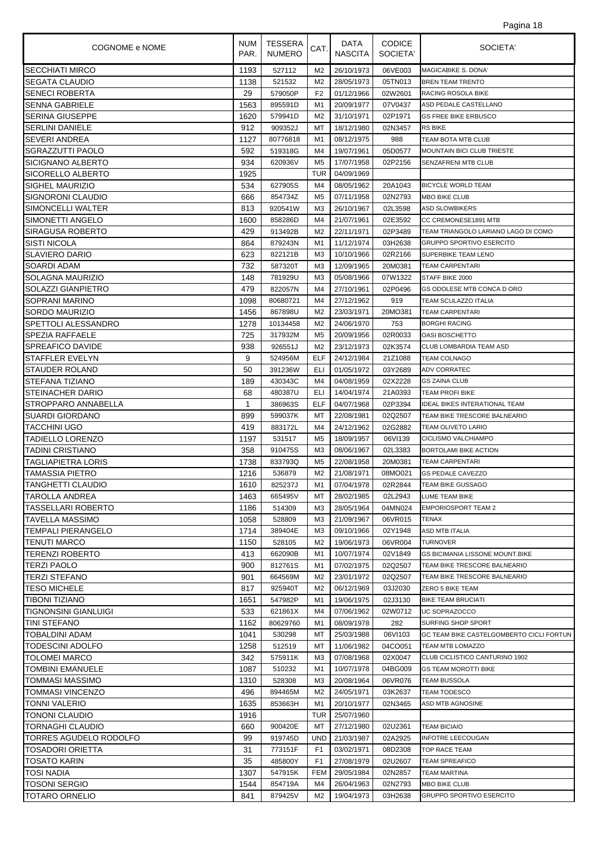| COGNOME e NOME                  | <b>NUM</b><br>PAR. | TESSERA<br><b>NUMERO</b> | CAT.           | DATA<br><b>NASCITA</b>   | <b>CODICE</b><br>SOCIETA' | SOCIETA'                                                               |
|---------------------------------|--------------------|--------------------------|----------------|--------------------------|---------------------------|------------------------------------------------------------------------|
| <b>SECCHIATI MIRCO</b>          | 1193               | 527112                   | M <sub>2</sub> | 26/10/1973               | 06VE003                   | <b>MAGICABIKE S. DONA'</b>                                             |
| <b>SEGATA CLAUDIO</b>           | 1138               | 521532                   | M <sub>2</sub> | 28/05/1973               | 05TN013                   | <b>BREN TEAM TRENTO</b>                                                |
| <b>SENECI ROBERTA</b>           | 29                 | 579050P                  | F <sub>2</sub> | 01/12/1966               | 02W2601                   | <b>RACING ROSOLA BIKE</b>                                              |
| <b>SENNA GABRIELE</b>           | 1563               | 895591D                  | M1             | 20/09/1977               | 07V0437                   | ASD PEDALE CASTELLANO                                                  |
| <b>SERINA GIUSEPPE</b>          | 1620               | 579941D                  | M <sub>2</sub> | 31/10/1971               | 02P1971                   | <b>GS FREE BIKE ERBUSCO</b>                                            |
| <b>SERLINI DANIELE</b>          | 912                | 909352J                  | МT             | 18/12/1980               | 02N3457                   | <b>RS BIKE</b>                                                         |
| <b>SEVERI ANDREA</b>            | 1127               | 80776818                 | M1             | 08/12/1975               | 988                       | TEAM BOTA MTB CLUB                                                     |
| <b>SGRAZZUTTI PAOLO</b>         | 592                | 519318G                  | M4             | 19/07/1961               | 05D0577                   | MOUNTAIN BICI CLUB TRIESTE                                             |
| <b>SICIGNANO ALBERTO</b>        | 934                | 620936V                  | M <sub>5</sub> | 17/07/1958               | 02P2156                   | SENZAFRENI MTB CLUB                                                    |
| SICORELLO ALBERTO               | 1925               |                          | <b>TUR</b>     | 04/09/1969               |                           |                                                                        |
| <b>SIGHEL MAURIZIO</b>          | 534                | 627905S                  | M4             | 08/05/1962               | 20A1043                   | <b>BICYCLE WORLD TEAM</b>                                              |
| SIGNORONI CLAUDIO               | 666                | 854734Z                  | M5             | 07/11/1958               | 02N2793                   | <b>MBO BIKE CLUB</b>                                                   |
| SIMONCELLI WALTER               | 813                | 920541W                  | M <sub>3</sub> | 26/10/1967               | 02L3598                   | <b>ASD SLOWBIKERS</b>                                                  |
| SIMONETTI ANGELO                | 1600               | 858286D                  | M4             | 21/07/1961               | 02E3592                   | CC CREMONESE1891 MTB                                                   |
| <b>SIRAGUSA ROBERTO</b>         | 429                | 913492B                  | M <sub>2</sub> | 22/11/1971               | 02P3489                   | TEAM TRIANGOLO LARIANO LAGO DI COMO                                    |
| <b>SISTI NICOLA</b>             | 864                | 879243N                  | M1             | 11/12/1974               | 03H2638                   | <b>GRUPPO SPORTIVO ESERCITO</b>                                        |
| <b>SLAVIERO DARIO</b>           | 623                | 822121B                  | M <sub>3</sub> | 10/10/1966               | 02R2166                   | SUPERBIKE TEAM LENO                                                    |
| SOARDI ADAM                     | 732                | 587320T                  | MЗ             | 12/09/1965               | 20M0381                   | <b>TEAM CARPENTARI</b>                                                 |
| <b>SOLAGNA MAURIZIO</b>         | 148                | 781929U                  | M <sub>3</sub> | 05/08/1966               | 07W1322                   | STAFF BIKE 2000                                                        |
| <b>SOLAZZI GIANPIETRO</b>       | 479                | 822057N                  | M4             | 27/10/1961               | 02P0496                   | GS ODOLESE MTB CONCA D ORO                                             |
| SOPRANI MARINO                  | 1098               | 80680721                 | M4             | 27/12/1962               | 919                       | TEAM SCULAZZO ITALIA                                                   |
| SORDO MAURIZIO                  | 1456               | 867898U                  | M2             | 23/03/1971               | 20MO381                   | <b>TEAM CARPENTARI</b>                                                 |
| SPETTOLI ALESSANDRO             | 1278               | 10134458                 | M2             | 24/06/1970               | 753                       | <b>BORGHI RACING</b>                                                   |
| <b>SPEZIA RAFFAELE</b>          | 725                | 317932M                  | M <sub>5</sub> | 20/09/1956               | 02R0033                   | <b>OASI BOSCHETTO</b>                                                  |
| <b>SPREAFICO DAVIDE</b>         | 938                | 926551J                  | M <sub>2</sub> | 23/12/1973               | 02K3574                   | CLUB LOMBARDIA TEAM ASD                                                |
| <b>STAFFLER EVELYN</b>          | 9                  | 524956M                  | <b>ELF</b>     | 24/12/1984               | 21Z1088                   | <b>TEAM COLNAGO</b>                                                    |
| <b>STAUDER ROLAND</b>           | 50                 | 391236W                  | ELI            | 01/05/1972               | 03Y2689                   | <b>ADV CORRATEC</b>                                                    |
| <b>STEFANA TIZIANO</b>          | 189                | 430343C                  | M4             | 04/08/1959               | 02X2228                   | <b>GS ZAINA CLUB</b>                                                   |
| <b>STEINACHER DARIO</b>         | 68                 | 480387U                  | ELI            | 14/04/1974               | 21A0393                   | <b>TEAM PROFI BIKE</b>                                                 |
| STROPPARO ANNABELLA             | 1                  | 386963S                  | ELF            | 04/07/1968               | 02P3394                   | <b>IDEAL BIKES INTERATIONAL TEAM</b>                                   |
| <b>SUARDI GIORDANO</b>          | 899                | 599037K                  | МT             | 22/08/1981               | 02Q2507                   | TEAM BIKE TRESCORE BALNEARIO                                           |
| <b>TACCHINI UGO</b>             | 419                | 883172L                  | M4             | 24/12/1962               | 02G2882                   | <b>TEAM OLIVETO LARIO</b>                                              |
| TADIELLO LORENZO                | 1197               | 531517                   | M <sub>5</sub> | 18/09/1957               | 06VI139                   | CICLISMO VALCHIAMPO                                                    |
| ITADINI CRISTIANO               | 358                | 910475S                  | MЗ             | 08/06/1967               | 02L3383                   | <b>BORTOLAMI BIKE ACTION</b>                                           |
| TAGLIAPIETRA LORIS              | 1738               | 833793Q                  | M <sub>5</sub> | 22/08/1958               | 20M0381                   | <b>TEAM CARPENTARI</b>                                                 |
| TAMASSIA PIETRO                 | 1216               | 536879                   | M <sub>2</sub> | 21/08/1971               | 08MO021                   | <b>GS PEDALE CAVEZZO</b>                                               |
| <b>TANGHETTI CLAUDIO</b>        | 1610               | 825237J                  | M <sub>1</sub> | 07/04/1978               | 02R2844                   | TEAM BIKE GUSSAGO                                                      |
| TAROLLA ANDREA                  | 1463               | 665495V                  | МT             | 28/02/1985               | 02L2943                   | <b>LUME TEAM BIKE</b>                                                  |
| TASSELLARI ROBERTO              | 1186               | 514309                   | MЗ             | 28/05/1964               | 04MN024                   | <b>EMPORIOSPORT TEAM 2</b>                                             |
| TAVELLA MASSIMO                 | 1058               | 528809                   | MЗ             | 21/09/1967               | 06VR015                   | <b>TENAX</b>                                                           |
| TEMPALI PIERANGELO              | 1714               | 389404E                  | MЗ             | 09/10/1966               | 02Y1948                   | ASD MTB ITALIA<br><b>TURNOVER</b>                                      |
| <b>TENUTI MARCO</b>             | 1150               | 528105<br>662090B        | M <sub>2</sub> | 19/06/1973<br>10/07/1974 | 06VR004                   |                                                                        |
| ITERENZI ROBERTO<br>TERZI PAOLO | 413<br>900         | 812761S                  | M1<br>M1       | 07/02/1975               | 02V1849<br>02Q2507        | <b>GS BICIMANIA LISSONE MOUNT.BIKE</b><br>TEAM BIKE TRESCORE BALNEARIO |
| <b>TERZI STEFANO</b>            | 901                | 664569M                  | M2             | 23/01/1972               | 02Q2507                   | TEAM BIKE TRESCORE BALNEARIO                                           |
| <b>TESO MICHELE</b>             | 817                | 925940T                  | M2             | 06/12/1969               | 03J2030                   | <b>ZERO 5 BIKE TEAM</b>                                                |
| <b>TIBONI TIZIANO</b>           | 1651               | 547982P                  | M1             | 19/06/1975               | 02J3130                   | <b>BIKE TEAM BRUCIATI</b>                                              |
| <b>TIGNONSINI GIANLUIGI</b>     | 533                | 621861X                  | M4             | 07/06/1962               | 02W0712                   | UC SOPRAZOCCO                                                          |
| TINI STEFANO                    | 1162               | 80629760                 | M1             | 08/09/1978               | 282                       | <b>SURFING SHOP SPORT</b>                                              |
| <b>TOBALDINI ADAM</b>           | 1041               | 530298                   | МT             | 25/03/1988               | 06VI103                   | GC TEAM BIKE CASTELGOMBERTO CICLI FORTUN                               |
| TODESCINI ADOLFO                | 1258               | 512519                   | МT             | 11/06/1982               | 04CO051                   | TEAM MTB LOMAZZO                                                       |
| TOLOMEI MARCO                   | 342                | 575911K                  | MЗ             | 07/08/1968               | 02X0047                   | CLUB CICLISTICO CANTURINO 1902                                         |
| <b>TOMBINI EMANUELE</b>         | 1087               | 510232                   | M1             | 10/07/1978               | 04BG009                   | <b>GS TEAM MOROTTI BIKE</b>                                            |
| TOMMASI MASSIMO                 | 1310               | 528308                   | MЗ             | 20/08/1964               | 06VR076                   | <b>TEAM BUSSOLA</b>                                                    |
| TOMMASI VINCENZO                | 496                | 894465M                  | M2             | 24/05/1971               | 03K2637                   | <b>TEAM TODESCO</b>                                                    |
| <b>TONNI VALERIO</b>            | 1635               | 853663H                  | M1             | 20/10/1977               | 02N3465                   | ASD MTB AGNOSINE                                                       |
| <b>TONONI CLAUDIO</b>           | 1916               |                          | TUR            | 25/07/1960               |                           |                                                                        |
| <b>TORNAGHI CLAUDIO</b>         | 660                | 900420E                  | МT             | 27/12/1980               | 02U2361                   | <b>TEAM BICIAIO</b>                                                    |
| TORRES AGUDELO RODOLFO          | 99                 | 919745D                  | <b>UND</b>     | 21/03/1987               | 02A2925                   | <b>INFOTRE LEECOUGAN</b>                                               |
| <b>TOSADORI ORIETTA</b>         | 31                 | 773151F                  | F <sub>1</sub> | 03/02/1971               | 08D2308                   | <b>TOP RACE TEAM</b>                                                   |
| <b>TOSATO KARIN</b>             | 35                 | 485800Y                  | F <sub>1</sub> | 27/08/1979               | 02U2607                   | <b>TEAM SPREAFICO</b>                                                  |
| TOSI NADIA                      | 1307               | 547915K                  | FEM            | 29/05/1984               | 02N2857                   | <b>TEAM MARTINA</b>                                                    |
| <b>TOSONI SERGIO</b>            | 1544               | 854719A                  | M4             | 26/04/1963               | 02N2793                   | <b>MBO BIKE CLUB</b>                                                   |
| <b>TOTARO ORNELIO</b>           | 841                | 879425V                  | M <sub>2</sub> | 19/04/1973               | 03H2638                   | <b>GRUPPO SPORTIVO ESERCITO</b>                                        |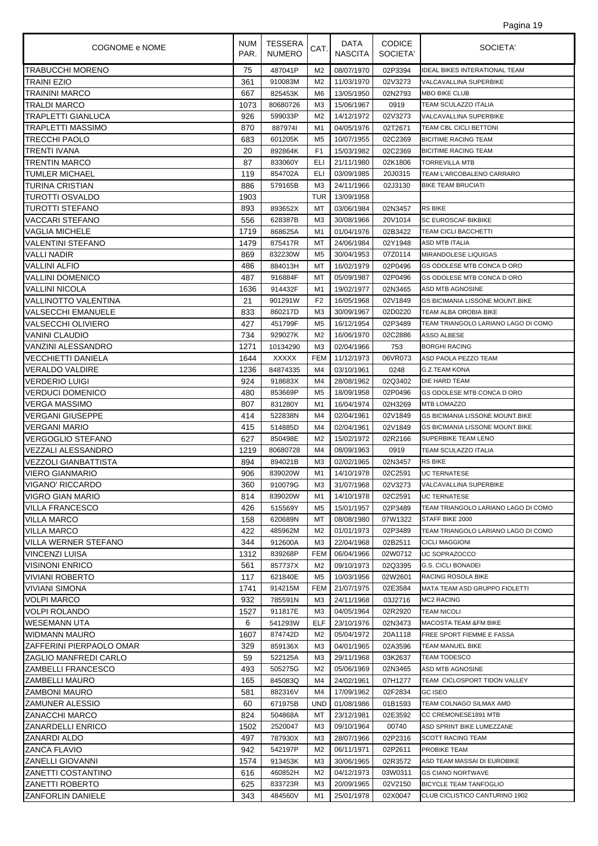| Pagina 19 |  |  |
|-----------|--|--|
|           |  |  |

| COGNOME e NOME              | <b>NUM</b><br>PAR. | <b>TESSERA</b><br><b>NUMERO</b> | CAT.           | DATA<br>NASCITA | <b>CODICE</b><br>SOCIETA' | SOCIETA'                               |
|-----------------------------|--------------------|---------------------------------|----------------|-----------------|---------------------------|----------------------------------------|
| <b>TRABUCCHI MORENO</b>     | 75                 | 487041P                         | M2             | 08/07/1970      | 02P3394                   | <b>IDEAL BIKES INTERATIONAL TEAM</b>   |
| TRAINI EZIO                 | 361                | 910083M                         | M <sub>2</sub> | 11/03/1970      | 02V3273                   | VALCAVALLINA SUPERBIKE                 |
| TRAININI MARCO              | 667                | 825453K                         | M <sub>6</sub> | 13/05/1950      | 02N2793                   | MBO BIKE CLUB                          |
| TRALDI MARCO                | 1073               | 80680726                        | M <sub>3</sub> | 15/06/1967      | 0919                      | TEAM SCULAZZO ITALIA                   |
| TRAPLETTI GIANLUCA          | 926                | 599033P                         | M <sub>2</sub> | 14/12/1972      | 02V3273                   | VALCAVALLINA SUPERBIKE                 |
| TRAPLETTI MASSIMO           | 870                | 8879741                         | M1             | 04/05/1976      | 02T2671                   | TEAM CBL CICLI BETTONI                 |
| TRECCHI PAOLO               | 683                | 601205K                         | M <sub>5</sub> | 10/07/1955      | 02C2369                   | <b>BICITIME RACING TEAM</b>            |
| TRENTI IVANA                | 20                 | 892864K                         | F <sub>1</sub> | 15/03/1982      | 02C2369                   | <b>BICITIME RACING TEAM</b>            |
| <b>TRENTIN MARCO</b>        | 87                 | 833060Y                         | ELI            | 21/11/1980      | 02K1806                   | TORREVILLA MTB                         |
| <b>TUMLER MICHAEL</b>       | 119                | 854702A                         | ELI            | 03/09/1985      | 20J0315                   | TEAM L'ARCOBALENO CARRARO              |
| TURINA CRISTIAN             | 886                | 579165B                         | M <sub>3</sub> | 24/11/1966      | 02J3130                   | <b>BIKE TEAM BRUCIATI</b>              |
| TUROTTI OSVALDO             | 1903               |                                 | TUR            | 13/09/1958      |                           |                                        |
| TUROTTI STEFANO             | 893                | 893652X                         | МT             | 03/06/1984      | 02N3457                   | <b>RS BIKE</b>                         |
| VACCARI STEFANO             | 556                | 628387B                         | M <sub>3</sub> | 30/08/1966      | 20V1014                   | SC EUROSCAF BIKBIKE                    |
| <b>VAGLIA MICHELE</b>       | 1719               | 868625A                         | M1             | 01/04/1976      | 02B3422                   | TEAM CICLI BACCHETTI                   |
| VALENTINI STEFANO           | 1479               | 875417R                         | МT             | 24/06/1984      | 02Y1948                   | ASD MTB ITALIA                         |
| VALLI NADIR                 | 869                | 832230W                         | M <sub>5</sub> | 30/04/1953      | 07Z0114                   | MIRANDOLESE LIQUIGAS                   |
| <b>VALLINI ALFIO</b>        | 486                | 884013H                         | МT             | 16/02/1979      | 02P0496                   | GS ODOLESE MTB CONCA D ORO             |
| <b>VALLINI DOMENICO</b>     | 487                | 916884F                         | МT             | 05/09/1987      | 02P0496                   | GS ODOLESE MTB CONCA D ORO             |
| <b>VALLINI NICOLA</b>       | 1636               | 914432F                         | M1             | 19/02/1977      | 02N3465                   | ASD MTB AGNOSINE                       |
| VALLINOTTO VALENTINA        | 21                 | 901291W                         | F <sub>2</sub> | 16/05/1968      | 02V1849                   | <b>GS BICIMANIA LISSONE MOUNT.BIKE</b> |
| <b>VALSECCHI EMANUELE</b>   | 833                | 860217D                         | M <sub>3</sub> | 30/09/1967      | 02D0220                   | TEAM ALBA OROBIA BIKE                  |
| VALSECCHI OLIVIERO          | 427                | 451799F                         | M <sub>5</sub> | 16/12/1954      | 02P3489                   | TEAM TRIANGOLO LARIANO LAGO DI COMO    |
| VANINI CLAUDIO              | 734                | 929027K                         | M2             | 16/06/1970      | 02C2886                   | ASSO ALBESE                            |
| VANZINI ALESSANDRO          | 1271               | 10134290                        | M <sub>3</sub> | 02/04/1966      | 753                       | <b>BORGHI RACING</b>                   |
| <b>VECCHIETTI DANIELA</b>   | 1644               | <b>XXXXX</b>                    | <b>FEM</b>     | 11/12/1973      | 06VR073                   | ASD PAOLA PEZZO TEAM                   |
| <b>VERALDO VALDIRE</b>      | 1236               | 84874335                        | M4             | 03/10/1961      | 0248                      | G.Z.TEAM KONA                          |
| <b>VERDERIO LUIGI</b>       | 924                | 918683X                         | M4             | 28/08/1962      | 02Q3402                   | DIE HARD TEAM                          |
| <b>VERDUCI DOMENICO</b>     | 480                | 853669P                         | M5             | 18/09/1958      | 02P0496                   | GS ODOLESE MTB CONCA D ORO             |
| <b>VERGA MASSIMO</b>        | 807                | 831280Y                         | M1             | 16/04/1974      | 02H3269                   | <b>MTB LOMAZZO</b>                     |
| <b>VERGANI GIUSEPPE</b>     | 414                | 522838N                         | M4             | 02/04/1961      | 02V1849                   | GS BICIMANIA LISSONE MOUNT.BIKE        |
| <b>VERGANI MARIO</b>        | 415                | 514885D                         | M4             | 02/04/1961      | 02V1849                   | <b>GS BICIMANIA LISSONE MOUNT.BIKE</b> |
| <b>VERGOGLIO STEFANO</b>    | 627                | 850498E                         | M <sub>2</sub> | 15/02/1972      | 02R2166                   | SUPERBIKE TEAM LENO                    |
| VEZZALI ALESSANDRO          | 1219               | 80680728                        | M4             | 08/09/1963      | 0919                      | TEAM SCULAZZO ITALIA                   |
| VEZZOLI GIANBATTISTA        | 894                | 894021B                         | MЗ             | 02/02/1965      | 02N3457                   | <b>RS BIKE</b>                         |
| <b>VIERO GIANMARIO</b>      | 906                | 839020W                         | M1             | 14/10/1978      | 02C2591                   | <b>UC TERNATESE</b>                    |
| VIGANO' RICCARDO            | 360                | 910079G                         | M3             | 31/07/1968      | 02V3273                   | VALCAVALLINA SUPERBIKE                 |
| VIGRO GIAN MARIO            | 814                | 839020W                         | M1             | 14/10/1978      | 02C2591                   | <b>UC TERNATESE</b>                    |
| <b>VILLA FRANCESCO</b>      | 426                | 515569Y                         | M5             | 15/01/1957      | 02P3489                   | TEAM TRIANGOLO LARIANO LAGO DI COMO    |
| <b>VILLA MARCO</b>          | 158                | 620689N                         | МT             | 08/08/1980      | 07W1322                   | STAFF BIKE 2000                        |
| <b>VILLA MARCO</b>          | 422                | 485962M                         | M2             | 01/01/1973      | 02P3489                   | TEAM TRIANGOLO LARIANO LAGO DI COMO    |
| <b>VILLA WERNER STEFANO</b> | 344                | 912600A                         | M <sub>3</sub> | 22/04/1968      | 02B2511                   | <b>CICLI MAGGIONI</b>                  |
| <b>VINCENZI LUISA</b>       | 1312               | 839268P                         | <b>FEM</b>     | 06/04/1966      | 02W0712                   | UC SOPRAZOCCO                          |
| <b>VISINONI ENRICO</b>      | 561                | 857737X                         | M2             | 09/10/1973      | 02Q3395                   | G.S. CICLI BONADEI                     |
| VIVIANI ROBERTO             | 117                | 621840E                         | M5             | 10/03/1956      | 02W2601                   | RACING ROSOLA BIKE                     |
| VIVIANI SIMONA              | 1741               | 914215M                         | <b>FEM</b>     | 21/07/1975      | 02E3584                   | MATA TEAM ASD GRUPPO FIOLETTI          |
| <b>VOLPI MARCO</b>          | 932                | 785591N                         | MЗ             | 24/11/1968      | 03J2716                   | MC2 RACING                             |
| <b>VOLPI ROLANDO</b>        | 1527               | 911817E                         | M <sub>3</sub> | 04/05/1964      | 02R2920                   | <b>TEAM NICOLI</b>                     |
| <b>WESEMANN UTA</b>         | 6                  | 541293W                         | <b>ELF</b>     | 23/10/1976      | 02N3473                   | MACOSTA TEAM &FM BIKE                  |
| <b>WIDMANN MAURO</b>        | 1607               | 874742D                         | M2             | 05/04/1972      | 20A1118                   | FREE SPORT FIEMME E FASSA              |
| ZAFFERINI PIERPAOLO OMAR    | 329                | 859136X                         | MЗ             | 04/01/1965      | 02A3596                   | TEAM MANUEL BIKE                       |
| ZAGLIO MANFREDI CARLO       | 59                 | 522125A                         | MЗ             | 29/11/1968      | 03K2637                   | <b>TEAM TODESCO</b>                    |
| <b>ZAMBELLI FRANCESCO</b>   | 493                | 505275G                         | M2             | 05/06/1969      | 02N3465                   | ASD MTB AGNOSINE                       |
| ZAMBELLI MAURO              | 165                | 845083Q                         | M4             | 24/02/1961      | 07H1277                   | TEAM CICLOSPORT TIDON VALLEY           |
| ZAMBONI MAURO               | 581                | 882316V                         | M4             | 17/09/1962      | 02F2834                   | <b>GC ISEO</b>                         |
| ZAMUNER ALESSIO             | 60                 | 671975B                         | UND            | 01/08/1986      | 01B1593                   | TEAM COLNAGO SILMAX AMD                |
| ZANACCHI MARCO              | 824                | 504868A                         | МT             | 23/12/1981      | 02E3592                   | CC CREMONESE1891 MTB                   |
| ZANARDELLI ENRICO           | 1502               | 2520047                         | MЗ             | 09/10/1964      | 00740                     | ASD SPRINT BIKE LUMEZZANE              |
| ZANARDI ALDO                | 497                | 787930X                         | MЗ             | 28/07/1966      | 02P2316                   | SCOTT RACING TEAM                      |
| <b>ZANCA FLAVIO</b>         | 942                | 542197P                         | M <sub>2</sub> | 06/11/1971      | 02P2611                   | PROBIKE TEAM                           |
| IZANELLI GIOVANNI           | 1574               | 913453K                         | MЗ             | 30/06/1965      | 02R3572                   | ASD TEAM MASSAI DI EUROBIKE            |
| ZANETTI COSTANTINO          | 616                | 460852H                         | M2             | 04/12/1973      | 03W0311                   | <b>GS CIANO NORTWAVE</b>               |
| <b>ZANETTI ROBERTO</b>      | 625                | 833723R                         | MЗ             | 20/09/1965      | 02V2150                   | <b>BICYCLE TEAM TANFOGLIO</b>          |
| <b>ZANFORLIN DANIELE</b>    | 343                | 484560V                         | M1             | 25/01/1978      | 02X0047                   | CLUB CICLISTICO CANTURINO 1902         |